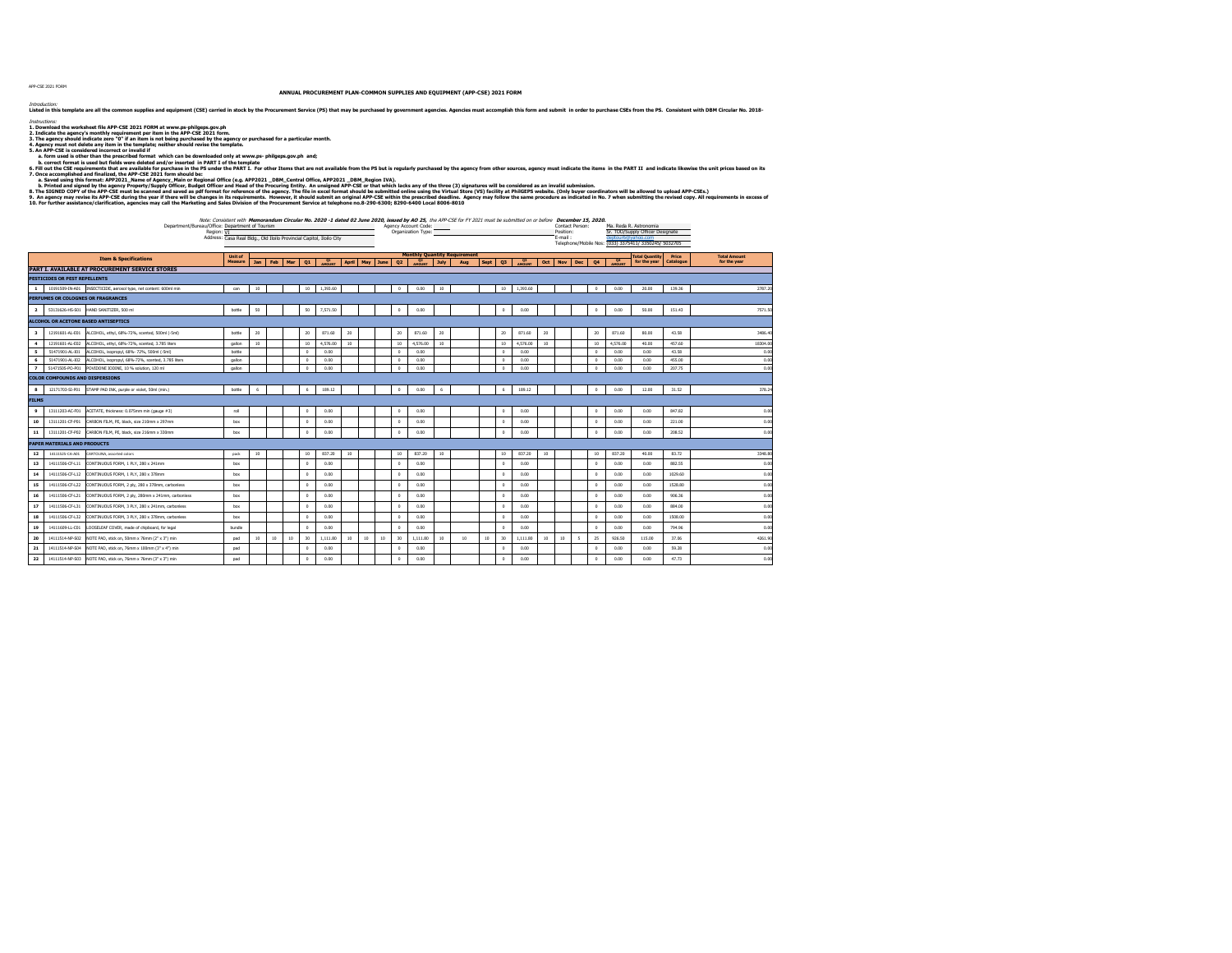APP-CSE 2021 FORM

**ANNUAL PROCUREMENT PLAN-COMMON SUPPLIES AND EQUIPMENT (APP-CSE) 2021 FORM**

*Intoolution*<br>Listed in this template are all the common supplies and equipment (CSE) carried in stock by the Procurement Service (PS) that may be purchased by government agencies. Agencies must accomplish this form and su

*linsuctions:*<br>2. Dounioad the worksheet file APP-CSE 2021 FORM at www.ps-philgeps.gov.ph<br>2. Indicate the agency's monthly requirement per item in the APP-CSE 2021 form.<br>3. The agency should indicate zero "0" if an item is

 **a. form used is other than the prescribed format which can be downloaded only at www.ps- philgeps.gov.ph and;**

b. correct formal is used but field were detected and/or inseted in PART of the template<br>C. The Control of the APT II and insected and a swallength of the template of the template of the control of the control of the contr

| Note: Consistent with Memorandum Circular No. 2020 -1 dated 02 June 2020, issued by AO 25, the APP-CSE for FY 2021 must be submitted on or before December 15, 2020. |                      |                 |                        |
|----------------------------------------------------------------------------------------------------------------------------------------------------------------------|----------------------|-----------------|------------------------|
| /Bureau/Office: Department of Tourism                                                                                                                                | Agency Account Code: | Contact Person: | Ma. Reda R. Astronomia |

|                         |                                        | Department/Bureau/Office: Department of Tourism                   | Region: VI | Address: Casa Real Bldg., Old Iloilo Provincial Capitol, Iloilo City |                 |     |     |                 |          |    |             |      |                 | Agency Account Code:<br>Organization Type: |      | Note: Consistent with Memorandum Circular No. 2020 -1 dated 02 June 2020, issued by AO 25, the APP-CSE for FY 2021 must be submitted on or before December 15, 2020. |             |                |                  |                 | Contact Person:<br>Position:<br>E-mail: |              |            | dentour6@vahoo.com | Ma. Reda R. Astronomia<br>Sr. TOO/Supply Officer Designate<br>Telephone/Mobile Nos: (033) 3375411/ 3350245/ 5032705 |           |                     |
|-------------------------|----------------------------------------|-------------------------------------------------------------------|------------|----------------------------------------------------------------------|-----------------|-----|-----|-----------------|----------|----|-------------|------|-----------------|--------------------------------------------|------|----------------------------------------------------------------------------------------------------------------------------------------------------------------------|-------------|----------------|------------------|-----------------|-----------------------------------------|--------------|------------|--------------------|---------------------------------------------------------------------------------------------------------------------|-----------|---------------------|
|                         |                                        | <b>Item &amp; Specifications</b>                                  |            | <b>Unit of</b>                                                       |                 |     |     |                 |          |    |             |      |                 |                                            |      | <b>Monthly Quantity Requirement</b>                                                                                                                                  |             |                |                  |                 |                                         |              |            |                    | <b>Total Quantity</b>                                                                                               | Price     | <b>Total Amount</b> |
|                         |                                        |                                                                   |            | Measure                                                              | Jan             | Feb | Mar | O1              | Q1       |    | April   May | June | 02              | OZ<br>AMOUNT                               | July | Aug                                                                                                                                                                  | <b>Sept</b> | Q <sub>3</sub> | $\frac{Q3}{PQ3}$ |                 | Oct Nov                                 | <b>Dec</b>   | Q4         | 4400WT             | for the year                                                                                                        | Catalogue | for the year        |
|                         |                                        | PART I. AVAILABLE AT PROCUREMENT SERVICE STORES                   |            |                                                                      |                 |     |     |                 |          |    |             |      |                 |                                            |      |                                                                                                                                                                      |             |                |                  |                 |                                         |              |            |                    |                                                                                                                     |           |                     |
|                         | PESTICIDES OR PEST REPELLENTS          |                                                                   |            |                                                                      |                 |     |     |                 |          |    |             |      |                 |                                            |      |                                                                                                                                                                      |             |                |                  |                 |                                         |              |            |                    |                                                                                                                     |           |                     |
| $\mathbf{1}$            |                                        | 10191509-IN-A01 INSECTICIDE, aerosol type, net content: 600ml min |            | can                                                                  | 10              |     |     | 10              | 1,393.60 |    |             |      | $\theta$        | 0.00                                       | 10   |                                                                                                                                                                      |             | 10             | 1.393.60         |                 |                                         |              | $\Omega$   | 0.00               | 20.00                                                                                                               | 139.36    | 2787.20             |
|                         |                                        | PERFUMES OR COLOGNES OR FRAGRANCES                                |            |                                                                      |                 |     |     |                 |          |    |             |      |                 |                                            |      |                                                                                                                                                                      |             |                |                  |                 |                                         |              |            |                    |                                                                                                                     |           |                     |
| $\overline{2}$          | 53131626-HS-S01                        | HAND SANITIZER, 500 ml                                            |            | bottle                                                               | 50              |     |     | 50              | 7,571.50 |    |             |      | $^{\circ}$      | 0.00                                       |      |                                                                                                                                                                      |             | $^{\circ}$     | 0.00             |                 |                                         |              | $\Omega$   | 0.00               | 50.00                                                                                                               | 151.43    | 7571.50             |
|                         |                                        | <b>ALCOHOL OR ACETONE BASED ANTISEPTICS</b>                       |            |                                                                      |                 |     |     |                 |          |    |             |      |                 |                                            |      |                                                                                                                                                                      |             |                |                  |                 |                                         |              |            |                    |                                                                                                                     |           |                     |
| $\overline{\mathbf{3}}$ | 12191601-AL-E01                        | ALCOHOL, ethyl, 68%-72%, scented, 500ml (-5ml)                    |            | bottle                                                               | 20              |     |     | 20              | 871.60   | 20 |             |      | 20              | 871.60                                     | 20   |                                                                                                                                                                      |             | 20             | 871.60           | 20              |                                         |              | 20         | 871.60             | 80.00                                                                                                               | 43.58     | 3486.40             |
| $\overline{4}$          | 12191601-AL-E02                        | ALCOHOL, ethyl, 68%-72%, scented, 3.785 liters                    |            | gallon                                                               | 10 <sup>°</sup> |     |     | 10              | 4,576.00 | 10 |             |      | 10              | 4,576.00                                   | 10   |                                                                                                                                                                      |             | 10             | 4,576.00         | 10 <sup>°</sup> |                                         |              | 10         | 4,576.00           | 40.00                                                                                                               | 457.60    | 18304.00            |
| 5                       | 51471901-AL-I01                        | ALCOHOL, isopropyl, 68%- 72%, 500ml (-5ml)                        |            | bottle                                                               |                 |     |     | $\Omega$        | 0.00     |    |             |      | $\Omega$        | 0.00                                       |      |                                                                                                                                                                      |             | $\Omega$       | 0.00             |                 |                                         |              | $\Omega$   | 0.00               | 0.00                                                                                                                | 43.58     | 0.00                |
| 6                       | 51471901-AL-I02                        | ALCOHOL, isopropyl, 68%-72%, scented, 3,785 liters                |            | callon                                                               |                 |     |     | $\Omega$        | 0.00     |    |             |      | $^{\circ}$      | 0.00                                       |      |                                                                                                                                                                      |             | $^{\circ}$     | 0.00             |                 |                                         |              | $^{\circ}$ | 0.00               | 0.00                                                                                                                | 455.00    | 0.00                |
| $\overline{z}$          | 51471505-PO-P01                        | POVIDONE IODINE, 10 % solution, 120 ml                            |            | callon                                                               |                 |     |     | $\Omega$        | 0.00     |    |             |      | $\theta$        | 0.00                                       |      |                                                                                                                                                                      |             | $\theta$       | 0.00             |                 |                                         |              | $\theta$   | 0.00               | 0.00                                                                                                                | 207.75    | 0.00                |
|                         | <b>COLOR COMPOUNDS AND DISPERSIONS</b> |                                                                   |            |                                                                      |                 |     |     |                 |          |    |             |      |                 |                                            |      |                                                                                                                                                                      |             |                |                  |                 |                                         |              |            |                    |                                                                                                                     |           |                     |
| $\mathbf{s}$            | 12171703-SI-P01                        | STAMP PAD INK, purple or violet, 50ml (min.)                      |            | bottle                                                               | 6               |     |     | 6               | 189.12   |    |             |      | $^{\circ}$      | 0.00                                       | 6    |                                                                                                                                                                      |             | 6              | 189.12           |                 |                                         |              | $^{\circ}$ | 0.00               | 12.00                                                                                                               | 31.52     | 378.24              |
| <b>FILMS</b>            |                                        |                                                                   |            |                                                                      |                 |     |     |                 |          |    |             |      |                 |                                            |      |                                                                                                                                                                      |             |                |                  |                 |                                         |              |            |                    |                                                                                                                     |           |                     |
| 9                       | 13111203-AC-F01                        | ACETATE, thickness: 0.075mm min (gauge #3)                        |            | roll                                                                 |                 |     |     | $\circ$         | 0.00     |    |             |      | $^{\circ}$      | 0.00                                       |      |                                                                                                                                                                      |             | $^{\circ}$     | 0.00             |                 |                                         |              | $^{\circ}$ | 0.00               | 0.00                                                                                                                | 847.82    | 0.00                |
| 10                      | 13111201-CF-P01                        | CARBON FILM, PE, black, size 210mm x 297mm                        |            | box                                                                  |                 |     |     | $\circ$         | 0.00     |    |             |      | $\circ$         | 0.00                                       |      |                                                                                                                                                                      |             | $\circ$        | 0.00             |                 |                                         |              | $^{\circ}$ | 0.00               | 0.00                                                                                                                | 221.00    | 0.00                |
| 11                      | 13111201-CF-P02                        | CARBON FILM, PE, black, size 216mm x 330mm                        |            | box                                                                  |                 |     |     | $\Omega$        | 0.00     |    |             |      | $\Omega$        | 0.00                                       |      |                                                                                                                                                                      |             | $\theta$       | 0.00             |                 |                                         |              | $\Omega$   | 0.00               | 0.00                                                                                                                | 208.52    | 0.00                |
|                         | PAPER MATERIALS AND PRODUCTS           |                                                                   |            |                                                                      |                 |     |     |                 |          |    |             |      |                 |                                            |      |                                                                                                                                                                      |             |                |                  |                 |                                         |              |            |                    |                                                                                                                     |           |                     |
| 12                      | 14111525-CA-A01                        | CARTOLINA, assorted colors                                        |            | pack                                                                 | 10              |     |     | 10              | 837.20   | 10 |             |      | 10              | 837.20                                     | 10   |                                                                                                                                                                      |             | 10             | 837.20           | 10              |                                         |              | 10         | 837.20             | 40.00                                                                                                               | 83.72     | 3348.80             |
| 13                      | 14111506-CF-L11                        | CONTINUOUS FORM, 1 PLY, 280 x 241mm                               |            | box                                                                  |                 |     |     | $\Omega$        | 0.00     |    |             |      | $\theta$        | 0.00                                       |      |                                                                                                                                                                      |             | $\theta$       | 0.00             |                 |                                         |              | $^{\circ}$ | 0.00               | 0.00                                                                                                                | 882.55    | 0.00                |
| 14                      | 14111506-CF-L12                        | CONTINUOUS FORM, 1 PLY, 280 x 378mm                               |            | box                                                                  |                 |     |     | $\circ$         | 0.00     |    |             |      | $\circ$         | 0.00                                       |      |                                                                                                                                                                      |             | $\circ$        | 0.00             |                 |                                         |              | $^{\circ}$ | 0.00               | 0.00                                                                                                                | 1029.60   | 0.00                |
| 15                      | 14111506-CF-L22                        | CONTINUOUS FORM, 2 ply, 280 x 378mm, carbonless                   |            | box                                                                  |                 |     |     | $\Omega$        | 0.00     |    |             |      | $\theta$        | 0.00                                       |      |                                                                                                                                                                      |             | $\theta$       | 0.00             |                 |                                         |              | $\Omega$   | 0.00               | 0.00                                                                                                                | 1528.80   | 0.00                |
| 16                      | 14111506-CF-L21                        | CONTINUOUS FORM, 2 ply, 280mm x 241mm, carboniess                 |            | box                                                                  |                 |     |     | $\circ$         | 0.00     |    |             |      | $^{\circ}$      | 0.00                                       |      |                                                                                                                                                                      |             | $\overline{0}$ | 0.00             |                 |                                         |              | $^{\circ}$ | 0.00               | 0.00                                                                                                                | 906.36    | 0.00                |
| 17                      | 14111506-CF-L31                        | CONTINUOUS FORM, 3 PLY, 280 x 241mm, carboniess                   |            | box                                                                  |                 |     |     | $\circ$         | 0.00     |    |             |      | $^{\circ}$      | 0.00                                       |      |                                                                                                                                                                      |             | $\Omega$       | 0.00             |                 |                                         |              | $\Omega$   | 0.00               | 0.00                                                                                                                | 884.00    | 0.00                |
| 18                      | 14111506-CF-L32                        | CONTINUOUS FORM, 3 PLY, 280 x 378mm, carboniess                   |            | box                                                                  |                 |     |     | $\Omega$        | 0.00     |    |             |      | $\theta$        | 0.00                                       |      |                                                                                                                                                                      |             | $\Omega$       | 0.00             |                 |                                         |              | $\theta$   | 0.00               | 0.00                                                                                                                | 1508.00   | 0.00                |
| 19                      | 14111609-LL-C01                        | LOOSELEAF COVER, made of chipboard, for legal                     |            | bundle                                                               |                 |     |     | $\Omega$        | 0.00     |    |             |      | $\theta$        | 0.00                                       |      |                                                                                                                                                                      |             | $\theta$       | 0.00             |                 |                                         |              | $\Omega$   | 0.00               | 0.00                                                                                                                | 794.96    | 0.00                |
| 20                      | 14111514-NP-S02                        | NOTE PAD, stick on, 50mm x 76mm (2" x 3") min                     |            | pad                                                                  | 10              | 10  | 10  | 30 <sub>2</sub> | 1,111.80 | 10 | 10          | 10   | 30 <sup>2</sup> | 1.111.80                                   | 10   | 10                                                                                                                                                                   | 10          | 30             | 1.111.80         | 10 <sup>°</sup> | 10                                      | $\mathsf{s}$ | 25         | 926.50             | 115.00                                                                                                              | 37.06     | 4261.90             |
| 21                      | 14111514-NP-S04                        | NOTE PAD, stick on, 76mm x 100mm (3" x 4") min                    |            | pad                                                                  |                 |     |     | $\Omega$        | 0.00     |    |             |      | $^{\circ}$      | 0.00                                       |      |                                                                                                                                                                      |             | $\Omega$       | 0.00             |                 |                                         |              | $\Omega$   | 0.00               | 0.00                                                                                                                | 59.28     | 0.00                |
| 22                      | 14111514-NP-S03                        | NOTE PAD, stick on, 76mm x 76mm (3" x 3") min                     |            | pad                                                                  |                 |     |     | $\Omega$        | 0.00     |    |             |      | $\Omega$        | 0.00                                       |      |                                                                                                                                                                      |             | $\overline{0}$ | 0.00             |                 |                                         |              | $\Omega$   | 0.00               | 0.00                                                                                                                | 47.73     | 0.00                |
|                         |                                        |                                                                   |            |                                                                      |                 |     |     |                 |          |    |             |      |                 |                                            |      |                                                                                                                                                                      |             |                |                  |                 |                                         |              |            |                    |                                                                                                                     |           |                     |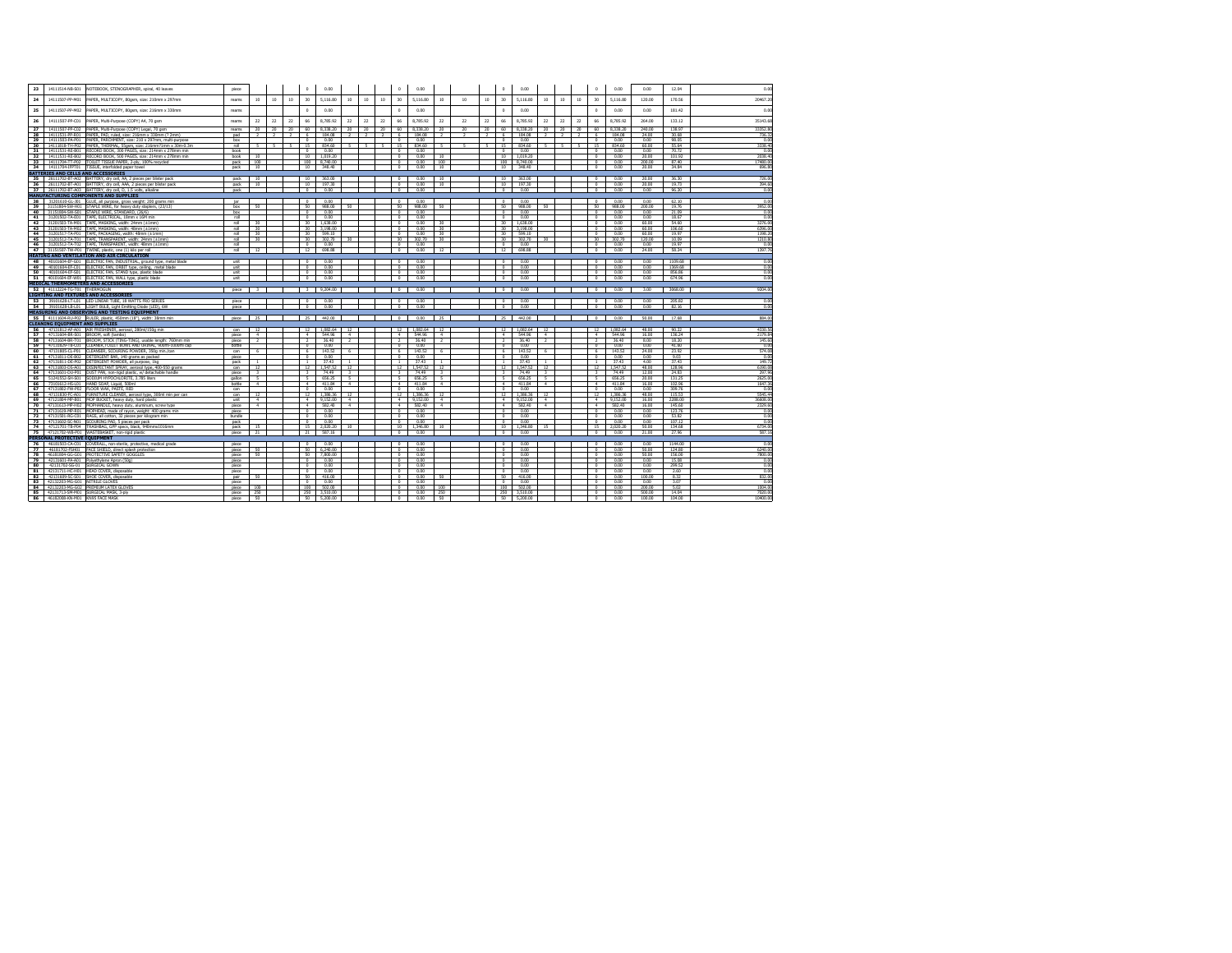| 23              | 14111514-NB-S01                        | NOTEBOOK, STENOGRAPHER, spiral, 40 leaves                             | piece          |                         |                |                 | $\Omega$                | 0.00       |                 |        |                 | $^{\circ}$               | 0.00      |                          |                 |                  | $^{\circ}$               | 0.00      |                          |               |                 | $\theta$                 | 0.00     | 0.00   | 12.04   | 0.00     |
|-----------------|----------------------------------------|-----------------------------------------------------------------------|----------------|-------------------------|----------------|-----------------|-------------------------|------------|-----------------|--------|-----------------|--------------------------|-----------|--------------------------|-----------------|------------------|--------------------------|-----------|--------------------------|---------------|-----------------|--------------------------|----------|--------|---------|----------|
| 24              | 14111507-PP-M01                        | PAPER, MULTICOPY, 80gsm, size: 210mm x 297mm                          | reams          | 10                      | 10             | 10              | 30                      | 5,116.80   | 10              | 10     | 10              | 30                       | 5.116.80  | 10                       | 10              | 10 <sub>10</sub> | 30                       | 5,116,80  | 10 <sup>°</sup>          | 10            | 10              | 30                       | 5,116,80 | 120.00 | 170.56  | 20467.20 |
| 25              |                                        | 14111507-PP-M02 PAPER, MULTICOPY, 80gsm, size: 216mm x 330mm          | reams          |                         |                |                 | $\Omega$                | 0.00       |                 |        |                 | $\Omega$                 | 0.00      |                          |                 |                  | $\Omega$                 | 0.00      |                          |               |                 | $^{\circ}$               | 0.00     | 0.00   | 181.42  | 0.00     |
| 26              | 14111507-PP-C01                        | PAPER, Multi-Purpose (COPY) A4, 70 gsm                                | reams          | 22                      | 22             | 22              | 66                      | 8,785.92   | 22              | 22     | 22              | 66                       | 8,785.92  | 22                       | 22              | 22               | 66                       | 8,785.92  | 22                       | 22            | 22              | 66                       | 8,785.92 | 264.00 | 133.12  | 35143.68 |
| $\overline{27}$ |                                        | 14111507-PP-C02 PAPER, Multi-Purpose (COPY) Legal, 70 osm             | reams          | $\overline{20}$         | $\frac{1}{20}$ | $\overline{20}$ | $\omega$                | 8 3 38 20  | $\frac{30}{20}$ | $20 -$ | $\overline{20}$ | 60                       | 8 3 38 20 | $\frac{30}{20}$          | $\overline{20}$ | $\frac{30}{20}$  | 60                       | 8 338 20  | $20 -$                   | 20            | $\frac{30}{20}$ | 60                       | 8 338 20 | 240.00 | 138.97  | 22352.80 |
| 28              | 14111531-PP-R01                        | PAPER, PAD, ruled, size: 216mm x 330mm (? 2mm)                        | pad            |                         | $\rightarrow$  |                 | 6.                      | 184.08     | $\overline{z}$  |        | $\overline{z}$  | -6                       | 184.08    |                          |                 | $\overline{ }$   | -6                       | 184.08    |                          | $\rightarrow$ | $\overline{2}$  | -6                       | 184.08   | 24.00  | 30.68   | 736.32   |
| 29              | 14111503-PA-P01                        | PAPER, PARCHMENT, size: 210 x 297mm, multi-purpose                    | bax            |                         |                |                 | $\Omega$                | 0.00       |                 |        |                 | $\Omega$                 | 0.00      |                          |                 |                  | $\overline{0}$           | 0.00      |                          |               |                 | $\Omega$                 | 0.00     | 0.00   | 98.05   | 0.00     |
| 30              | 14111818-TH-P02                        | PAPER, THERMAL, 55gsm, size: 216mm?1mm x 30m-0.3n                     | roll           |                         | 5              |                 | 15                      | 834.60     | л.              | -5     |                 | 15                       | 834.60    | к.                       | ć               | न                | 15                       | 834.60    | $\overline{\phantom{0}}$ | $\sim$        | -5              | 15                       | 834.60   | 60.00  | 55.64   | 3338.40  |
| 31              | 14111531-RE-B01                        | RECORD BOOK, 300 PAGES, size: 214mm x 278mm min                       | book           |                         |                |                 | $\Omega$                | 0.00       |                 |        |                 | $\Omega$                 | 0.00      |                          |                 |                  | $\overline{0}$           | 0.00      |                          |               |                 | $\theta$                 | 0.00     | 0.00   | 70.72   | 0.00     |
|                 |                                        | 32 14111531-RE-B02 RECORD BOOK, 500 PAGES, size: 214mm x 278mm min    | book           | 10                      |                |                 | $10 -$                  | 1.019.20   |                 |        |                 | $\theta$                 | 0.00      | 10                       |                 |                  | 10                       | 1.019.20  |                          |               |                 | $\sim$                   | 0.00     | 20.00  | 101.92  | 2038.40  |
| 33              |                                        | 14111704-TT-P02 TOILET TISSUE PAPER, 2-ply, 100% recycled             | pack           | 100                     |                |                 | 100                     | 8.740.00   |                 |        |                 | $\Omega$                 | 0.00      | 100                      |                 |                  | 100                      | 8,740.00  |                          |               |                 | $\sim$                   | 0.00     | 200,00 | 87.40   | 17480.00 |
|                 |                                        | 34 14111704-IFPT01 TISSUE, interfolded paper towel                    | nack           | 10                      |                |                 | 10                      | 2.49.40    |                 |        |                 | $\overline{a}$           | 0.00      | 10                       |                 |                  |                          | 10 348.40 |                          |               |                 | $\overline{a}$           | 0.00     | 20.00  | 24.94   | 696.80   |
|                 |                                        | <b>BATTERIES AND CELLS AND ACCESSORIES</b>                            |                |                         |                |                 |                         |            |                 |        |                 |                          |           |                          |                 |                  |                          |           |                          |               |                 |                          |          |        |         |          |
|                 |                                        | 35 26111702-BT-A02 BATTERY, dry cell, AA, 2 pieces per blister pack   | pack           | 10                      |                |                 | 10                      | 363.00     |                 |        |                 | $^{\circ}$               | 0.00      | 10                       |                 |                  | 10                       | 363,00    |                          |               |                 | $\overline{ }$           | 0.00     | 20.00  | 36.30   | 726.00   |
|                 |                                        | 36 26111702-BT-A01 BATTERY, dry cell, AAA, 2 pieces per blister pack  | pack           | $\overline{10}$         |                |                 | 10                      | 197.30     |                 |        |                 | $\overline{ }$           | 0.00      | 10                       |                 |                  | 10                       | 197.30    |                          |               |                 | $\sim$                   | 0.00     | 20.00  | 19.73   | 394 fd   |
|                 |                                        | 37 26111702-BT-A03 BATTERY, dry cell, D, 1.5 volts, alkaline          | nack           |                         |                |                 | $\overline{\ }$         | 0.00       |                 |        |                 | $\overline{0}$           | 0.00      |                          |                 |                  | $\circ$                  | 0.00      |                          |               |                 | $\overline{ }$           | 0.00     | 0.00   | 96.20   | 0.00     |
|                 |                                        | <b>MANUFACTURING COMPONENTS AND SUPPLIES</b>                          |                |                         |                |                 |                         |            |                 |        |                 |                          |           |                          |                 |                  |                          |           |                          |               |                 |                          |          |        |         |          |
| 38              |                                        | 31201610-GL-J01 GLUE, all purpose, gross weight: 200 grams min        | tar            |                         |                |                 | $\Omega$                | 0.00       |                 |        |                 | $\Omega$                 | 0.00      |                          |                 |                  | $\Omega$                 | 0.00      |                          |               |                 | $\sim$                   | 0.00     | 0.00   | 62.10   | 0.00     |
| 39              |                                        | 31151804-SW-H01 STAPLE WIRE, for heavy duty staplers, (23/13)         | bax            | 50                      |                |                 | 50                      | 988.00     | 50              |        |                 | 50                       | 988.00    | 50                       |                 |                  | 50                       | 988.00    | 50                       |               |                 | 50                       | 988.00   | 200,00 | 19.76   | 3952.00  |
|                 |                                        | 40 31151804-SW-S01 STAPLE WIRE, STANDARD, (26/6)                      | bax            |                         |                |                 | n                       | 0.00       |                 |        |                 | $\overline{ }$           | 0.00      |                          |                 |                  | $\overline{0}$           | 0.00      |                          |               |                 | $\overline{ }$           | 000      | 0.00   | 21.09   | 0.00     |
| 41              |                                        | 31201502-TA-E01 TAPE, ELECTRICAL, 18mm x 16M min                      | roll           |                         |                |                 | $\overline{a}$          | 0.00       |                 |        |                 | $\overline{ }$           | 000       |                          |                 |                  | $\overline{0}$           | 0.00      |                          |               |                 | $\overline{ }$           | 0.00     | 0.00   | 18.67   | 0.00     |
| 42              | 31201503-TA-M01                        | TAPE, MASKING, width: 24mm (±1mm)                                     | roll           | 30                      |                |                 | 30                      | 1,638.00   |                 |        |                 | $\overline{0}$           | 0.00      | 30 <sub>1</sub>          |                 |                  | 30                       | 1,638,00  |                          |               |                 | $\sim$                   | 0.00     | 60.00  | 54.60   | 3276.00  |
| 43              | 31201503-TA-M02                        | TAPE, MASKING, width: 48mm (±1mm)                                     | roll           | $-30$                   |                |                 | 30 <sub>1</sub>         | 3.198.00   |                 |        |                 | $\Omega$                 | 0.00      | 20 <sub>1</sub>          |                 |                  | 30                       | 3,198,00  |                          |               |                 | $\theta$                 | 0.00     | 60.00  | 106.60  | 6396.00  |
| 44              | 31201517-TA-P01                        | TAPE, PACKAGING, width: 48mm (±1mm)                                   | roll           | 30                      |                |                 | $\overline{30}$         | 599.10     |                 |        |                 | $\overline{0}$           | 0.00      | $\overline{30}$          |                 |                  | 30                       | 599.10    |                          |               |                 | $\overline{0}$           | 0.00     | 60.00  | 19.97   | 1198.20  |
|                 |                                        | 45 31201512-TA-T01 TAPE, TRANSPARENT, width: 24mm (±1mm)              | roll           |                         |                |                 | 30 <sub>1</sub>         | 302.70     | 30 <sub>1</sub> |        |                 | 30                       | 302.70    | 30                       |                 |                  | 30                       | 302.70    | 30 <sub>1</sub>          |               |                 | 30                       | 302.70   | 120,00 | 10.09   | 1210.80  |
|                 |                                        |                                                                       | roll           | 30                      |                |                 | $\Omega$                |            |                 |        |                 | $\mathbf{a}$             |           |                          |                 |                  |                          |           |                          |               |                 | $\mathbf{a}$             |          |        | 1997    | n no     |
|                 |                                        | 46 31201512-TA-T02 TAPE, TRANSPARENT, width: 48mm (±1mm)              |                |                         |                |                 |                         | 0.00       |                 |        |                 |                          | 0.00      |                          |                 |                  | $\circ$                  | 0.00      |                          |               |                 |                          | 0.00     | 0.00   |         |          |
|                 |                                        | 47 31151507-TW-P01 TWINE, plastic, one (1) kilo per roll              | roll           | 12                      |                |                 | 12                      | 698.88     |                 |        |                 | $\overline{0}$           | 0.00      | 12                       |                 |                  | 12                       | 698.88    |                          |               |                 | $\overline{0}$           | 0.00     | 24.00  | 58.24   | 1397.76  |
|                 |                                        | <b>HEATING AND VENTILATION AND AIR CIRCULATION</b>                    |                |                         |                |                 |                         |            |                 |        |                 |                          |           |                          |                 |                  |                          |           |                          |               |                 |                          |          |        |         |          |
|                 |                                        | 48 40101604-EF-G01 ELECTRIC FAN, INDUSTRIAL, ground type, metal blade | unit           |                         |                |                 | $^{\circ}$              | 0.00       |                 |        |                 | $^{\circ}$               | 0.00      |                          |                 |                  | $^{\circ}$               | 0.00      |                          |               |                 | $^{\circ}$               | 0.00     | 0.00   | 1109.68 | 0.00     |
| 49              |                                        | 40101604-EF-C01 ELECTRIC FAN, ORBIT type, celling, metal blade        | unit           |                         |                |                 | $\overline{0}$          | 0.00       |                 |        |                 | $\overline{ }$           | 0.00      |                          |                 |                  | $\overline{a}$           | 0.00      |                          |               |                 | $\overline{a}$           | 0.00     | n nn   | 1369.68 | nn       |
|                 |                                        | 50 40101604-EF-S01 ELECTRIC FAN, STAND type, plastic blade            | unit           |                         |                |                 | $\Omega$                | 0.00       |                 |        |                 | $\theta$                 | 0.00      |                          |                 |                  | $\Omega$                 | 0.00      |                          |               |                 | $\mathbf{a}$             | 0.00     | 0.00   | 856.86  | 0.00     |
|                 |                                        | 51 40101604-EF-W01 ELECTRIC FAN, WALL type, plastic blade             | unit           |                         |                |                 | $\circ$                 | 0.00       |                 |        |                 | $\overline{0}$           | 0.00      |                          |                 |                  | $^{\circ}$               | 0.00      |                          |               |                 | $\sim$                   | 0.00     | 0.00   | 674.96  | n no     |
|                 |                                        | <b>MEDICAL THERMOMETERS AND ACCESSORIES</b>                           |                |                         |                |                 |                         |            |                 |        |                 |                          |           |                          |                 |                  |                          |           |                          |               |                 |                          |          |        |         |          |
|                 | 52 41112224-TG-T01 THERMOSUN           |                                                                       | piece 3        |                         |                |                 |                         | 3 9.204.00 |                 |        |                 | $\overline{\phantom{a}}$ | 0.00      |                          |                 |                  | $\overline{\phantom{a}}$ | 0.00      |                          |               |                 | $\overline{\phantom{a}}$ | 0.00     | 3.00   | 3068.00 | 9204.00  |
|                 |                                        | <b>LIGHTING AND FIXTURES AND ACCESSORIES</b>                          |                |                         |                |                 |                         |            |                 |        |                 |                          |           |                          |                 |                  |                          |           |                          |               |                 |                          |          |        |         |          |
|                 |                                        | 53 39101628-LT-L01 LED LINEAR TUBE, 18 WATTS FRO SERIES               | <b>Direct</b>  |                         |                |                 | $\Omega$                | 0.00       |                 |        |                 | $\Omega$                 | 0.00      |                          |                 |                  | $\Omega$                 | 0.00      |                          |               |                 | $\Omega$                 | 0.00     | 0.00   | 205.82  | 00       |
| <b>54 I</b>     |                                        | 39101628-LB-L01 LIGHT BULB, Light Emitting Diode (LED), 6W            | piece          |                         |                |                 | $\Omega$                | 0.00       |                 |        |                 | $^{\circ}$               | 0.00      |                          |                 |                  | $^{\circ}$               | 0.00      |                          |               |                 | $\Omega$                 | 0.00     | 0.00   | 82.16   | n no     |
|                 |                                        | <b>MEASURING AND OBSERVING AND TESTING EOUIPMENT</b>                  |                |                         |                |                 |                         |            |                 |        |                 |                          |           |                          |                 |                  |                          |           |                          |               |                 |                          |          |        |         |          |
|                 |                                        | 55 41111604-RU-P02 RULER, plastic, 450mm (18"), width: 38mm min       | piece.         | 25                      |                |                 | 25                      | 442.00     |                 |        |                 | $\overline{\phantom{a}}$ | 0.00      | 25                       |                 |                  | 25                       | 442.00    |                          |               |                 | $\overline{\ }$          | 0.00     | 50.00  | 17.68   | 884.00   |
|                 | <b>CLEANING EQUIPMENT AND SUPPLIES</b> |                                                                       |                |                         |                |                 |                         |            |                 |        |                 |                          |           |                          |                 |                  |                          |           |                          |               |                 |                          |          |        |         |          |
| 56              |                                        | 47131812-AF-A01 AIR FRESHENER, aerosol, 280ml/150g min                | can            | $\overline{12}$         |                |                 | 12                      | 1,082.64   | 12              |        |                 | 12                       | 1,082.64  | 12                       |                 |                  | 12                       | 1,082.64  | 12                       |               |                 | 12                       | 1,082.64 | 48.00  | 90.22   | 4330.56  |
| 57              |                                        | 47131604-BR-S01 BROOM, soft (tambo)                                   | <b>niece</b>   | $\overline{4}$          |                |                 | $\overline{4}$          | 544.95     | $\overline{4}$  |        |                 | $\overline{4}$           | 544.96    | $\overline{4}$           |                 |                  | $\overline{a}$           | 544.95    | $\overline{4}$           |               |                 | $\overline{4}$           | 564.95   | 16.00  | 136.24  | 2179.84  |
| 58              | 47131604-BR-T01                        | BROOM, STICK (TING-TING), usable length: 760mm min                    | <b>niece</b>   | $\overline{2}$          |                |                 | $\rightarrow$           | 36.40      | $\overline{2}$  |        |                 | $\overline{2}$           | 36.40     | $\overline{2}$           |                 |                  | $\overline{z}$           | 36.40     | $\overline{2}$           |               |                 | $\overline{2}$           | 36.40    | 8.00   | 18.20   | 145.60   |
| 59              | 47131829-TR-C01                        | CLEANER TO ILET ROWLAND LIRINAL 900ml-1000ml can                      | bottle         |                         |                |                 | $\overline{a}$          | 000        |                 |        |                 | $\overline{0}$           | 000       |                          |                 |                  | $\overline{a}$           | 0.00      |                          |               |                 | $\overline{ }$           | 0.00     | 0.00   | 41.60   | 00       |
| 60              | 47131805-CL-P01                        | CLEANSER, SCOURING POWDER, 350g min./can                              | can            |                         |                |                 | $\overline{6}$          | 143.52     | $\overline{a}$  |        |                 | $\overline{a}$           | 143.52    |                          |                 |                  | 6                        | 143.52    | $\overline{a}$           |               |                 | $\overline{a}$           | 143.52   | 24.00  | 23.92   | 574.08   |
| 61              | 47131811-DE-R02                        | DETERGENT BAR, 140 grams as packed                                    | piece          |                         |                |                 | $\Omega$                | 0.00       |                 |        |                 | $\sim$                   | 0.00      |                          |                 |                  | $\overline{0}$           | 0.00      |                          |               |                 | $\sim$                   | 0.00     | 0.00   | 903     | 0.00     |
| 62              |                                        | 47131811-DE-P02 DETERGENT POWDER, all purpose, 1kg                    | pack           | $\mathbf{1}$            |                |                 | $\mathbf{1}$            | 37.43      | $\mathbf{1}$    |        |                 | $\mathbf{1}$             | 37.43     |                          |                 |                  | $\mathbf{1}$             | 37.43     | $\mathbf{1}$             |               |                 | $\overline{1}$           | 37.43    | 400    | 37.43   | 149.72   |
| 63              | 47131803-DS-A01                        | DISINFECTANT SPRAY, aerosol type, 400-550 grams                       | can            | 12                      |                |                 | 12                      | 1,547.52   | 12              |        |                 | 12                       | 1.547.52  | 12                       |                 |                  | 12                       | 1.547.52  | 12                       |               |                 | 12                       | 1.547.52 | 48.00  | 128.96  | 6190.08  |
| 64              |                                        | 47131601-DU-P01 DUST PAN, non-rigid plastic, w/ detachable handle     | piece          | $\overline{\mathbf{3}}$ |                |                 | $\overline{\mathbf{3}}$ | 74.49      | $\mathcal{R}$   |        |                 | $\overline{\mathbf{3}}$  | 74.49     | $\mathbf{z}$             |                 |                  | $\overline{\mathbf{3}}$  | 74.49     | $\overline{\mathbf{3}}$  |               |                 | $\mathbf{a}$             | 74.49    | 12.00  | 24.83   | 297.96   |
| 65              | 51241552-54-501                        | SODIUM HYPOCHLORITE, 3.785 Iters                                      | callon         | $\sim$                  |                |                 | $\sim$                  | 656.25     | $\sim$          |        |                 | $\sim$                   | 656.25    | $\overline{\phantom{a}}$ |                 |                  | 5                        | 656.25    | $\sim$                   |               |                 | $\overline{\phantom{a}}$ | 656.25   | 20.00  | 131.25  | 2625 DC  |
| 66              | 73101612-HS-L01                        | HAND SOAP, Liquid, 500ml                                              | bottle         | $\sim$                  |                |                 | $\overline{4}$          | 411.84     | $\overline{4}$  |        |                 | $\overline{4}$           | 411.84    | $\overline{a}$           |                 |                  | $\overline{4}$           | 411.84    | $\overline{4}$           |               |                 | $\overline{4}$           | 411.84   | 16.00  | 102.96  | 1647.36  |
| 67              |                                        | 47131802-FW-P02 FLOOR WAX, PASTE, RED                                 | can            |                         |                |                 | $\Omega$                | 0.00       |                 |        |                 | $\Omega$                 | 0.00      |                          |                 |                  | $\Omega$                 | 0.00      |                          |               |                 | $\theta$                 | 0.00     | 0.00   | 309.76  | 0.00     |
| 68              | 47131830-FC-A01                        | FURNITURE CLEANER, aerosol type, 300ml min per can                    | can            | 12                      |                |                 | 12                      | 1.386.36   | 12              |        |                 | 12                       | 1.386.36  | 12                       |                 |                  | 12                       | 1.386.36  | 12                       |               |                 | 12                       | 1.386.36 | 48.00  | 115.53  | 5545.44  |
| 69              | 47121804-MP-B01                        | MOP BUCKET, heavy duty, hard plastic                                  | unit           | $\sim$                  |                |                 | $\sim$                  | 9.152.00   | $\ddot{ }$      |        |                 | $-4$                     | 9.152.00  | $\ddot{\phantom{1}}$     |                 |                  | $\sim$                   | 9,152.00  | $\ddot{ }$               |               |                 | $-4$                     | 9,152.00 | 16.00  | 2288.00 | 36608.00 |
| 70              | 47131613-MP-H02                        | MOPHANDLE, heavy duty, aluminum, screw type                           | piece          | $\sim$                  |                |                 | $\sim$                  | 582.40     | $\sim$          |        |                 | $\sim$                   | 582.40    | $\sim$                   |                 |                  | $\overline{4}$           | 582.40    | $\sim$                   |               |                 | $-4$                     | 582.40   | 16.00  | 145.60  | 2329.60  |
| 71              | 47131619-MP-R01                        | MOPHEAD, made of rayon, weight: 400 grams min                         | piece          |                         |                |                 | $\Omega$                | 0.00       |                 |        |                 | $\Omega$                 | 0.00      |                          |                 |                  | $\overline{0}$           | 0.00      |                          |               |                 | $\Omega$                 | 0.00     | 0.00   | 123.76  | 0.00     |
| 72              | 47131501-RG-C01                        | RAGS, all cotton, 32 pieces per kilogram min                          | bundle         |                         |                |                 | $\sim$                  | 0.00       |                 |        |                 | $\sim$                   | 0.00      |                          |                 |                  | $\Omega$                 | 0.00      |                          |               |                 | $\sim$                   | 0.00     | 0.00   | 53.82   | n no     |
| 73              |                                        | 47131602-SC-N01 SCOURING PAD, 5 pieces per pack                       | pack           |                         |                |                 | n                       | 0.00       |                 |        |                 | $\overline{ }$           | 0.00      |                          |                 |                  | $^{\circ}$               | 0.00      |                          |               |                 | $\overline{ }$           | 000      | 0.00   | 107.12  | 0.00     |
| 74              |                                        | 47121701-TB-P04 TRASHBAG, GPP specs, black, 940mmx1016mm              | pack           | 15                      |                |                 | 15                      | 2.020.20   | 10 <sup>1</sup> |        |                 | $10^{-1}$                | 1,346.80  | 10                       |                 |                  | 10                       | 1,346.80  | 15                       |               |                 | $\overline{15}$          | 2.020.20 | 50.00  | 134.68  | 6734 DC  |
| 75              |                                        | 47121702-WB-P01 WASTEBASKET, non-rioid plastic                        | <b>niece</b>   | $\overline{21}$         |                |                 | 21                      | 587.16     |                 |        |                 | $\overline{\phantom{a}}$ | 0.00      |                          |                 |                  | $\overline{0}$           | 0.00      |                          |               |                 | $\overline{\ }$          | 0.00     | 21.00  | 27.96   | 587.16   |
|                 | PERSONAL PROTECTIVE EOUIPMENT          |                                                                       |                |                         |                |                 |                         |            |                 |        |                 |                          |           |                          |                 |                  |                          |           |                          |               |                 |                          |          |        |         |          |
| 76              | 46181503-CA-C01                        | COVERALL, non-sterile, protective, medical grade                      | piece          |                         |                |                 | $\sim$                  | 0.00       |                 |        |                 | $\sim$                   | 0.00      |                          |                 |                  | $\Omega$                 | 0.00      |                          |               |                 | $\sim$                   | 0.00     | 0.00   | 1144.00 | 0.00     |
| 77              | 46181702-PSH01                         | FACE SHIFLD, direct salash protection                                 | piece          | 50                      |                |                 | 50                      | 6.240.00   |                 |        |                 | $\theta$                 | 0.00      |                          |                 |                  | $\Omega$                 | 0.00      |                          |               |                 | $\sim$                   | 0.00     | 50.00  | 124.80  | 6240.00  |
| 78              | 46181804-GG-G01                        | PROTECTIVE SAFETY GOGGLES                                             | piece          | 50                      |                |                 | ŝ                       | 7,800.00   |                 |        |                 | $^{\circ}$               | 0.00      |                          |                 |                  | $^{\circ}$               | 0.00      |                          |               |                 | $\overline{\phantom{a}}$ | 0.00     | 50.00  | 156.00  | 7800.00  |
| 79              | 42131601-PA-A01                        | Polyethylene Apron (50g)                                              | piece          |                         |                |                 | $\sim$                  | 0.00       |                 |        |                 | $\overline{a}$           | 0.00      |                          |                 |                  | $\overline{a}$           | 0.00      |                          |               |                 | $\overline{a}$           | 0.00     | 0.00   | 15.08   | 0.00     |
| 80              | 42131702-SG-01                         | SURGICAL GOWN                                                         |                |                         |                |                 | $\Omega$                | 0.00       |                 |        |                 | $\Omega$                 | 0.00      |                          |                 |                  | $\Omega$                 | 0.00      |                          |               |                 | $\Omega$                 | 0.00     | 0.00   | 299.52  | 0.00     |
| 81              | 42131711-HC-H01                        | HEAD COVER, disposable                                                | piece<br>piece |                         |                |                 | $^{\circ}$              | 0.00       |                 |        |                 | $^{\circ}$               | 0.00      |                          |                 |                  | $^{\circ}$               | 0.00      |                          |               |                 | $^{\circ}$               | 0.00     | 0.00   | 2.60    | 0.00     |
| 82              | 42131609-SC-S01                        | SHOF COVER disposable                                                 |                | - sn                    |                |                 | sn                      | 416.00     |                 |        |                 | $\sim$                   | 0.00      | $50 -$                   |                 |                  | 50                       | 416.00    |                          |               |                 | $\sim$                   | 0.00     | 100.00 | 822     | 832.00   |
| 83              | 42132203-MG-G01                        | NITRILE GLOVES                                                        | pair<br>piece  |                         |                |                 | $\Omega$                | 0.00       |                 |        |                 | $^{\circ}$               | 0.00      |                          |                 |                  | $^{\circ}$               | 0.00      |                          |               |                 | $\sim$                   | 0.00     | 0.00   | 3.07    | 0.00     |
| 84              |                                        | 42132203-MG-G02 PREMIUM LATEX GLOVES                                  | piece          | $100 -$                 |                |                 | 100                     | 502.00     |                 |        |                 | $\sim$                   | 0.00      | $100 -$                  |                 |                  | $100 -$                  | 502.00    |                          |               |                 | $\sim$                   | 0.00     | 200.00 | 502     | 1004.00  |
| 85              |                                        | 42131713-SM-M01 SURGICAL MASK, 3-plv                                  | niece          | 250                     |                |                 | 250                     | 3.510.00   |                 |        |                 | $\Omega$                 | 0.00      | 250                      |                 |                  | 250                      | 3,510.00  |                          |               |                 | $\theta$                 | 0.00     | 500.00 | 14.04   | 7020.00  |
| 86              |                                        | 46182008-KN-M01 KN95 FACE MASK                                        |                | 50                      |                |                 | 50                      |            |                 |        |                 |                          |           | 50                       |                 |                  | 50                       |           |                          |               |                 |                          | 0.00     | 100.00 | 104.00  | 10400.00 |
|                 |                                        |                                                                       | piece          |                         |                |                 |                         | 5,200.00   |                 |        |                 | $^{\circ}$               | 0.00      |                          |                 |                  |                          | 5.200.00  |                          |               |                 | $^{\circ}$               |          |        |         |          |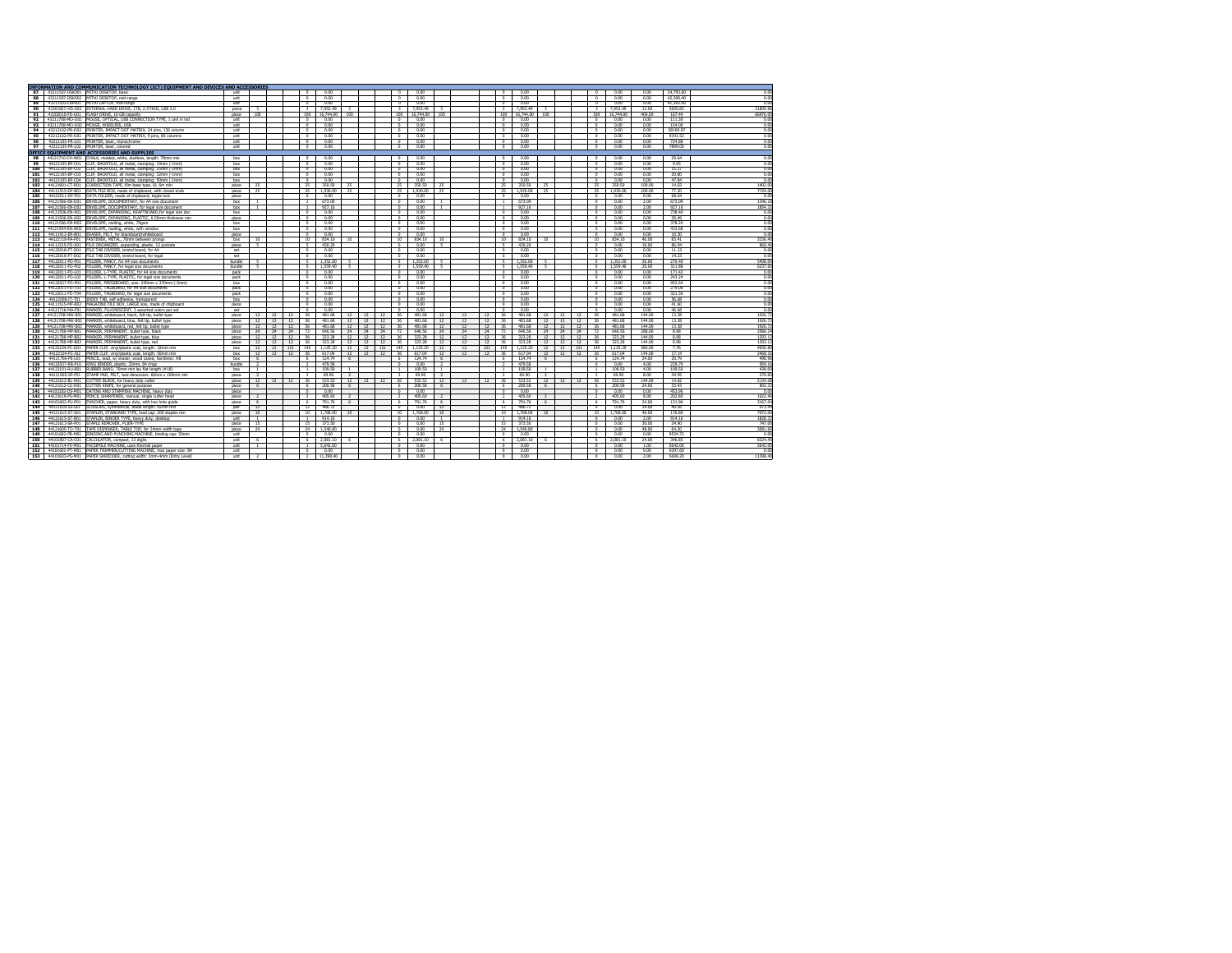|            |                 | INFORMATION AND COMMUNICATION TECHNOLOGY (ICT) EOUIPMENT AND DEVICES AND ACCESSORIES                                              |                |                 |                   |          |                          |                      |                |          |          |                         |                  |                          |          |     |                |                  |                |               |          |                          |                  |                  |                   |                            |
|------------|-----------------|-----------------------------------------------------------------------------------------------------------------------------------|----------------|-----------------|-------------------|----------|--------------------------|----------------------|----------------|----------|----------|-------------------------|------------------|--------------------------|----------|-----|----------------|------------------|----------------|---------------|----------|--------------------------|------------------|------------------|-------------------|----------------------------|
| 87         |                 | 43211507-DSK001 MITHI DESKTOP, basic                                                                                              | unit           |                 |                   |          | $\Omega$                 | 0.00                 |                |          |          | $\Omega$                | 0.00             |                          |          |     |                | 0.00             |                |               |          |                          | 0.00             | 0.00             | 24,793.60         | 0.00                       |
| 88         |                 | 43211507-DSK002 MITHI DESKTOP, mid-range                                                                                          | unit           |                 |                   |          | $\Omega$                 | 0.00                 |                |          |          | $\Omega$                | 0.00             |                          |          |     | $\Omega$       | 0.00             |                |               |          | $\sim$                   | 0.00             | 0.00             | 42.390.40         | 0.00                       |
| 89         | 43211503-LAP001 | MITHI LAPTOP, mid-range                                                                                                           | unit           |                 |                   |          | $\Omega$                 | 0.00                 |                |          |          | $^{\circ}$              | 0.00             |                          |          |     | $\Omega$       | 0.00             |                |               |          | $\Omega$                 | 0.00             | 0.00             | 41.392.00         | 0 <sup>0<sup>o</sup></sup> |
| 90         |                 | 43201827-HD-X02 EXTERNAL HARD DRIVE, 1TB, 2.5"HDD, USB 3.0                                                                        | piece          |                 |                   |          | $\mathcal{R}$            | 7,952.49             |                |          |          | $\overline{\mathbf{a}}$ | 7,952.49         |                          |          |     | $\mathbf{R}$   | 7.952.49         |                |               |          | $\mathbf{R}$             | 7.952.49         | 12.00            | 2650.83           | 31809.96                   |
| 91         |                 | 43202010-FD-U01 FLASH DRIVE, 16 GB capacity                                                                                       | niece          | 100             |                   |          |                          | 100 16,744.00        | 100            |          |          | 100                     | 16,744.00        | 100                      |          |     | 100            | 16,744.00        | 100            |               |          | 100                      | 16.744.00        | 400.00           | 167.44            | 66976.00                   |
| 92         |                 | 43211708-MO-O01 MOUSE, OPTICAL, USB CONNECTION TYPE, 1 unit in ind                                                                | unit           |                 |                   |          | $\Omega$                 | 0.00                 |                |          |          | $\Omega$                | 0.00             |                          |          |     |                | 0.00             |                |               |          | $\Omega$                 | 0.00             | 0.00             | 111.30            | 0.00                       |
| 93         |                 | 43211708-MO-O02 MOUSE, WIRELESS, USB                                                                                              | unit           |                 |                   |          | $\Omega$                 | 0.00                 |                |          |          | $\Omega$                | 0.00             |                          |          |     | $\sim$         | 0.00             |                |               |          | $\Omega$                 | 0.00             | 0.00             | 154.00            | n no                       |
| 94         |                 | 43212102-PR-D02 PRINTER, IMPACT DOT MATRIX, 24 pins, 136 column                                                                   | unit           |                 |                   |          | $\Omega$                 | 0.00                 |                |          |          | $\Omega$                | 0.00             |                          |          |     |                | 0.00             |                |               |          |                          | 0.00             | 0.00             | 38100.97          | 0.00                       |
| 95         |                 | 43212102-PR-D01 PRINTER, IMPACT DOT MATRIX, 9 pins, 80 columns                                                                    | unit           |                 |                   |          | $\Omega$                 | 0.00                 |                |          |          | $\Omega$                | 0.00             |                          |          |     | $\Omega$       | 0.00             |                |               |          | $\Omega$                 | 0.00             | 0.00             | 9191.52           | 0.00                       |
| 96         |                 | 43212105-PR-L01 PRINTER, laser, monochrome                                                                                        | unit           |                 |                   |          | $\Omega$                 | 0.00                 |                |          |          | $^{\circ}$              | 0.00             |                          |          |     | $\Omega$       | 0.00             |                |               |          | $\Omega$                 | 0.00             | 0.00             | 724.88            | 0.00                       |
| 97         |                 | 43212105-PR-L02 PRINTER, laser, colored                                                                                           | unit           |                 |                   |          | $\Omega$                 | 0.00                 |                |          |          | $\sim$                  | 0.00             |                          |          |     | $\Omega$       | 0.00             |                |               |          | $\Omega$                 | 0.00             | 0.00             | 7899.00           | 0.00                       |
|            |                 | OFFICE EQUIPMENT AND ACCESSORIES AND SUPPLIES                                                                                     |                |                 |                   |          |                          |                      |                |          |          |                         |                  |                          |          |     |                |                  |                |               |          |                          |                  |                  |                   |                            |
| 98         |                 | 44121710-CH-W01 CHALK, molded, white, dustless, length; 78mm min                                                                  | box            |                 |                   |          | $\overline{a}$           | 0.00                 |                |          |          | $^{\circ}$              | 0.00             |                          |          |     | $\Omega$       | 0.00             |                |               |          | $\overline{ }$           | 0.00             | 0.00             | 29.64             | 0.00                       |
| 99         |                 | 44122105-BF-C01 CLIP, BACKFOLD, all metal, damping: 19mm (-1mm)                                                                   | box            |                 |                   |          | $\Omega$                 | 0.00                 |                |          |          | $\Omega$                | 0.00             |                          |          |     | $\Omega$       | 0.00             |                |               |          | $\Omega$                 | 0.00             | 0.00             | 9.05              | 0.00                       |
| 100        |                 | 44122105-BF-C02 CLIP, BACKFOLD, all metal, damping: 25mm (-1mm)                                                                   | box            |                 |                   |          | $\Omega$                 | 0.00                 |                |          |          | $^{\circ}$              | 0.00             |                          |          |     | $\Omega$       | 0.00             |                |               |          | $\Omega$                 | 0.00             | 0.00             | 15.27             | 0.00                       |
| 101        |                 | 44122105-BF-C03 CLIP, BACKFOLD, all metal, damping: 32mm (-1mm)                                                                   | box            |                 |                   |          | $\Omega$                 | 0.00                 |                |          |          | $\Omega$                | 0.00             |                          |          |     |                | 0.00             |                |               |          | $\Omega$                 | 0.00             | 0.00             | 20.80             | 0.00                       |
| 102        |                 | 44122105-BF-C04 CLIP, BACKFOLD, all metal, clamping: 50mm (-1mm)                                                                  | box            |                 |                   |          | $^{\circ}$               | 0.00                 |                |          |          | $^{\circ}$              | 0.00             |                          |          |     | $\Omega$       | 0.00             |                |               |          | $^{\circ}$               | 0.00             | 0.00             | 47.84             | 0.00                       |
| 103        |                 | 44121801-CT-R01 CORRECTION TAPE, film base type, UL 6m min                                                                        | piece          | 25              |                   |          | 25                       | 350.50               | 25             |          |          | 25                      | 350.50           | 25                       |          |     | 25             | 350.50           | $25 -$         |               |          | 25                       | 350.50           | 100.00           | 14.02             | 1402.00                    |
| 104        |                 | 44111515-DF-B01 DATA FILE BOX, made of chipboard, with closed ends                                                                | piece          | 25              |                   |          | 25                       | 1,930.00             | 25             |          |          | 25                      | 1,930.00         | 25                       |          |     | 25             | 1.930.00         | 25             |               |          | 25                       | 1.930.00         | 100.00           | 77.20             | 7720.00                    |
| 105        |                 | 44122011-DF-F01 DATA FOLDER, made of chipboard, taglia lock                                                                       | niece          |                 |                   |          | $\Omega$                 | 0.00                 |                |          |          | $^{\circ}$              | 0.00             |                          |          |     | $^{\circ}$     | 0.00             |                |               |          | $\Omega$                 | 0.00             | 0.00             | 68.64             | 0.00                       |
| 106        |                 | 44121506-EN-D01 ENVELOPE, DOCUMENTARY, for A4 size document                                                                       | box            |                 |                   |          |                          | 673.09               |                |          |          | $^{\circ}$              | 0.00             |                          |          |     |                | 673.09           |                |               |          | $\Omega$                 | 0.00             | 2.00             | 673.09            | 1346.18                    |
| 107        |                 | 44121506-EN-D02 ENVELOPE, DOCUMENTARY, for legal size document                                                                    | box            |                 |                   |          |                          | 927 16               |                |          |          | $\Omega$                | 0.00             |                          |          |     |                | 927 16           |                |               |          | $\Omega$                 | 0.00             | 200              | 977 16            | 1854 32                    |
| 108        | 44121506-FN-X01 | ENVELOPE, EXPANDING, KRAFTBOARD, for legal size dog                                                                               | box            |                 |                   |          | $\Omega$                 | 0.00                 |                |          |          | $\Omega$                | 0.00             |                          |          |     |                | 0.00             |                |               |          |                          | 0.00             | 0.00             | 738.40            | 0.00                       |
| 109        |                 | 44121506-EN-X02 ENVELOPE, EXPANDING, PLASTIC, 0.50mm thickness min                                                                | piece          |                 |                   |          | $\Omega$                 | 0.00                 |                |          |          | $\Omega$                | 0.00             |                          |          |     | $\Omega$       | 0.00             |                |               |          | $\Omega$                 | 0.00             | 0.00             | 30.49             | 0.00                       |
| 110        |                 | 44121506-EN-M02 ENVELOPE, mailing, white, 70gsm                                                                                   | box            |                 |                   |          | $\Omega$                 | 0.00                 |                |          |          | $\Omega$                | 0.00             |                          |          |     | $\Omega$       | 0.00             |                |               |          | $\sim$                   | 0.00             | 0.00             | 378.20            | 00                         |
| 111        |                 | 44121504-EN-W02 ENVELOPE, mailing, white, with window                                                                             | box            |                 |                   |          | $\Omega$                 | 0.00                 |                |          |          | $\Omega$                | 0.00             |                          |          |     | $\Omega$       | 0.00             |                |               |          |                          | 0.00             | 0.00             | 433.68            | 0.00                       |
| 112        |                 | 44111912-ER-B01 ERASER, FELT, for blackboard/whiteboard                                                                           | piece          |                 |                   |          | $\Omega$                 | 0.00                 |                |          |          | $\Omega$                | 0.00             |                          |          |     | $\Omega$       | 0.00             |                |               |          | $\Omega$                 | 0.00             | 0.00             | 10.30             | 0.00                       |
| 113        |                 | 44122118-FA-P01 FASTENER, METAL, 70mm between prongs                                                                              | box            | 10              |                   |          | 10                       | 834.10               | 10             |          |          | 10                      | 834.10           | 10                       |          |     | 10             | 834.10           | 10             |               |          | 10                       | 834.10           | 40.00            | 83.41             | 3336.40                    |
| 114        |                 | 44111515-FO-X01 FILE ORGANIZER, expanding, plastic, 12 pockets                                                                    | niece          | $\sim$          |                   |          | $\sim$                   | 43020                |                |          |          | $\Omega$                | 0.00             | $\epsilon$               |          |     |                | 430.20           |                |               |          | $\Omega$                 | 0.00             | 10.00            | <b>86.04</b>      | 860 40                     |
| 115        |                 | 44122018-FT-D01 FILE TAB DIVIDER, bristol board, for A4                                                                           | set            |                 |                   |          | $\Omega$                 | 0.00                 |                |          |          | $\overline{a}$          | 0.00             |                          |          |     | $\Omega$       | 0.00             |                |               |          | $\overline{0}$           | 0.00             | 0.00             | 11.13             | 0.00                       |
| 116        |                 | 44122018-FT-D02 FILE TAB DIVIDER, bristol board, for legal                                                                        | set            |                 |                   |          | $\Omega$                 | 0.00                 |                |          |          | $\Omega$                | 0.00             |                          |          |     | $\Omega$       | 0.00             |                |               |          | $\Omega$                 | 0.00             | 0.00             | 14.23             | 0.00                       |
| 117        |                 | 44122011-FO-F01 FOLDER, FANCY, for A4 size documents                                                                              | bundle         | л.              |                   |          | $\sim$                   | 1.352.00             |                |          |          | $\sim$                  | 1352.00          |                          |          |     | $\sim$         | 1,352,00         |                |               |          | $\sim$                   | 1352.00          | 20.00            | 270.40            | S408.00                    |
| 118        |                 | 44122011-FO-F02 FOLDER, FANCY, for legal size documents                                                                           | bundle         |                 |                   |          | $\sim$                   | 1.559.40             |                |          |          | $\sim$                  | 1,559.40         |                          |          |     |                | 1.559.40         |                |               |          |                          | 1,559.40         | 20.00            | 311.88            | 6237.60                    |
| 119        |                 | 44122011-FO-L01 FOLDER, L-TYPE, PLASTIC, for A4 size documents                                                                    | nack           |                 |                   |          | $\Omega$                 | 0.00                 |                |          |          | $\Omega$                | 0.00             |                          |          |     | $\Omega$       | 0.00             |                |               |          | $\Omega$                 | 0.00             | 0.00             | 171.43            | 0.00                       |
|            |                 | 120 44122011-FO-L02 FOLDER, L-TYPE, PLASTIC, for legal size documents                                                             | pack           |                 |                   |          | $^{\circ}$               | 0.00                 |                |          |          | $^{\circ}$              | 0.00             |                          |          |     | $\Omega$       | 0.00             |                |               |          | $^{\circ}$               | 0.00             | 0.00             | 243.24            | 0.00                       |
| 121        |                 | 44122027-FO-P01 FOLDER, PRESSBOARD, size: 240mm x 370mm (-5mm)                                                                    | box            |                 |                   |          | $\circ$                  | 0.00                 |                |          |          | $^{\circ}$              | 0.00             |                          |          |     | $\Omega$       | 0.00             |                |               |          | $\sim$                   | 0.00             | 0.00             | 952.64            | 0.00                       |
|            |                 | 122 44122011-FO-T03 FOLDER, TAGBOARD, for A4 size documents                                                                       | pack           |                 |                   |          | $\circ$                  | 0.00                 |                |          |          | $^{\circ}$              | 0.00             |                          |          |     | $\Omega$       | 0.00             |                |               |          | $\Omega$                 | 0.00             | 0.00             | 279.00            | 0.00                       |
| 123        |                 | 44122011-FO-T04 FOLDER, TAGBOARD, for legal size documents                                                                        | pack           |                 |                   |          | $\circ$                  | 0.00                 |                |          |          | $^{\circ}$              | 0.00             |                          |          |     | $\Omega$       | 0.00             |                |               |          | $^{\circ}$               | 0.00             | 0.00             | 321.36            | 0.00                       |
| 124        |                 | 44122008-IT-T01 INDEX TAB, self-adhesive, transparent                                                                             | box            |                 |                   |          | $\Omega$                 | 0.00                 |                |          |          | $\circ$                 | 0.00             |                          |          |     | $\Omega$       | 0.00             |                |               |          | $\Omega$                 | 0.00             | 0.00             | 56.68             | 0.00                       |
| 125        |                 | 44111515-MF-B02 MAGAZINE FILE BOX, LARGE size, made of chipboard                                                                  | piece          |                 |                   |          | $\Omega$                 | 0.00                 |                |          |          | $^{\circ}$              | 0.00             |                          |          |     |                | 0.00             |                |               |          | $\Omega$                 | 0.00             | 0.00             | 41.60             | 0.00                       |
| 126<br>127 | 44121708-MW-B01 | 44121716-MA-F01 MARKER, FLUORESCENT, 3 assorted colors per set<br>MARKER, whiteboard, black, felt tip, builet type                | set<br>piece   | 12              | 12                | 12       | $\Omega$<br>36           | 0.00<br>481.68       | 12             | 12       | 12       | $\Omega$<br>36          | 0.00<br>481.68   | 12                       | 12       | 12  | 36             | 0.00<br>481.68   | 12             | 12            |          | $\Omega$<br>36           | 0.00<br>481.68   | 0.00<br>144.00   | 46.68<br>13.38    | 0.00<br>1926.72            |
|            |                 |                                                                                                                                   |                | 12 <sup>°</sup> |                   |          |                          |                      |                |          |          |                         |                  |                          |          | 12  |                | 481 68           |                |               | 12       | 36                       |                  |                  |                   |                            |
| 128<br>129 |                 | 44121708-MW-B02 MARKER, whiteboard, blue, felt tip, bullet type<br>44121708-MW-B03 MARKER, whiteboard, red, felt tip, bullet type | piece<br>niece | 12              | 12<br>12          | 12<br>12 | 36<br>36                 | 481.68<br>491.69     | 12<br>12       | 12<br>12 | 12<br>12 | 36<br>36                | 481.68<br>481.68 | 12<br>12                 | 12<br>12 | 12  | 36<br>36       | 481.68           | 12<br>12       | 12<br>12      | 12<br>12 | 26.                      | 481.68<br>481.68 | 144.00<br>144.00 | 13.38<br>13.38    | 1926.72<br>1926.72         |
| 130        |                 | 44121708-MP-B01 MARKER, PERMANENT, builet type, black                                                                             | piece          | 24              | 24                | 24       | 72                       | 646.56               | 24             | 24       | 24       | 72                      | 646.56           | 24                       | 24       | 24  | 72             | 646.56           | 24             | 24            | 24       | 72                       | 646.56           | 288.00           | 8.98              | 2586.24                    |
| 131        |                 | 44121708-MP-B02 MARKER, PERMANENT, bullet type, blue                                                                              | piece          | 12              | 12                | 12       | $36 -$                   | 323.28               | 12             | 12       | 12       | 36                      | 323.28           | 12                       | 12       | 12  | 36             | 323.28           |                | $12 \t 12$    | 12       | 36                       | 323.28           | 144.00           | 8.98              | 1293.12                    |
| 132        |                 | 44121708-MP-B03 MARKER, PERMANENT, builet type, red                                                                               | niece          | 12              | $12 \overline{ }$ | 12       | 36                       | 323.28               | 12             | 12       | 12       | 36                      | 323.28           | 12                       | 12       | 12  | 36             | 323.28           | 12             | 12            | 12       | 36                       | 323.78           | 144.00           | 8.98              | 1293.12                    |
| 133        |                 | 44122104-PC-G01 PAPER CLIP, vinyl/plastic coat, length: 32mm min                                                                  | box            | 12              | 12                | 121      | 145                      | 1.125.20             | 12             | 12       | 121      | 145                     | 1.125.20         | 12                       | 12       | 121 | 145            | 1.125.20         | 12             | 12            | 121      | 145                      | 1.125.20         | 580.00           | 776               | 4500.80                    |
| 134        |                 | 44122104-PC-J02 PAPER CLIP, virwi/plastic coat, length; 50mm min                                                                  | box            | 12              | 12                | 12       | 36                       | 617.04               | 12             | 12       | 12       | 36                      | 617.04           | 12                       | 12       | 12  | 36             | 617.04           | 12             | 12            | 12       | 36                       | 617.04           | 144.00           | 17.14             | 2468.16                    |
| 135        |                 | 44121706-PE-L01 PENCIL, lead, w/ eraser, wood cased, hardness: HE                                                                 | bax            |                 |                   |          | 6.                       | 124.74               | 6              |          |          | 6                       | 124.74           | -6                       |          |     |                | 124.74           | $\mathbf{r}$   |               |          |                          | 124.74           | 24.00            | 20.79             | 498.96                     |
| 136        |                 | 44122037-RB-P10 RING BINDER, plastic, 32mm, 84 rings                                                                              | bundle         | $\overline{2}$  |                   |          | $\overline{ }$           | 479.58               |                |          |          | $^{\circ}$              | 0.00             | $\overline{z}$           |          |     | $\overline{z}$ | 479.58           |                |               |          | $\Omega$                 | 0.00             | 400              | 239.79            | 959.16                     |
| 137        |                 | 44122101-RU-B01 RUBBER BAND, 70mm min lay flat length (#18)                                                                       | how            | $\mathbf{1}$    |                   |          | л.                       | 109.50               | $\mathbf{1}$   |          |          | $\mathbf{1}$            | 109.50           | -1                       |          |     |                | 109.50           |                |               |          | $\mathbf{1}$             | 109.50           | 4.00             | 109.50            | 438.00                     |
| 138        |                 | 44121905-SP-F01 STAMP PAD, FELT, bed dimension: 60mm x 100mm min                                                                  | piece          | $\overline{2}$  |                   |          | $\overline{\phantom{a}}$ | 69.90                | $\overline{2}$ |          |          | $\overline{2}$          | 69.90            | $\overline{\phantom{a}}$ |          |     |                | 69.90            | $\overline{ }$ |               |          | $\overline{\phantom{a}}$ | 69.90            | 8.00             | 34.95             | 279.60                     |
| 139        |                 | 44121612-BL-H01 CUTTER BLADE, for heavy duty cutter                                                                               | piece          | 12              | 12                | 12       | $36 -$                   | 533.52               | 12             | 12       | 12       | 36                      | 533,52           | 12                       | 12       | 12  | 36             | 533.52           | <sup>12</sup>  | $\frac{1}{2}$ | 12       | 36                       | 533.52           | 144.00           | 14.87             | 2134.08                    |
| 140        | 44121612-CU-H01 | CUTTER KNIFE, for general purpose                                                                                                 | piece          |                 |                   |          |                          | 200.58               | 6              |          |          | $\overline{a}$          | 200.58           | $\overline{6}$           |          |     |                | 200.58           | $\epsilon$     |               |          |                          | 200.58           | 24.00            | 33.43             | 802.32                     |
| 141        |                 | 44103202-DS-M01 DATING AND STAMPING MACHINE, heavy duty                                                                           | piece          |                 |                   |          | $^{\circ}$               | 0.00                 |                |          |          | $^{\circ}$              | 0.00             |                          |          |     | $^{\circ}$     | 0.00             |                |               |          | $\Omega$                 | 0.00             | 0.00             | 453.96            | 0.00                       |
|            |                 | 142 44121619-PS-M01 PENCIL SHARPENER, manual, single cutter head                                                                  | piece          | $\overline{2}$  |                   |          | $\mathcal{P}$            | 405.60               | $\overline{z}$ |          |          | $\overline{2}$          | 405.60           | $\rightarrow$            |          |     | $\overline{z}$ | 405.60           | $\overline{2}$ |               |          | $\overline{2}$           | 405.60           | 8.00             | 202.80            | 1622.40                    |
| 143        |                 | 44101602-PU-P01 PUNCHER, paper, heavy duty, with two hole guide                                                                   | piece          | $\sim$          |                   |          | 6                        | 791.76               | 6              |          |          | -6                      | 791.76           | -6                       |          |     | 6              | 791.76           | $\mathbf{r}$   |               |          | f.                       | 791.76           | 24.00            | 131.96            | 3167.04                    |
| 144        |                 | 44121618-SS-S01 SCISSORS, symmetrical, blade length; 65mm min                                                                     | nair           | 12              |                   |          | 12                       | 486.72               |                |          |          | $\Omega$                | 0.00             | 12                       |          |     | 12             | 486.72           |                |               |          | $\Omega$                 | 0.00             | 24.00            | 40.56             | 973.44                     |
| 145        |                 | 44121615-ST-S01 STAPLER, STANDARD TYPE, load cap: 200 staples min                                                                 | niece          | 10              |                   |          | 10                       | 1,768.00             | 10             |          |          | 10                      | 1,768.00         | 10                       |          |     | 10             | 1,768.00         | 10             |               |          | 10                       | 1768.00          | 40.00            | 176,80            | 7072.00                    |
| 146        |                 | 44121615-ST-B01 STAPLER, BINDER TYPE, heavy duty, desktop                                                                         | unit           | $\sim$          |                   |          |                          | 914.16               |                |          |          | $^{\circ}$              | 0.00             | $\mathbf{r}$             |          |     |                | 914.16           |                |               |          | $\Omega$                 | 0.00             | 2.00             | 914.16            | 1828.32                    |
| 147        | 44121613-SR-P01 | STAPLE REMOVER, PLIER-TYPE                                                                                                        | niece          | 15              |                   |          | 15                       | 373.50               |                |          |          | $\Omega$                | 0.00             | 15                       |          |     | 15             | 373.50           |                |               |          |                          | 0.00             | 30.00            | 24.90             | 747 OF                     |
| 148        |                 | 44121605-TD-T01 TAPE DISPENSER, TABLE TOP, for 24mm width tape                                                                    | <b>niece</b>   | 24              |                   |          | 24                       | 1,540.80             |                |          |          | $\Omega$                | 0.00             | 24                       |          |     | 24             | 1.540,80         |                |               |          | $\Omega$                 | 0.00             | 48.00            | 64.20             | 3081 FC                    |
| 149        |                 | 44101602-PB-M01 BINDING AND PUNCHING MACHINE, binding cap; 50mm                                                                   | unit           | $\epsilon$      |                   |          | $\Omega$<br>$\epsilon$   | 0.00                 |                |          |          | $\Omega$                | 0.00             |                          |          |     | $\sim$         | 0.00             |                |               |          | $\Omega$                 | 0.00             | 0.00             | 9534.72           | n no                       |
| 150<br>151 |                 | 44101807-CA-C01 CALCULATOR, compact, 12 digits<br>44101714-FX-M01 FACSIMILE MACHINE, uses thermal paper                           | unit           | $\mathbf{1}$    |                   |          |                          | 2.081.10<br>5,642.00 |                |          |          | 6<br>$\Omega$           | 2.081.10<br>0.00 |                          |          |     | $\Omega$       | 2.081.10<br>0.00 |                |               |          | $\Omega$                 | 2.081.10<br>0.00 | 24.00<br>100     | 346.85<br>5642.00 | 8324.40<br>S642.00         |
| 152        |                 | 44101601-PT-M01 PAPER TRIMMER/CUTTING MACHINE, max paper size: B4                                                                 | unit<br>unit   |                 |                   |          | $\circ$                  | 0.00                 |                |          |          | $^{\circ}$              | 0.00             |                          |          |     | $\Omega$       | 0.00             |                |               |          | $\Omega$                 | 0.00             | 0.00             | 9297.60           | 0.00                       |
| 153        |                 | 44101603-PS-M01 PAPER SHREDDER, cutting width: 3mm-4mm (Entry Level)                                                              | unit           | $\overline{2}$  |                   |          | $\overline{2}$           | 11,398.40            |                |          |          |                         | 0.00             |                          |          |     |                | 0.00             |                |               |          | $\Omega$                 | 0.00             | 2.00             | 5699.20           | 11398.40                   |
|            |                 |                                                                                                                                   |                |                 |                   |          |                          |                      |                |          |          | $^{\circ}$              |                  |                          |          |     | $^{\circ}$     |                  |                |               |          |                          |                  |                  |                   |                            |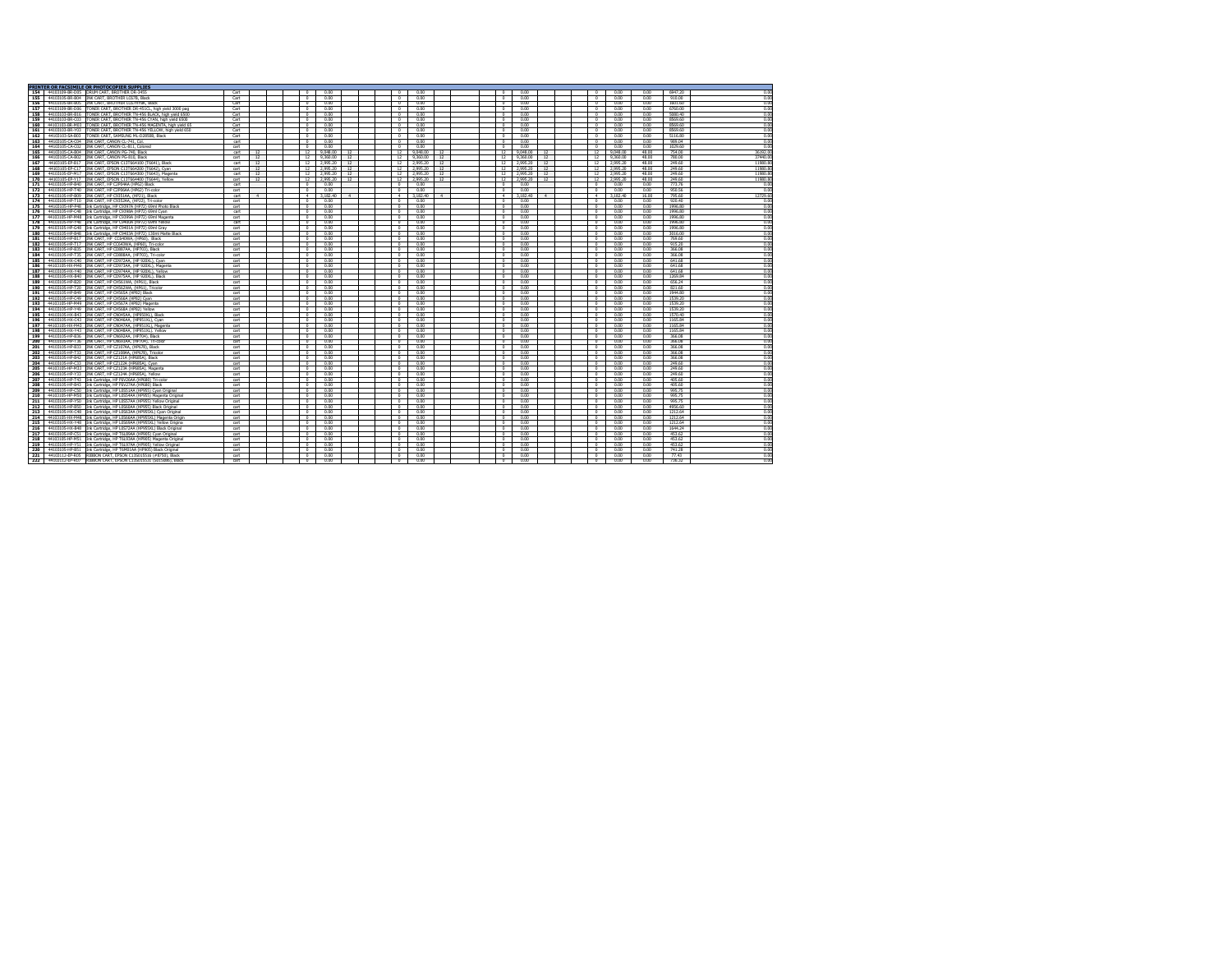|     | PRINTER OR FACSIMILE OR PHOTOCOPIER SUPPLIE:                         |                  |           |  |                 |             |        |                 |          |               |                 |          |                  |                |          |       |               |          |
|-----|----------------------------------------------------------------------|------------------|-----------|--|-----------------|-------------|--------|-----------------|----------|---------------|-----------------|----------|------------------|----------------|----------|-------|---------------|----------|
|     | 154 44103109-BR-D05 DRUM CART, BROTHER DR-3455                       | Cart             |           |  |                 | 0.00        |        |                 | 0.00     |               | $\Omega$        | 0.00     |                  |                | 0.00     | 0.00  | 6947.20       | 0.00     |
| 155 | 44103105-RR-R04 INK CART RROTHER LCG2R RIack                         | Cart             |           |  | $\Omega$        | 0.00        |        | $\Omega$        | 0.00     |               | $\overline{a}$  | 0.00     |                  | $\sim$         | 0.00     | 0.00  | 910.00        | 000      |
| 156 | 44103105-BR-B05 IINK CART, BROTHER LC67HYBK, Black                   | Cart             |           |  | $\Omega$        | 0.00        |        | $\Omega$        | 0.00     |               | $\Omega$        | 0.00     |                  | $\Omega$       | 0.00     | 0.00  | 1601.60       | 0.00     |
| 157 | 44103109-BR-D06 TONER CART, BROTHER DR-451CL, high vield 3000 pag    | Cart             |           |  | $\Omega$        | 0.00        |        | $\Omega$        | 0.00     |               | $^{\circ}$      | 0.00     |                  | $\sqrt{2}$     | 0.00     | 0.00  | 6760.00       | 0.00     |
| 158 | 44103103-BR-B16<br>TONER CART, BROTHER TN-456 BLACK, high vield 6500 | Cart             |           |  | $\Omega$        | 0.00        |        |                 | 0.00     |               | $\Omega$        | 0.00     |                  |                | 0.00     | 0.00  | 5080.40       | 0.00     |
| 159 | 44103103-BR-C03 TONER CART, BROTHER TN-456 CYAN, high yield 6500     | Cart             |           |  | $\Omega$        | 0.00        |        | $\Omega$        | 0.00     |               | $\Omega$        | 0.00     |                  | $\sqrt{2}$     | 0.00     | 0.00  | 8569.60       | 0.00     |
| 160 | 44103103-BR-M03 TONER CART, BROTHER TN-456 MAGENTA, high vield 65    | Cart             |           |  | $^{\circ}$      | 0.00        |        | $\Omega$        | 0.00     |               | $^{\circ}$      | 0.00     |                  | $\sim$         | 0.00     | 0.00  | 8569.60       | 0.00     |
| 161 | 44103103-BR-Y03<br>TONER CART, BROTHER TN-456 YELLOW, high vield 650 | Cart             |           |  | $\Omega$        | 0.00        |        | $\Omega$        | 0.00     |               | $\Omega$        | 0.00     |                  | $\sim$         | 0.00     | 0.00  | 8569.60       | 0.00     |
| 162 | 44103103-SA-B03 TONER CART, SAMSUNG ML-D2850B, Black                 | Cart             |           |  | $\Omega$        | 0.00        |        | $\Omega$        | 0.00     |               | $\Omega$        | 0.00     |                  | $\theta$       | 0.00     | 0.00  | 5116.80       | 0.00     |
|     |                                                                      |                  |           |  |                 |             |        |                 |          |               |                 |          |                  |                |          |       |               |          |
| 163 | 44103105-CA-CD4 INK CART, CANON CL-741, Col.                         | cart             |           |  | $\Omega$        | 0.00        |        | $\Omega$        | 0.00     |               | $\Omega$        | 0.00     |                  | $\theta$       | 0.00     | 0.00  | 989.04        | 0.00     |
| 164 | 44103105-CA-C02 IINK CART, CANON CL-811, Colored                     | cart             |           |  | $^{\circ}$      | 0.00        |        | $^{\circ}$      | 0.00     |               | $^{\circ}$      | 0.00     |                  | $\sqrt{2}$     | 0.00     | 0.00  | 1029.60       | 0.00     |
| 165 | 44103105-CA-B04<br>INK CART, CANON PG-740, Black                     | cart             | 12        |  | 12 <sup>2</sup> | 9.048.00    | 12     | 12              | 9.048.00 | 12            | $\overline{12}$ | 9,048.00 | 12 <sup>2</sup>  | 12             | 9.048.00 | 48.00 | 754.00        | 36192.00 |
| 166 | 44103105-CA-B02 INK CART, CANON PG-810, Black                        | cart             | 12        |  |                 | 12 9.360.00 | 12     | $\overline{12}$ | 9.360.00 | 12            | 12              | 9,360.00 | 12               | $_{12}$        | 9,360.00 | 48.00 | 780.00        | 37440.00 |
| 167 | 44103105-EP-B17 IINK CART, EPSON C13T664100 (T6641), Black           | cart             | 12        |  | 12              | 2.995.20    | 12     | 12              | 2.995.20 | 12            | 12              | 2,995.20 | 12               | 12             | 2.995.20 | 48.00 | 249.60        | 11980.80 |
| 168 | 44103105-EP-C17 INK CART, EPSON C13T664200 (T6642), Cyan             | cart.            | 12        |  | 12              | 2,995.20    | 12     | 12              | 2.995.20 | 12            | 12              | 2.995.20 | 12 <sub>12</sub> | 12             | 2.995.20 | 48.00 | 249 60        | 11980.80 |
| 169 | 44103105-FP-M17 INK CART FPSON C13T664300 (T6643) Magents            | cart             | 12        |  |                 | 12 299520   | 12     | 12              | 2.995.20 | 12            | 12              | 2.995.20 | 12               | 12             | 2.995.20 | 49.00 | <b>249.60</b> | 11980.80 |
| 170 | 44103105-EP-Y17 IINK CART, EPSON C13T664400 (T6644), Yellow          | cart             | 12        |  |                 | 12 2.995.20 | 12     | 12              | 2.995.20 | 12            | 12              | 2.995.20 | 12               | 12             | 2.995.20 | 48.00 | 249.60        | 11980.80 |
| 171 | 44103105-HP-B40 IINK CART, HP C2P04AA (HP62) Black                   | cart             |           |  | $\Omega$        | 0.00        |        | $\Omega$        | 0.00     |               | $\Omega$        | 0.00     |                  | $\sim$         | 0.00     | 0.00  | 773.76        | 0.00     |
| 172 | 44103105-HP-T40 INK CART, HP C2P06AA (HP62) Tri-color                | cart             |           |  | $\sim$          | 0.00        |        | $\sim$          | 0.00     |               | $\Omega$        | 0.00     |                  |                | 0.00     | 0.00  | 950.56        | 0.00     |
| 173 | 44103105-HP-B09 INK CART, HP C9351AA, (HP21), Black                  | cart             | $\Lambda$ |  | $\mathbf{A}$    | 3 182 40    | $\sim$ | $\mathbf{A}$    | 3 182 40 | $\mathcal{A}$ | $-4$            | 3 182 40 | $\mathbf{A}$     | $\mathbf{A}$   | 2.192.40 | 16.00 | 795.60        | 12729.60 |
| 174 | 44103105-HP-T10 IINK CART, HP C9352AA, (HP22), Tri-color             | cart             |           |  | $^{\circ}$      | 0.00        |        | $\Omega$        | 0.00     |               | $\Omega$        | 0.00     |                  | $^{\circ}$     | 0.00     | 0.00  | 920.40        | 0.00     |
| 175 | 44103105-HP-P48 IInk Cartridge, HP C9397A (HP72) 69ml Photo Black    | <b>art</b>       |           |  |                 | 0.00        |        |                 |          |               |                 | 0.00     |                  | $\Omega$       | 0.00     | 0.00  | 1996.80       | 0.00     |
|     |                                                                      |                  |           |  | $^{\circ}$      |             |        | $^{\circ}$      | 0.00     |               | $^{\circ}$      |          |                  |                |          |       |               |          |
| 176 | 44103105-HP-C48 Ink Cartridge, HP C9398A (HP72) 69ml Cyan            | cart             |           |  | $\Omega$        | 0.00        |        | $\sim$          | 0.00     |               | $\sim$          | 0.00     |                  | $\sim$         | 0.00     | 0.00  | 1996.80       | 000      |
| 177 | 44103105-HP-M48 Ink Cartridge, HP C9399A (HP72) 69ml Magenta         | cart             |           |  | $\Omega$        | 0.00        |        | $\overline{0}$  | 0.00     |               | $^{\circ}$      | 0.00     |                  | $\sqrt{2}$     | 0.00     | 0.00  | 1996.80       | 0.00     |
| 178 | 44103105-HP-Y48 IInk Cartridge, HP C9400A (HP72) 69ml Yellow         | cart             |           |  | $^{\circ}$      | 0.00        |        | $^{\circ}$      | 0.00     |               | $^{\circ}$      | 0.00     |                  | $\sim$         | 0.00     | 0.00  | 1996.80       | 0.00     |
| 179 | 44103105-HP-G48 Ink Cartridge, HP C9401A (HP72) 69ml Gray            | cart             |           |  | $\Omega$        | 0.00        |        | $\Omega$        | 0.00     |               | $\Omega$        | 0.00     |                  | $\sim$         | 0.00     | 0.00  | 1996.80       | 0.00     |
| 180 | 44103105-HP-B48 IInk Cartridge, HP C9403A (HP72) 130ml Matte Black   | cart             |           |  | $^{\circ}$      | 0.00        |        | $\sim$          | 0.00     |               | $\Omega$        | 0.00     |                  | $\sim$         | 0.00     | 0.00  | 3016.00       | 0.00     |
| 181 | 44103105-HP-B17 IINK CART, HP CC640WA, (HP60), Black                 | cart             |           |  | $\Omega$        | 0.00        |        | $\Omega$        | 0.00     |               | $\Omega$        | 0.00     |                  | $\Omega$       | 0.00     | 0.00  | 769.60        | 0.00     |
| 182 | 44103105-HP-T17 IINK CART, HP CC643WA, (HP60), Tri-color             | cart.            |           |  | $\Omega$        | 0.00        |        | $\Omega$        | 0.00     |               | $\Omega$        | 0.00     |                  | $\sqrt{2}$     | 0.00     | 0.00  | 915.20        | 0.00     |
| 183 | 44103105-HP-B35 INK CART, HP CD887AA, (HP703), Black                 | cart             |           |  | $\Omega$        | 0.00        |        | $\sim$          | 0.00     |               | $\Omega$        | 0.00     |                  | $\sim$         | 0.00     | 0.00  | 366.08        | 0.00     |
| 184 | 44103105-HP-T35 IINK CART, HP CD888AA, (HP703), Tri-colo             | cart             |           |  | $\Omega$        | 0.00        |        | $\Omega$        | 0.00     |               | $\Omega$        | 0.00     |                  |                | 0.00     | 0.00  | 366.08        | 0.00     |
| 185 | 44103105-HX-C40 IINK CART, HP CD972AA, (HP 920XL), Cvan              | cart             |           |  | $^{\circ}$      | 0.00        |        | $\Omega$        | 0.00     |               | $^{\circ}$      | 0.00     |                  | $\sim$         | 0.00     | 0.00  | 641.68        | 0.00     |
| 186 | 44103105-HX-M40 INK CART, HP CD973AA, (HP 920XL), Magenta            | cart             |           |  | $\Omega$        | 0.00        |        | $\Omega$        | 0.00     |               | $\Omega$        | 0.00     |                  | $\sim$         | 0.00     | 0.00  | 641.68        | 0.00     |
| 187 | 44103105-HX-Y40 IINK CART, HP CD974AA, (HP 920XL), Yellow            | cart             |           |  | $\Omega$        | 0.00        |        | $\sim$          | 0.00     |               | $\Omega$        | 0.00     |                  | $\sim$         | 0.00     | 0.00  | 641.68        | 0.00     |
| 188 | 44103105-HX-B40 IINK CART, HP CD975AA, (HP 920XL), Black             | cart             |           |  | $^{\circ}$      | 0.00        |        | $^{\circ}$      | 0.00     |               | $\Omega$        | 0.00     |                  | $\Omega$       | 0.00     | 0.00  | 1269.84       | 0.00     |
|     |                                                                      | $ext$            |           |  |                 |             |        | $\overline{ }$  | 000      |               | $\overline{0}$  |          |                  |                |          |       |               |          |
| 189 | 44103105-HP-B20 IINK CART, HP CH561WA, (HP61), Black                 |                  |           |  | $\Omega$        | 0.00        |        |                 |          |               |                 | 0.00     |                  | $\Omega$       | 0.00     | 0.00  | 656.24        | 0.00     |
|     | 190 44103105-HP-T20 INK CART, HP CH562WA, (HP61), Tricolor           | cart             |           |  | $\Omega$        | 0.00        |        | $\sim$          | 0.00     |               | $\Omega$        | 0.00     |                  | $\sim$         | 0.00     | 0.00  | 821.60        | 000      |
| 191 | 44103105-HP-B49 INK CART, HP CH565A (HP82) Black                     | cart             |           |  | $\Omega$        | 0.00        |        | $\Omega$        | 0.00     |               | $\Omega$        | 0.00     |                  | $\Omega$       | 0.00     | 0.00  | 1944.80       | 0.00     |
| 192 | 44103105-HP-C49 INK CART, HP CH566A (HP82) Cvan                      | cart             |           |  | $^{\circ}$      | 0.00        |        | $^{\circ}$      | 0.00     |               | $^{\circ}$      | 0.00     |                  | $^{\circ}$     | 0.00     | 0.00  | 1539.20       | 0.00     |
| 193 | 44103105-HP-M49 INK CART, HP CH567A (HP82) Magenta                   | $_{\text{cart}}$ |           |  | $^{\circ}$      | 0.00        |        | $\Omega$        | 0.00     |               | $\Omega$        | 0.00     |                  | $\sim$         | 0.00     | 0.00  | 1539.20       | 0.00     |
| 194 | 44103105-HP-Y49 IINK CART, HP CH568A (HP82) Yellow                   | cart             |           |  | $^{\circ}$      | 0.00        |        | $\Omega$        | 0.00     |               | $^{\circ}$      | 0.00     |                  | $^{\circ}$     | 0.00     | 0.00  | 1539.20       | 0.00     |
| 195 | 44103105-HX-B43 IINK CART, HP CN045AA, (HP950XL), Black              | cart             |           |  | $\Omega$        | 0.00        |        | $\Omega$        | 0.00     |               | $\Omega$        | 0.00     |                  | $\sim$         | 0.00     | 0.00  | 1570.40       | 0.00     |
| 196 | 44103105-HX-C43 IINK CART, HP CN046AA, (HP951XL), Cvan               | cart.            |           |  | $\Omega$        | 0.00        |        | $\Omega$        | 0.00     |               | $\Omega$        | 0.00     |                  | $\Omega$       | 0.00     | 0.00  | 1165.84       | 0.00     |
|     | 197 44103105-RX-M43 INK CART, HP CN047AA, (HP951XL), Magenta         | cart             |           |  | $\Omega$        | 0.00        |        | $\sim$          | 0.00     |               | $\circ$         | 0.00     |                  | $\theta$       | 0.00     | 0.00  | 1165.84       | 0.00     |
| 198 | 44103105-HX-Y43 INK CART, HP CN048AA, (HP951XL), Yellow              | cart             |           |  | $\Omega$        | 0.00        |        | $\Omega$        | 0.00     |               | $\Omega$        | 0.00     |                  |                | 0.00     | 0.00  | 1165.84       | 0.00     |
| 199 | 44103105-HP-B36 IINK CART, HP CN692AA, (HP704), Black                | cart             |           |  | $^{\circ}$      | 0.00        |        | $^{\circ}$      | 0.00     |               | $^{\circ}$      | 0.00     |                  | $\sim$         | 0.00     | 0.00  | 366.08        | 0.00     |
| 200 | 44103105-HP-T36 IINK CART, HP CN693AA, (HP704), Tri-color            | cart             |           |  | n               | 0.00        |        | $\overline{ }$  | non      |               | $\Omega$        | 0.00     |                  | $\overline{ }$ | 0.00     | 0.00  | 366.08        | 0.00     |
| 201 | 44103105-HP-R33 TNK CART HP C7107AA (HP678) Black                    | cart             |           |  | $\Omega$        | 0.00        |        | $\Omega$        | 0.00     |               | $\Omega$        | 0.00     |                  | $\sim$         | 0.00     | n nn  | 366.08        | 0.00     |
| 202 | 44103105-HP-T33 IINK CART, HP CZ108AA, (HP678), Tricolor             | cart             |           |  | $\Omega$        | 0.00        |        | $\Omega$        | 0.00     |               | $\Omega$        | 0.00     |                  |                | 0.00     | 0.00  | 366.08        | 0.00     |
| 203 | 44103105-HP-B42 INK CART, HP CZ121A (HP685A), Black                  | cart             |           |  | $\Omega$        | 0.00        |        | $\Omega$        | 0.00     |               | $\Omega$        | 0.00     |                  | $\Omega$       | 0.00     | 0.00  | 366.08        | 0.00     |
|     |                                                                      |                  |           |  |                 |             |        |                 |          |               |                 |          |                  | $\sim$         |          |       |               |          |
| 204 | 44103105-HP-C33 INK CART, HP CZ122A (HP685A), Cyan                   | cart             |           |  | $\Omega$        | 0.00        |        | $\sim$          | 0.00     |               | $^{\circ}$      | 0.00     |                  |                | 0.00     | 0.00  | 249.60        | 0.00     |
| 205 | 44103105-HP-M33 INK CART, HP CZ123A (HP685A), Magenta                | cart             |           |  | $\Omega$        | 0.00        |        | $^{\circ}$      | 0.00     |               | $^{\circ}$      | 0.00     |                  |                | 0.00     | 0.00  | 249.60        | 0.00     |
| 206 | 44103105-HP-Y33 INK CART, HP CZ124A (HP685A), Yellow                 | cart             |           |  | $\Omega$        | 0.00        |        | $\Omega$        | 0.00     |               | $\Omega$        | 0.00     |                  | $\sim$         | 0.00     | 0.00  | 249.60        | 0.00     |
| 207 | 44103105-HP-T43 Ink Cartridge, HP F6V26AA (HP680) Tri-color          | <b>art</b>       |           |  | $^{\circ}$      | 0.00        |        | $^{\circ}$      | 0.00     |               | $\Omega$        | 0.00     |                  | $^{\circ}$     | 0.00     | 0.00  | 405.60        | 0.00     |
| 208 | 44103105-HP-B43 Ink Cartridge, HP F6V27AA (HP680) Black              | cart             |           |  | $\Omega$        | 0.00        |        | $\Omega$        | 0.00     |               | $\Omega$        | 0.00     |                  | $\Omega$       | 0.00     | 0.00  | 405.60        | 0.00     |
| 209 | 44103105-HP-C50 Ink Cartridge, HP L0S51AA (HP955) Cvan Origina       | cart             |           |  | $\Omega$        | 0.00        |        | $\Omega$        | 0.00     |               | $\Omega$        | 0.00     |                  | $\sim$         | 0.00     | n nn  | 995.75        | 0.00     |
| 210 | 44103105-HP-M50 Ink Cartridge, HP L0S54AA (HP955) Magenta Original   | cart.            |           |  | $\Omega$        | 0.00        |        | $\Omega$        | 0.00     |               | $\Omega$        | 0.00     |                  | $\sqrt{2}$     | 0.00     | 0.00  | 995.75        | 0.00     |
| 211 | 44103105-HP-Y50 Ink Cartridge, HP L0S57AA (HP955) Yellow Original    | cart             |           |  | $\Omega$        | 0.00        |        | $\Omega$        | 0.00     |               | $\Omega$        | 0.00     |                  | $\sim$         | 0.00     | 0.00  | 995.75        | 000      |
| 212 | 44103105-HP-B50 Ink Cartridge, HP L0S60AA (HP955) Black Origina      | cart             |           |  | $\Omega$        | 0.00        |        | $\sim$          | 0.00     |               | $\Omega$        | 0.00     |                  |                | 0.00     | 0.00  | 4956.60       | 0.00     |
| 213 | 44103105-HX-C48 Ink Cartridge, HP L0S63AA (HP955XL) Cvan Original    | cart             |           |  | $\Omega$        | 0.00        |        | $\Omega$        | 0.00     |               | $\Omega$        | 0.00     |                  | $\sim$         | 0.00     | 0.00  | 1212.64       | 0.00     |
| 214 | 44103105-HX-M48 Ink Cartridge, HP L0S66AA (HP955XL) Magenta Origin   | cart             |           |  | $\Omega$        | 0.00        |        | $\Omega$        | 0.00     |               | $\Omega$        | 0.00     |                  | $\sqrt{2}$     | n nn     | 0.00  | 1212.64       | 0.00     |
| 215 | 44103105-HX-Y48 Ink Cartridge, HP L0S69AA (HP955XL) Yellow Origina   | cart             |           |  | $\Omega$        | 0.00        |        | $\Omega$        | 0.00     |               | $\Omega$        | 0.00     |                  | $\Omega$       | 0.00     | 0.00  | 1212.64       | 0.00     |
| 216 | 44103105-HX-B48 Ink Cartridge, HP L0S72AA (HP955XL) Black Original   | cart             |           |  | $\Omega$        | 0.00        |        | $\Omega$        | 0.00     |               | $\Omega$        | 0.00     |                  | $\sim$         | 0.00     | 0.00  | 1644 24       | 0.00     |
| 217 | 44103105-HP-C51 Ink Cartridge, HP T6L89AA (HP905) Cyan Original      | cart.            |           |  | $\Omega$        | 0.00        |        | $\Omega$        | 0.00     |               | $\Omega$        | 0.00     |                  | $\sqrt{2}$     | n nn     | 0.00  | 453.62        | 0.00     |
| 218 | 44103105-HP-M51 Ink Cartridge, HP T6L93AA (HP905) Magenta Original   |                  |           |  | $\Omega$        | 0.00        |        | $\Omega$        | 0.00     |               | $\Omega$        | 0.00     |                  | $\sim$         | 0.00     | 0.00  | 453.62        | 0.00     |
|     |                                                                      | cart             |           |  | $\sim$          | 0.00        |        |                 |          |               |                 |          |                  |                |          | 0.00  |               |          |
| 219 | 44103105-HP-Y51<br>Ink Cartridge, HP T6L97AA (HP905) Yellow Original | cart             |           |  |                 |             |        | $\Omega$        | 0.00     |               | $\Omega$        | 0.00     |                  |                | 0.00     |       | 453.62        | 0.00     |
| 220 | 44103105-HP-B51 Ink Cartridge, HP T6M01AA (HP905) Black Original     | cart             |           |  | $\sim$          | 0.00        |        | $\sim$          | 0.00     |               | $\sim$          | 0.00     |                  | $\sim$         | 0.00     | 0.00  | 741.28        | 0.00     |
| 221 | 44103112-EP-R05 RIBBON CART, EPSON C13S015516 (#8750), Black         | cart             |           |  | $^{\circ}$      | 0.00        |        | $^{\circ}$      | 0.00     |               | $^{\circ}$      | 0.00     |                  | $^{\circ}$     | 0.00     | 0.00  | 77.43         | 0.00     |
| 222 | 44103112-EP-R07 RIBBON CART, EPSON C13S015531 (S015086), Black       | cart             |           |  | $^{\circ}$      | 0.00        |        | $^{\circ}$      | 0.00     |               | $^{\circ}$      | 0.00     |                  | $^{\circ}$     | 0.00     | 0.00  | 736.32        | 0.00     |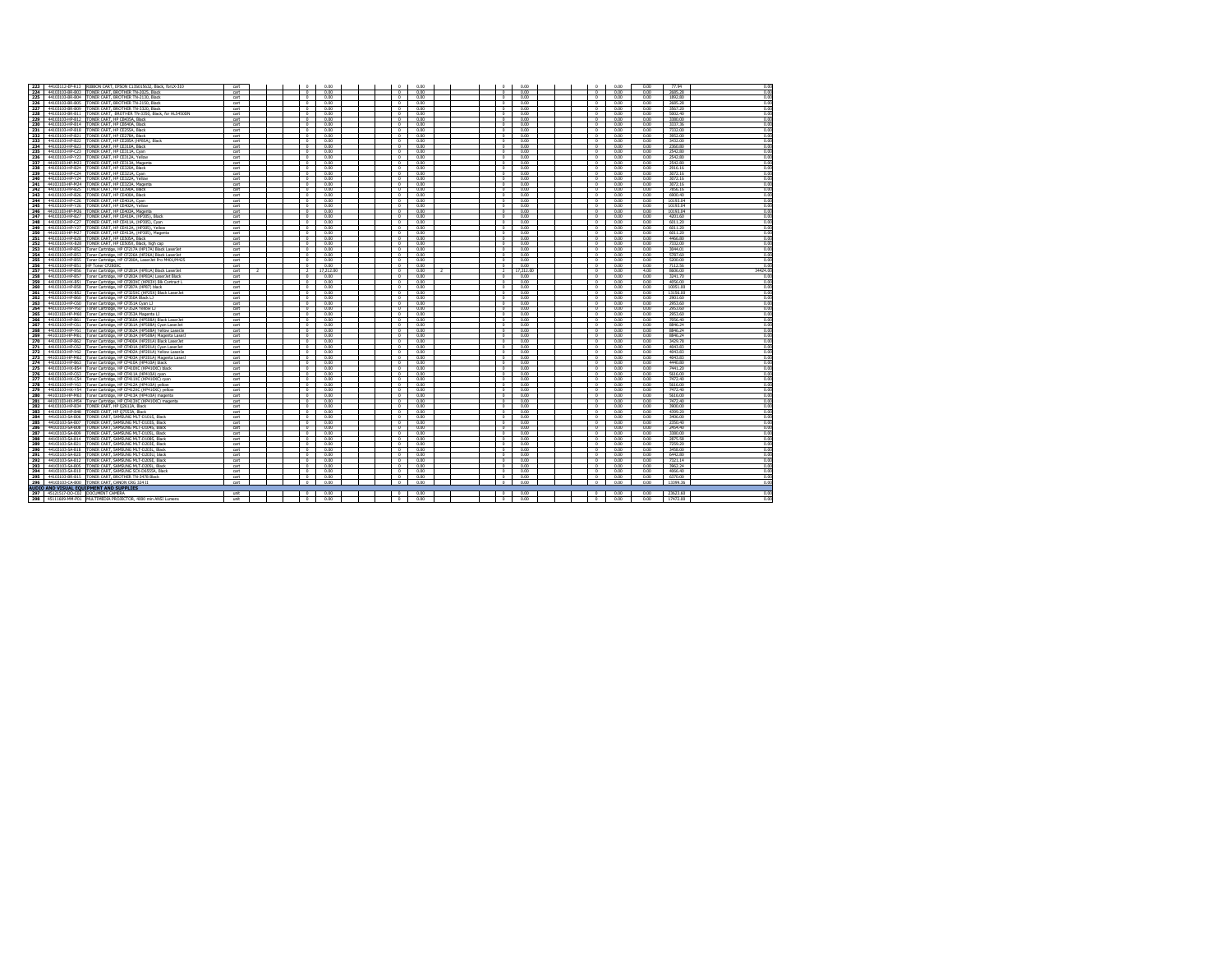|     |                                                                                                   | rat              |  | $\sim$                   | 0.00      | $\sim$         | 0.00                  | $\sim$         | 0.00      | $\Omega$       | 0.00 | 0.00           | 77 %           |          |
|-----|---------------------------------------------------------------------------------------------------|------------------|--|--------------------------|-----------|----------------|-----------------------|----------------|-----------|----------------|------|----------------|----------------|----------|
|     | 223 44103112-EP-R13 RIBBON CART, EPSON C13S015632, Black, forLX-310                               |                  |  |                          |           |                |                       |                |           |                |      |                |                | 0.00     |
| 224 | 44103103-BR-B03<br>TONER CART, BROTHER TN-2025, Black                                             | cart             |  | $\Omega$                 | 0.00      |                | 0.00                  | $\Omega$       | 0.00      | $\Omega$       | 0.00 | 0.00           | 2685.28        | 0.00     |
| 225 | 44103103-RR-R04<br>TONER CART RROTHER TN-2130 Black                                               | cart             |  | $\Omega$                 | 0.00      | $\Omega$       | 0.00                  | $\Omega$       | 0.00      | $\Omega$       | 0.00 | 0.00           | 1,992.80       | 0.00     |
|     |                                                                                                   |                  |  |                          |           |                |                       |                |           |                |      |                |                |          |
| 226 | 44103103-BR-B05<br>TONER CART, BROTHER TN-2150, Black                                             | cart             |  | $\overline{0}$           | 0.00      | $\overline{0}$ | 0.00                  | $\overline{a}$ | 0.00      | $\overline{0}$ | 0.00 | 0.00           | 2685.28        | 0.00     |
| 227 | 44103103-BR-B09<br>TONER CART, RROTHER TN-3320, Black                                             | cart             |  | $\overline{\ }$          | 0.00      | $\Omega$       | 0.00                  | $^{\circ}$     | 0.00      | $\Omega$       | 0.00 | 0.00           | 3567.20        | 0.00     |
| 228 | TONER CART, BROTHER TN-3350, Black, for HL5450DN<br>44103103-RR-R11                               | cart             |  | $\Omega$                 | 0.00      | $\Omega$       | 0.00                  | $\Omega$       | 0.00      | $\sim$         | 0.00 | 0.00           | 5002.40        | 0.00     |
| 229 | 44103103-HP-R12                                                                                   |                  |  |                          | 0.00      |                | 0.00                  | $\Omega$       | 0.00      |                | 0.00 | 0.00           | 3380.00        |          |
|     | TONER CART, HP CB435A, Black                                                                      | cart             |  | $\sim$                   |           | $\Omega$       |                       |                |           | $\Omega$       |      |                |                | 0.00     |
| 230 | 44103103-HP-R14<br>TONER CART, HP CB540A, Black                                                   | cart             |  | $\Omega$                 | 0.00      | $\sim$         | 0.00                  | $\Omega$       | 0.00      | $\Omega$       | 0.00 | 0.00           | 3337.36        | 0.00     |
| 231 | 44103103-HP-B18<br><b>TONER CART, HP CE255A, Black</b>                                            | cart             |  | $^{\circ}$               | 0.00      | $\Omega$       | 0.00                  | $^{\circ}$     | 0.00      | $^{\circ}$     | 0.00 | 0.00           | 7332.00        | 0.00     |
|     |                                                                                                   |                  |  |                          |           |                |                       |                |           |                |      |                |                |          |
| 232 | 44103103-HP-B21<br>TONER CART, HP CE278A, Black                                                   | cart             |  | $^{\circ}$               | 0.00      | $^{\circ}$     | 0.00                  | $^{\circ}$     | 0.00      | $^{\circ}$     | 0.00 | 0.00           | 3952.00        | 0.00     |
| 233 | 44103103-HP-B22<br>'ONER CART, HP CE285A (HP85A), Black                                           | art              |  | $\overline{\phantom{0}}$ | 0.00      | $^{\circ}$     | 0.00                  | $^{\circ}$     | 0.00      | $^{\circ}$     | 0.00 | 0.00           | 3432.00        | 0.00     |
| 234 | 44103103-HP-R23<br>TONER CART, HP CE310A, Black                                                   | cart             |  | $\Omega$                 | 0.00      |                | 0.00                  |                | 0.00      | $\Omega$       | 0.00 | 0.00           | 2360.80        | 0.00     |
|     |                                                                                                   |                  |  | $\Omega$                 |           | $\Omega$       |                       | $\Omega$       |           | $\Omega$       | 0.00 | 0.00           |                | 0.00     |
| 235 | 44103103-HP-C23<br>TONER CART, HP CE311A, Cyan                                                    | cart             |  |                          | 0.00      |                | 0.00                  |                | 0.00      |                |      |                | 2542.80        |          |
| 236 | TONER CART, HP CE312A, Yellow<br>44103103-HP-Y23                                                  | cart             |  | $\Omega$                 | 0.00      | $\theta$       | 0.00                  | $\Omega$       | 0.00      | $\Omega$       | 0.00 | 0.00           | 2542.80        | 0.00     |
| 237 | 44103103-HP-M23<br>TONER CART, HP CE313A. Magenta                                                 | cart             |  | $\overline{\ }$          | 0.00      | $\Omega$       | 0.00                  | $\Omega$       | 0.00      | $\Omega$       | 0.00 | 0.00           | 2542.80        | 0.00     |
|     | 44103103-HP-B24<br>ONER CART, HP CE320A, Black                                                    |                  |  | $\overline{a}$           | 0.00      |                | 0.00                  | $\Omega$       | 0.00      |                | 0.00 | 0.00           | 2916.16        | 0.00     |
| 238 |                                                                                                   | $_{\text{cart}}$ |  |                          |           |                |                       |                |           |                |      |                |                |          |
| 239 | 44103103-HP-C24<br>TONER CART, HP CE321A, Cyan                                                    | cart             |  | $\overline{\phantom{a}}$ | 0.00      | $\overline{0}$ | 0.00                  | $\overline{0}$ | 0.00      | $\Omega$       | 0.00 | 0.00           | 3072.16        | 0.00     |
| 240 | TONER CART, HP CE322A, Yellow<br>44103103-HP-Y24                                                  | <b>art</b>       |  | $\overline{0}$           | 0.00      | $\overline{a}$ | 000                   | $\overline{0}$ | 0.00      | $\overline{ }$ | 0.00 | 0.00           | 3072.16        | 0.00     |
| 241 | 44103103-HP-M24<br>TONER CART, HP CE323A, Magenta                                                 | art              |  | $\overline{a}$           | 0.00      | $\overline{0}$ | 0.00                  | $\overline{a}$ | 0.00      | $\Omega$       | 0.00 | 0.00           | 3072.16        | 0.00     |
|     |                                                                                                   |                  |  |                          |           |                |                       |                |           |                |      |                |                |          |
|     | 242 44103103-HP-B25<br>TONER CART, HP CE390A, Black                                               | cart.            |  | $\overline{a}$           | 0.00      | $\Omega$       | 0.00                  | $\Omega$       | 0.00      | $\Omega$       | 0.00 | 0.00           | 7856 16        | 0.00     |
|     | 243 44103103-HP-B26<br>TONER CART, HP CE400A, Black                                               | art              |  | $\Omega$                 | 0.00      | $\Omega$       | 0.00                  | $\Omega$       | 0.00      | $\circ$        | 0.00 | 0.00           | 6900.40        | 0.00     |
|     | 244 44103103-HP-C26                                                                               |                  |  | $\Omega$                 |           | $\Omega$       |                       | $\Omega$       |           | $\Omega$       |      |                |                | 0.00     |
|     | TONER CART, HP CE401A, Cyan                                                                       | cart             |  |                          | 0.00      |                | 0.00                  |                | 0.00      |                | 0.00 | 0.00           | 10193.04       |          |
| 245 | 44103103-HP-Y26<br>TONER CART, HP CE402A, Yellow                                                  | cart             |  | $\circ$                  | 0.00      | $^{\circ}$     | 0.00                  | $^{\circ}$     | 0.00      | $^{\circ}$     | 0.00 | 0.00           | 10193.04       | 0.00     |
| 246 | 44103103-HP-M26<br><b>FONER CART, HP CE403A, Magenta</b>                                          | cart             |  | $\Omega$                 | 0.00      | $\Omega$       | 0.00                  | $\Omega$       | 0.00      | $\theta$       | 0.00 | 0.00           | 10193.04       | 0.00     |
| 247 | 44103103-HP-B27<br>FONER CART, HP CE410A, (HP305), Black                                          | art              |  | $\overline{\phantom{a}}$ | 0.00      | $^{\circ}$     | 0.00                  | $^{\circ}$     | 0.00      | $^{\circ}$     | 0.00 | 0.00           | 4201.60        | 0.00     |
|     |                                                                                                   |                  |  |                          |           |                |                       |                |           |                |      |                |                |          |
| 248 | 44103103-HP-C27<br>FONER CART, HP CE411A, (HP305), Cyan                                           | cart             |  | $\Omega$                 | 0.00      | $\Omega$       | 0.00                  | $\Omega$       | 0.00      | $\Omega$       | 0.00 | 0.00           | 6011.20        | 0.00     |
| 249 | 44103103-HP-Y27<br>FONER CART, HP CE412A, (HP305), Yellow                                         | cart             |  | $\Omega$                 | 0.00      | $\Omega$       | 0.00                  | $\Omega$       | 0.00      | $\Omega$       | 0.00 | 0.00           | 6011.20        | 0.00     |
| 250 | 44103103-HP-M27<br>TONER CART, HP CE413A, (HP305), Magenta                                        | cart             |  | $^{\circ}$               | 0.00      | $\Omega$       | 0.00                  | $^{\circ}$     | 0.00      | $^{\circ}$     | 0.00 | 0.00           | 6011.20        | 0.00     |
|     |                                                                                                   |                  |  |                          |           |                |                       |                |           |                |      |                |                |          |
| 251 | 44103103-HP-B28<br>TONER CART. HP CES0SA, Black                                                   | cart             |  | $\overline{\bullet}$     | 0.00      | $\theta$       | 0.00                  | $\overline{a}$ | 0.00      | $\Omega$       | 0.00 | 0.00           | 4466.80        | 0.00     |
| 252 | 44103103-HX-B28<br>FONER CART, HP CES0SX, Black, high cap                                         | cart             |  | $\overline{\bullet}$     | 0.00      | $\Omega$       | 0.00                  | $\overline{a}$ | 0.00      | $\Omega$       | 0.00 | 0.00           | 7332.00        | 0.00     |
| 253 | 44103103-HP-RS2<br>Toner Cartridge, HP CF217A (HP17A) Black LaserJet                              | cart             |  | P                        | 0.00      | $\overline{a}$ | 0.00                  | $\overline{a}$ | 0.00      | $\overline{0}$ | 0.00 | 0.00           | 3044.01        | 0.00     |
| 254 | Toner Cartridge, HP CF226A (HP26A) Black LaserJet<br>44103103-HP-R53                              | cart             |  | $\sim$                   | 0.00      | $\Omega$       | 0.00                  | $\overline{0}$ | 0.00      | $\Omega$       | 0.00 | 0.00           | 5787.60        | 0.00     |
|     |                                                                                                   |                  |  |                          |           |                |                       |                |           |                |      |                |                |          |
| 255 | Toner Cartridge, HP CF280A, LaserJet Pro M401/M425<br>44103103-HP-R55                             | cart             |  | $\overline{a}$           | 000       | $\overline{ }$ | 000                   | $\overline{a}$ | 0.00      | $\overline{a}$ | 0.00 | 0.00           | 5200.00        | 0.00     |
| 256 | 44103103-HP-B51<br>HP Toner CF280XC                                                               | cart             |  | $\overline{0}$           | 0.00      | $\overline{0}$ | 0.00                  | $\overline{a}$ | 0.00      | $\overline{0}$ | 0.00 | 0.00           | 7112.56        | 0.00     |
| 257 | Toner Cartridge, HP CF281A (HP81A) Black LaserJet<br>44103103-HP-RSG                              | cart             |  | $\rightarrow$            | 17,212.00 | $\overline{0}$ | 0.00<br>$\rightarrow$ | $\overline{z}$ | 17,212.00 | $\Omega$       | 0.00 | 4.00           | 8606.00        | 34424.00 |
|     |                                                                                                   |                  |  |                          |           |                |                       |                |           |                |      |                |                |          |
| 258 | 44103103-HP-R57<br>Toner Cartridge, HP CF283A (HP83A) LaserJet Black                              | cart             |  | n                        | 0.00      | $\Omega$       | 000                   | $\overline{a}$ | 0.00      | $\Omega$       | 0.00 | 0.00           | 3241.70        | 0.00     |
| 259 | 44103103-HX-B51<br>Toner Cartridge, HP CF283XC (HP83X) Blk Contract L                             | cart             |  | $^{\circ}$               | 0.00      | $\Omega$       | 0.00                  | $^{\circ}$     | 0.00      | $^{\circ}$     | 0.00 | 0.00           | 4056.00        | 0.00     |
| 260 | 44103103-HP-RSS<br>Toner Cartridge, HP CF287A (HP87) black                                        | cart             |  | $\sim$                   | 0.00      | $\Omega$       | 0.00                  | $\Omega$       | 0.00      | $\Omega$       | 0.00 | 0.00           | 10051.00       | 0.00     |
| 261 | 44103103-HX-R52                                                                                   | cart             |  | $\circ$                  | 0.00      | $\Omega$       | 0.00                  | $\Omega$       | 0.00      | $^{\circ}$     | 0.00 | 0.00           | 13156.00       | 0.00     |
|     | Toner Cartridge, HP CF325XC (HP25X) Black LaserJet                                                |                  |  |                          |           |                |                       |                |           |                |      |                |                |          |
| 262 | 44103103-HP-R60<br>Toner Cartridge, HP CF350A Black LJ                                            | cart             |  | $\Omega$                 | 0.00      | $\Omega$       | 0.00                  | $\Omega$       | 0.00      | $\Omega$       | 0.00 | 0.00           | 2901.60        | 0.00     |
| 263 | 44103103-HP-C60<br>Toner Cartridge, HP CF351A Cyan LJ                                             | cart             |  | $\Omega$                 | 0.00      | $\Omega$       | 0.00                  | $\Omega$       | 0.00      | $\Omega$       | 0.00 | 0.00           | 2953.60        | 0.00     |
| 264 | 44103103-HP-Y60<br>Toner Cartridge, HP CF352A Yellow LJ                                           | cart             |  | $^{\circ}$               | 0.00      | $\Omega$       | 0.00                  | $\Omega$       | 0.00      | $^{\circ}$     | 0.00 | 0.00           | 2953.60        | 0.00     |
|     |                                                                                                   |                  |  |                          |           |                |                       |                |           |                |      |                |                |          |
| 265 | 44103103-HP-M60<br>Toner Cartridge, HP CF353A Magenta LJ                                          | <b>art</b>       |  | $\overline{\phantom{0}}$ | 0.00      |                | 0.00                  | $^{\circ}$     | 0.00      | $\overline{0}$ | 0.00 | 0.00           | 2953.60        | 0.00     |
| 266 | 44103103-HP-R61<br>Toner Cartridge, HP CF360A (HP508A) Black LaserJet                             | $_{\text{cart}}$ |  |                          | 0.00      |                | 0.00                  |                | 0.00      |                | 0.00 | 0.00           | 7056.40        | 0.00     |
| 267 | 44103103-HP-C61<br>Toner Cartridge, HP CF361A (HP508A) Cyan LaserJet                              | cart             |  | $\Omega$                 | 0.00      | $\Omega$       | 0.00                  | $\Omega$       | 0.00      | $\Omega$       | 0.00 | 0.00           | 8846.24        | 0.00     |
|     |                                                                                                   |                  |  |                          |           |                |                       |                |           |                |      |                |                |          |
| 268 | 44103103-HP-Y61<br>Toner Cartridge, HP CF362A (HP508A) Yellow LaserJe                             | cart             |  | $\overline{\bullet}$     | 0.00      | $\Omega$       | 0.00                  | $\Omega$       | 0.00      | $\Omega$       | 0.00 | 0.00           | 8946.24        | 0.00     |
| 269 | 44103103-HP-M61<br>Toner Cartridge, HP CF363A (HP508A) Magenta LaserJ                             | cart             |  | $\overline{\bullet}$     | 0.00      | $\Omega$       | 0.00                  | $\Omega$       | 0.00      | $\Omega$       | 0.00 | 0.00           | 8846.24        | 0.00     |
| 270 | 44103103-HP-B62<br>Foner Cartridge, HP CF400A (HP201A) Black LaserJet                             | cart             |  | $\overline{0}$           | 0.00      | $\Omega$       | 0.00                  | $\overline{a}$ | 0.00      | $\overline{0}$ | 0.00 | 0.00           | 3429.78        | 0.00     |
| 271 | 44103103-HP-C62                                                                                   | cart             |  | $\overline{\ }$          | 0.00      | $\overline{0}$ | 0.00                  | $\overline{0}$ | 0.00      | $\overline{0}$ | 0.00 | 0.00           | 4043.83        | 0.00     |
|     | Toner Cartridge, HP CF401A (HP201A) Cyan LaserJet                                                 |                  |  |                          |           |                |                       |                |           |                |      |                |                |          |
| 272 | 44103103-HP-Y62<br>'oner Cartridge, HP CF402A (HP201A) Yellow LaserJe                             | $ext$            |  | $\overline{0}$           | 000       | $\overline{a}$ | 000                   | $\overline{0}$ | 0.00      | $\overline{ }$ | 0.00 | n nn           | 4043.83        | 0.00     |
| 273 | Toner Cartridge, HP CF403A (HP201A) Magenta LaserJ<br>44103103-HP-M62                             | cart             |  | $\Omega$                 | 0.00      |                | 0.00                  |                | 0.00      | $\Omega$       | 0.00 | 0.00           | 4043.83        | 0.00     |
|     |                                                                                                   |                  |  | $\Omega$                 |           | $\sim$         |                       | $\Omega$       |           | $\sim$         |      |                | 4440.80        |          |
|     | 274 44103103-HP-B63 Toner Cartridge, HP CF410A (HP410A) black                                     | cart             |  |                          | 0.00      |                | 0.00                  |                | 0.00      |                | 0.00 | 0.00           |                | 0.00     |
| 275 | 44103103-HX-B54<br>Toner Cartridge, HP CF410XC (HP410XC) black                                    | cart             |  | $\circ$                  | 0.00      | $^{\circ}$     | 0.00                  | $^{\circ}$     | 0.00      | $^{\circ}$     | 0.00 | 0.00           | 7441.20        | 0.00     |
|     | 276 44103103-HP-C63<br>Toner Cartridge, HP CF411A (HP410A) cyan                                   | cart             |  | $\Omega$                 | 0.00      | $\Omega$       | 0.00                  | $\Omega$       | 0.00      | $\sim$         | 0.00 | 0.00           | 5616.00        | 0.00     |
| 277 | 44103103-HX-C54<br>Toner Cartridge, HP CF411XC (HP410XC) cyan                                     | cart             |  | $^{\circ}$               | 0.00      | $\Omega$       | 0.00                  | $\Omega$       | 0.00      | $^{\circ}$     | 0.00 | 0.00           | 7472.40        | 0.00     |
| 278 | 44103103-HP-Y63                                                                                   | cart             |  | $\Omega$                 | 0.00      | $\Omega$       | 0.00                  | $\Omega$       | 0.00      | $\Omega$       | 0.00 | 0.00           | 5616.00        | 0.00     |
|     | Toner Cartridge, HP CF412A (HP410A) yellow                                                        |                  |  |                          |           |                |                       |                |           |                |      |                |                |          |
| 279 | 44103103-HX-Y54<br>Toner Cartridge, HP CF412XC (HP410XC) vellow                                   | cart             |  | $^{\circ}$               | 0.00      | $\Omega$       | 0.00                  | $\Omega$       | 0.00      | $\Omega$       | 0.00 | 0.00           | 7472 40        | 0.00     |
| 280 | 44103103-HP-M63<br>Toner Cartridge, HP CF413A (HP410A) magenta                                    | cart             |  | $\Omega$                 | 0.00      | $\Omega$       | 0.00                  | $\Omega$       | 0.00      | $\Omega$       | 0.00 | 0.00           | 5616.00        | 0.00     |
| 281 | 44103103-HX-M54<br>Toner Cartridge, HP CF413XC (HP410XC) magenta                                  | cart             |  | $\overline{\bullet}$     | 0.00      | $\sim$         | 0.00                  | $\overline{a}$ | 0.00      | $\Omega$       | 0.00 | 0.00           | 7472.40        | 0.00     |
|     |                                                                                                   |                  |  |                          |           |                |                       |                |           |                |      |                |                |          |
| 282 | 44103103-HP-B34<br>TONER CART, HP Q2612A, Black                                                   | $_{\text{cart}}$ |  | $\circ$                  | 0.00      | $\Omega$       | 0.00                  | $\Omega$       | 0.00      | $\circ$        | 0.00 | 0.00           | 3900.00        | 0.00     |
| 283 | TONER CART, HP Q7553A, Black<br>44103103-HP-B48                                                   | cart             |  | n                        | 000       | $\Omega$       | 0.00                  | $\Omega$       | 0.00      | $\sqrt{2}$     | 0.00 | n <sub>n</sub> | 4399.20        | 0.00     |
| 284 | TONER CART, SAMSUNG MLT-D101S, Black<br>44103103-SA-R06                                           | cart             |  | $\circ$                  | 0.00      | $\theta$       | 0.00                  | $\Omega$       | 0.00      | $\Omega$       | 0.00 | 0.00           | 3406.00        | 0.00     |
| 285 | TONER CART SAMSUNG MUT-D103S Black<br>44103103-SA-R07                                             | cart             |  | $\overline{ }$           | 000       | $\overline{ }$ | 000                   | $\overline{a}$ | 0.00      | $\overline{0}$ | 0.00 | 0.00           | 2350.40        | 0.00     |
|     |                                                                                                   |                  |  |                          |           |                |                       |                |           |                |      |                |                |          |
| 286 | 44103103-SA-B08<br>ONER CART, SAMSUNG MLT-D104S, Black                                            | cart             |  | $\overline{\bullet}$     | 0.00      | $\overline{0}$ | 0.00                  | $\overline{0}$ | 0.00      | $\overline{0}$ | 0.00 | 0.00           | 2454.40        | 0.00     |
| 287 | 44103103-SA-B09<br>FONER CART, SAMSUNG MLT-D105L, Black                                           | cart             |  | $\Omega$                 | 0.00      | $\sim$         | 0.00                  | $\Omega$       | 0.00      | $\sim$         | 0.00 | 0.00           | 3380.00        | 0.00     |
| 288 | 44103103-SA-R14<br>TONER CART SAMSUNG MUT-D10RS Riad                                              | cart             |  | $\Omega$                 | 0.00      | $\Omega$       | 0.00                  | $\Omega$       | 0.00      | $\Omega$       | 0.00 | 0.00           | <b>2875 58</b> | 0.00     |
|     |                                                                                                   |                  |  |                          |           |                |                       |                |           |                |      |                |                |          |
| 289 | 44103103-SA-B21<br>TONER CART, SAMSUNG MLT-D203E, Black                                           | cart             |  | $\circ$                  | 0.00      | $^{\circ}$     | 0.00                  | $^{\circ}$     | 0.00      | $^{\circ}$     | 0.00 | 0.00           | 7259.20        | 0.00     |
| 290 | 44103103-SA-B18<br>TONER CART, SAMSUNG MLT-D203L, Black                                           | art              |  | n                        | 0.00      | $\overline{ }$ | 0.00                  | $\overline{a}$ | 0.00      | $^{\circ}$     | 0.00 | 0.00           | 3458.00        | 0.00     |
| 291 | 44103103-SA-B20<br>TONER CART, SAMSUNG MLT-D203U, black                                           | cart             |  | $\circ$                  | 0.00      | $\Omega$       | 0.00                  | $^{\circ}$     | 0.00      | $\Omega$       | 0.00 | 0.00           | 6442.80        | 0.00     |
| 292 | 44103103-SA-R12<br>TONER CART SAMSLING MLT-D20SE Black                                            | cart             |  | $\Omega$                 | 0.00      | $\Omega$       | 0.00                  | $\Omega$       | 0.00      | $\theta$       | 0.00 | 0.00           | 7321 14        | 0.00     |
| 293 | 44103103-SA-R05<br>TONER CART SAMSUNG MUT-D20SL Black                                             | cart             |  | $\Omega$                 | 0.00      | $\Omega$       | 0.00                  | $\Omega$       | 0.00      | $\Omega$       | 0.00 | 0.00           |                | 0.00     |
|     |                                                                                                   |                  |  |                          |           |                |                       |                |           |                |      |                | 3962.24        |          |
| 294 | 44103103-SA-B10<br>TONER CART, SAMSUNG SCX-D6555A, Black                                          | cart             |  | $\Omega$                 | 0.00      | $\Omega$       | 0.00                  | $\Omega$       | 0.00      | $\Omega$       | 0.00 | 0.00           | 4066.40        | 0.00     |
|     | TONER CART, BROTHER TN-3478 Black<br>44103103-RR-R15                                              | art              |  | $\overline{0}$           | 0.00      | $\Omega$       | 0.00                  | $\overline{0}$ | 0.00      | $\Omega$       | 0.00 | 0.00           | 6370.00        | 0.00     |
|     |                                                                                                   |                  |  |                          |           |                |                       |                |           |                |      |                |                |          |
| 295 |                                                                                                   |                  |  |                          |           |                |                       |                |           |                |      |                |                |          |
| 296 | 44103103-CA-B00 TONER CART, CANON CRG 324 II                                                      | cart             |  | $\circ$                  | 0.00      | $\circ$        | 0.00                  | $\overline{0}$ | 0.00      | $\circ$        | 0.00 | 0.00           | 13399.36       | 0.00     |
|     | AUDIO AND VISUAL EQUIPMENT AND SUPPLIES                                                           |                  |  |                          |           |                |                       |                |           |                |      |                |                |          |
|     |                                                                                                   | unit             |  | $\Omega$                 | 000       | $^{\circ}$     | 000                   | $\Omega$       | 0.00      | $^{\circ}$     | 0.00 | n nn           | 23623.60       | 0.00     |
| 298 | 297 45121517-DO-C02 DOCUMENT CAMERA<br>45111609-MM-P01 MULTIMEDIA PROJECTOR, 4000 min ANSI Lumens | unit             |  | $\circ$                  | 0.00      | $\circ$        | 0.00                  | $\circ$        | 0.00      | $^{\circ}$     | 0.00 | 0.00           | 17472.00       | 0.00     |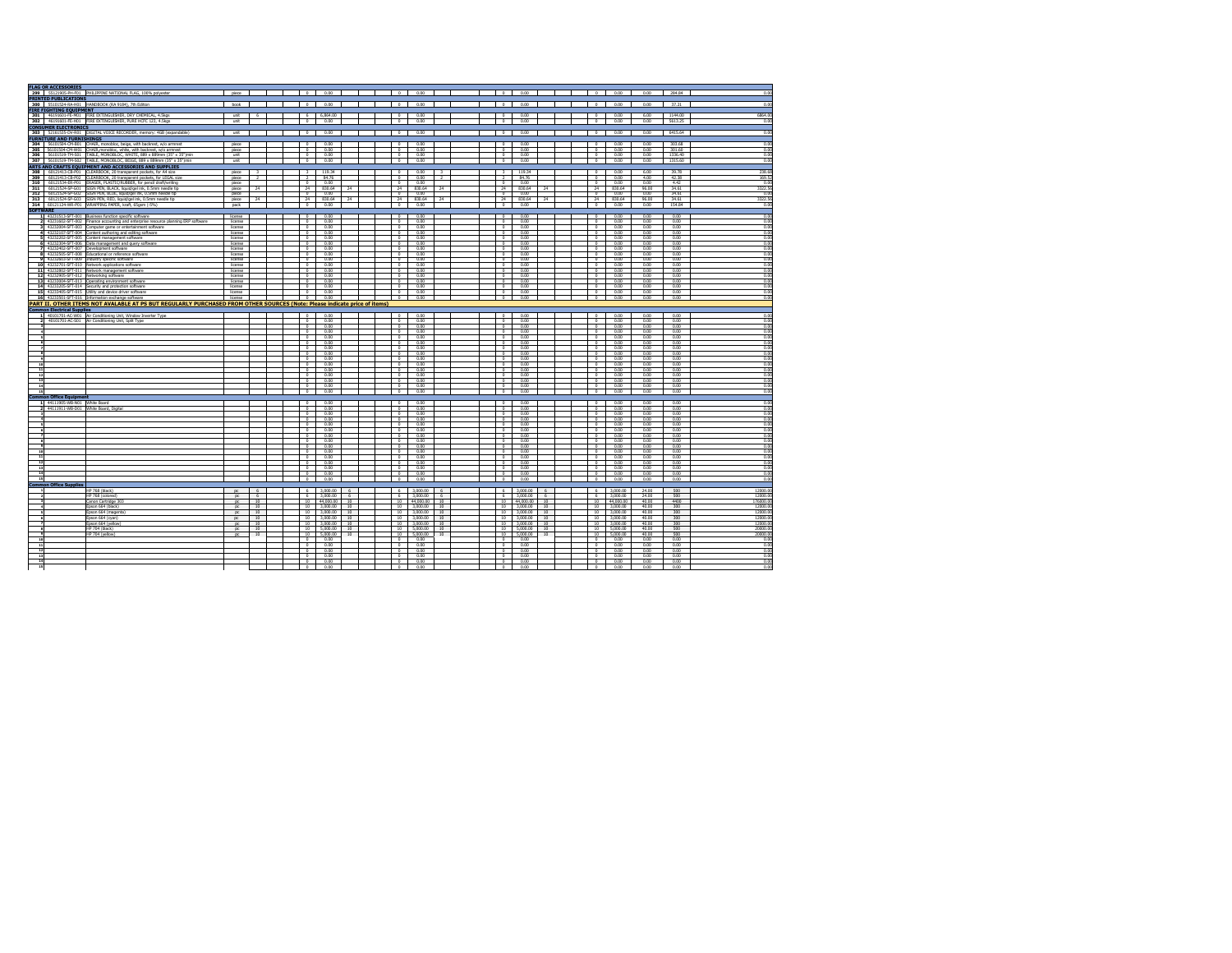|                                  | <b>FLAG OR ACCESSORIES</b>              | 299 55121905-PH-F01 PHILIPPINE NATIONAL FLAG, 100% polyester                                                                                | piece              |                |                                        | 0 0.00                      |          |        |                            | 0 0.00               |                |                                  | $0$ 0.00             |          | $0$ 0.00                                      | 0.00           | 284.84       | 0.00                 |
|----------------------------------|-----------------------------------------|---------------------------------------------------------------------------------------------------------------------------------------------|--------------------|----------------|----------------------------------------|-----------------------------|----------|--------|----------------------------|----------------------|----------------|----------------------------------|----------------------|----------|-----------------------------------------------|----------------|--------------|----------------------|
|                                  | <b>PRINTED PUBLICATIONS</b>             |                                                                                                                                             |                    |                |                                        |                             |          |        |                            |                      |                |                                  |                      |          |                                               |                |              |                      |
|                                  |                                         | 300 S5101524-RA-H01 HANDBOOK (RA 9184), 7th Edition<br>FIRE FIGHTING EQUIPMENT                                                              | book               |                |                                        | $0$ 0.00                    |          | $\top$ |                            | 0 0.00               |                |                                  | $0$ 0.00             |          | $0$ 0.00                                      | 0.00           | 37.21        | 0.00                 |
|                                  |                                         |                                                                                                                                             |                    |                |                                        |                             |          |        |                            |                      |                |                                  |                      |          |                                               |                |              |                      |
|                                  |                                         | 301 46191601-FE-M01 FIRE EXTINGUISHER, DRY CHEMICAL, 4.5kgs                                                                                 | unit               | 6              |                                        | 6 6.864.00                  |          |        | $\overline{a}$             | 0.00                 |                | $\circ$                          | 0.00                 |          | 0.00                                          | 6.00           | 1144.00      | 6864.00              |
|                                  |                                         | 302 46191601-FE-H01 FIRE EXTINGUISHER, PURE HCFC 123, 4.5kgs                                                                                | int                |                |                                        | $0 \t 0.00$                 |          |        | $\overline{a}$             | 000                  |                | ,                                | 0.00                 |          | 0.00<br>$\overline{a}$                        | 0.00           | 5613.25      | 0.00                 |
|                                  | <b>CONSUMER ELECTRONICS</b>             | 303 52161535-DV-R01 DIGITAL VOICE RECORDER, memory: 4GB (expandable)                                                                        | unit               |                | $\overline{\phantom{a}}$               | 0.00                        |          |        | $\bullet$                  | 0.00                 |                | $\circ$ 1                        | 0.00                 |          | 0.00<br>$\sim$                                | 0.00           | 6415.64      | 0.00                 |
|                                  | <b>FURNITURE AND FURNISHINGS</b>        |                                                                                                                                             |                    |                |                                        |                             |          |        |                            |                      |                |                                  |                      |          |                                               |                |              |                      |
|                                  |                                         | 304 56101504-CM-B01 CHAIR, monobloc, beige, with backrest, w/o armrest                                                                      | <b>Diece</b>       |                | o<br>I                                 | 000                         |          |        | $\overline{ }$             | 000                  |                | $\overline{a}$                   | 0.00                 |          | $\overline{a}$<br>000                         | nm             | 303.68       | nn                   |
|                                  |                                         | 305 56101504-CM-W01 CHAIR, monobloc, white, with backrest, w/o armrest                                                                      | piece              |                | $\overline{0}$                         | 0.00                        |          |        | $\overline{0}$             | 0.00                 |                | $\overline{0}$                   | 0.00                 |          | $\overline{0}$<br>0.00                        | 0.00           | 301.60       | 0.00                 |
|                                  |                                         | 306 56101519-TM-S01 TABLE, MONOBLOC, WHITE, 889 x 889mm (35" x 35")min                                                                      | unit               |                | $\overline{\phantom{0}}$               | 0.00                        |          |        | $^{\circ}$                 | 0.00                 |                | $\overline{0}$                   | 0.00                 |          | $\overline{a}$<br>0.00                        | 0.00           | 1336.40      | 0.00                 |
|                                  |                                         | 307 56101519-TM-S02 TABLE, MONOBLOC, BEIGE, 889 x 889mm (35" x 35")min                                                                      | unit.              |                | $\overline{\phantom{a}}$               | 0.00                        |          |        | $\Omega$                   | 000                  |                | $\overline{a}$                   | 0.00                 |          | 000<br>$\Omega$                               | 0.00           | 1315.60      | 0.00                 |
|                                  |                                         | ARTS AND CRAFTS EQUIPMENT AND ACCESSORIES AND SUPPLIES                                                                                      |                    |                |                                        |                             |          |        | $^{\circ}$                 | 0.00                 |                |                                  |                      |          | $^{\circ}$<br>0.00                            | 6.00           | 39.78        |                      |
|                                  |                                         | 308 60121413-CB-P01 CLEARBOOK, 20 transparent pockets, for A4 size<br>309 60121413-CB-P02 CLEARBOOK, 20 transparent pockets, for LEGAL size | piece<br>piece     | $\overline{2}$ |                                        | 119.34<br>2 8476            |          |        | $\overline{a}$             | 000                  | $\overline{2}$ | $\overline{\phantom{a}}$         | 119.34<br>84.75      |          | 0.00<br>$\Omega$                              | 400            | 42.38        | 238.68<br>169.57     |
|                                  |                                         | 310 60121534-ER-P01 ERASER, PLASTIC/RUBBER, for pencil draft/writing                                                                        | piece              |                | $\overline{\ }$                        | 0.00                        |          |        | $\overline{ }$             | 0.00                 |                | $\overline{a}$                   | 0.00                 |          | 0.00<br>$\Omega$                              | 0.00           | 4.42         | 0.00                 |
|                                  |                                         | 311 60121524-SP-G01 SIGN PEN, BLACK, liquid/gel ink, 0.5mm needle tip                                                                       | piece              | $24 -$         |                                        | $24$ $830.64$               | 24       |        | $^{24}$                    | 830.64               | 24             | 74                               | 830.64               | 24       | 24<br>830.64                                  | 96.00          | 34.61        | 3322.58              |
|                                  |                                         | 312 60121524-SP-G02 SIGN PEN, BLUE, liquid/gel ink, 0.5mm needle tip                                                                        | piece              |                |                                        | $0 \t 0.00$                 |          |        | $\overline{a}$             | 0.00                 |                | $\overline{0}$                   | 0.00                 |          | 0.00<br>$\Omega$                              | 0.00           | 34.61        | 0.00                 |
|                                  |                                         | 313 60121524-SP-G03 SIGN PEN, RED, liquid/gel ink, 0.5mm needle tip                                                                         | piece              | 24             | 24                                     | 830.64                      | 24       |        | 24<br>$\sim$               | 830.64<br>0.00       | 24             | 24<br>$\sim$                     | 830.64<br>0.00       | 24       | 24<br>830.64<br>$\sim$                        | 96.00          | 34.61        | 3322.56              |
| <b>SOFTWARE</b>                  |                                         | 314 60121124-WR-P01 WRAPPING PAPER, kraft, 65gsm (-5%)                                                                                      | nack.              |                | $^{\circ}$                             | 0.00                        |          |        |                            |                      |                |                                  |                      |          | 0.00                                          | 0.00           | 154.84       | 0.00                 |
|                                  |                                         | 1 43231513-SFT-001 Business function specific software                                                                                      | <b>linese</b>      |                | $\overline{\phantom{a}}$               | 0.00                        |          |        | $\overline{0}$             | 0.00                 |                | $\overline{a}$                   | n nn                 |          | 0.00<br>$\overline{ }$                        | n nn           | n m          | nno                  |
|                                  |                                         | 2 43231602-SFT-002 Finance accounting and enterprise resource planning ERP software                                                         | license            |                | $\overline{0}$                         | 0.00                        |          |        | $\overline{0}$             | 0.00                 |                | $\overline{0}$                   | 0.00                 |          | $\overline{0}$<br>0.00                        | 0.00           | 0.00         | 0.00                 |
|                                  |                                         | 3 43232004-SFT-003 Computer game or entertainment software                                                                                  | license            |                | $\overline{\phantom{a}}$               | 0.00                        |          |        | $^{\circ}$                 | 0.00                 |                | $\overline{0}$                   | 0.00                 |          | 0.00<br>$\sim$                                | 0.00           | 0.00         | 0.00                 |
|                                  |                                         | 4 43232107-SFT-004 Content authoring and editing software                                                                                   | license            |                | $\circ$                                | 0.00                        |          |        | $^{\circ}$                 | 0.00                 |                | $\Omega$                         | 0.00                 |          | $\Omega$<br>0.00                              | 0.00           | 0.00         | 0.00                 |
|                                  |                                         | 5 43232202-SFT-005 Content management software                                                                                              | license            |                | $\overline{a}$                         | 0.00                        |          |        | $\overline{ }$             | 0.00                 |                | $\overline{a}$                   | 0.00                 |          | 0.00<br>$\Omega$                              | 0.00           | 0.00         | 00                   |
|                                  |                                         | 6 43232304-SFT-006 Data management and query software<br>7 43232402-SFT-007 Development software                                            | license<br>license |                | $^{\circ}$<br>$\circ$ 1                | 0.00<br>0.00                |          |        | $\circ$<br>$^{\circ}$      | 0.00<br>0.00         |                | $^{\circ}$<br>$\Omega$           | 0.00<br>0.00         |          | $\Omega$<br>0.00<br>$\mathbf{a}$<br>0.00      | 0.00<br>0.00   | 0.00<br>n m  | 0.00<br>n no         |
|                                  |                                         | 8 43232505-SFT-008 Educational or reference software                                                                                        | license            |                | $\overline{\ }$                        | 0.00                        |          |        | $^{\circ}$                 | 0.00                 |                | $\overline{\phantom{a}}$         | 0.00                 |          | 0.00<br>$^{\circ}$                            | 0.00           | 0.00         | 0.00                 |
|                                  |                                         | 9 43232603-SFT-009 Industry specific software                                                                                               | license            |                | $\overline{\bullet}$                   | 0.00                        |          |        | $\overline{a}$             | 000                  |                | $\overline{a}$                   | 0.00                 |          | 0.00<br>$\sim$                                | 0.00           | 0.00         | 00                   |
|                                  |                                         | 10 43232701-SFT-010 Network applications software                                                                                           | license            |                | $\Omega$                               | 0.00                        |          |        | $\Omega$                   | 0.00                 |                | $\Omega$                         | 0.00                 |          | $\Omega$<br>0.00                              | 0.00           | 0.00         | n no                 |
|                                  |                                         | 11 43232802-SFT-011 Network management software                                                                                             | license            |                | $\overline{\phantom{a}}$               | 0.00                        |          |        | $\overline{a}$             | 0.00                 |                | $\overline{0}$                   | 0.00                 |          | 0.00<br>$^{\circ}$                            | 0.00           | 0.00         | 0.00                 |
|                                  | 12 43232905-SFT-012 Networking software |                                                                                                                                             | license<br>license |                | $\overline{a}$<br>$\Omega$             | 0.00<br>0.00                |          |        | $\Omega$<br>$\Omega$       | 000<br>0.00          |                | $\overline{a}$<br>$\Omega$       | 0.00<br>0.00         |          | 0.00<br>$\mathbf{a}$<br>$\mathbf{a}$<br>0.00  | 0.00           | n m<br>0.00  | 00<br>0.00           |
|                                  |                                         | 13 43233004-SFT-013 Operating environment software<br>14 43233205-SFT-014 Security and protection software                                  | license            |                | $\overline{\phantom{a}}$               | 0.00                        |          |        | $\overline{0}$             | 0.00                 |                | $\overline{\ }$                  | 0.00                 |          | $\overline{0}$<br>0.00                        | 0.00<br>0.00   | 0.00         | 0.00                 |
|                                  |                                         | 15 43233405-SFT-015 Utility and device driver software                                                                                      | license            |                | $\overline{\ }$                        | 0.00                        |          |        | $\overline{0}$             | 0.00                 |                | $\overline{0}$                   | 0.00                 |          | $\overline{0}$<br>0.00                        | 0.00           | 0.00         | 0.00                 |
|                                  |                                         | 16 43233501-SFT-016 Information exchange software                                                                                           | license            |                |                                        | $0$ 0.00                    |          |        | $\mathbf{r}$               | 000                  |                | $\Omega$                         | 0.00                 |          | 0.00<br>$\mathbf{a}$                          | 0.00           | n m          | 00                   |
|                                  |                                         | PART II. OTHER ITEMS NOT AVALABLE AT PS BUT REGULARLY PURCHASED FROM OTHER SOURCES (Note: Please indicate price of items)                   |                    |                |                                        |                             |          |        |                            |                      |                |                                  |                      |          |                                               |                |              |                      |
|                                  | <b>Common Electrical Supplies</b>       |                                                                                                                                             |                    |                |                                        |                             |          |        |                            |                      |                |                                  |                      |          |                                               |                |              |                      |
|                                  |                                         | 1 40101701-AC-W01 Air Conditioning Unit, Window Inverter Type                                                                               |                    |                | $\sim$ 1                               | 0.00                        |          |        | $\sim$<br>$\Omega$         | 0.00                 |                | $\Omega$                         | 0.00                 |          | $\sim$<br>0.00<br>$\Omega$                    | 0.00           | 0.00         | n or                 |
|                                  |                                         | 2 40101701-AC-S01 Air Conditioning Unit, Split Type                                                                                         |                    |                | $\overline{\phantom{0}}$<br>$^{\circ}$ | 0.00<br>0.00                |          |        | $^{\circ}$                 | 0.00<br>0.00         |                | $^{\circ}$<br>$\overline{a}$     | 0.00<br>0.00         |          | 0.00<br>0.00<br>$\Omega$                      | 0.00<br>0.00   | 0.00<br>0.00 | 0.00<br>0.00         |
| N                                |                                         |                                                                                                                                             |                    |                | 0                                      | 0.00                        |          |        | $\overline{0}$             | 0.00                 |                | $\overline{0}$                   | 0.00                 |          | $^{\circ}$<br>0.00                            | 0.00           | 0.00         | 0.00                 |
| - 51                             |                                         |                                                                                                                                             |                    |                |                                        | 0 0.00                      |          |        | $^{\circ}$                 | 0.00                 |                | $\circ$                          | 0.00                 |          | 0.00<br>$\theta$                              | 0.00           | 0.00         | 0.00                 |
| ø                                |                                         |                                                                                                                                             |                    |                | $^{\circ}$                             | 0.00                        |          |        | $^{\circ}$                 | 0.00                 |                | $\overline{0}$                   | 0.00                 |          | 0.00<br>$\Omega$                              | 0.00           | 0.00         | 0.00                 |
| $\mathbf{z}$<br>- 1              |                                         |                                                                                                                                             |                    |                | $\Omega$                               | 0.00<br>$0 \t 0.00$         |          |        | $\Omega$<br>$\overline{0}$ | 0.00                 |                | $\Omega$<br>$\overline{0}$       | 0.00<br>0.00         |          | 0.00<br>$\sim$<br>$\overline{a}$<br>0.00      | 0.00<br>0.00   | n m<br>0.00  | n no<br>0.00         |
|                                  |                                         |                                                                                                                                             |                    |                | $^{\circ}$                             | 0.00                        |          |        | $\Omega$                   | 0.00<br>0.00         |                | $\Omega$                         | 0.00                 |          | 0.00<br>$\Omega$                              | 0.00           | 0.00         | 0.00                 |
| 10 <sup>1</sup>                  |                                         |                                                                                                                                             |                    |                | ,                                      | 000                         |          |        | $\mathbf{r}$               | 000                  |                | $\overline{a}$                   | 0.00                 |          | 0.00<br>$\mathbf{a}$                          | 0.00           | n m          | n no                 |
| $\overline{11}$                  |                                         |                                                                                                                                             |                    |                | $^{\circ}$                             | 0.00                        |          |        | $^{\circ}$                 | 0.00                 |                | $\overline{a}$                   | 0.00                 |          | 000<br>$\overline{ }$                         | n <sub>n</sub> | 0.00         | nn                   |
| 12                               |                                         |                                                                                                                                             |                    |                | $^{\circ}$                             | 0.00                        |          |        | $\theta$                   | 0.00                 |                | $\overline{a}$                   | 0.00                 |          | $\Omega$<br>0.00                              | 0.00           | 0.00         | 0.00                 |
| i,<br>14                         |                                         |                                                                                                                                             |                    |                | P                                      | 0.00<br>0 0.00              |          |        | $\Omega$<br>$^{\circ}$     | 0.00<br>0.00         |                | $\Omega$<br>$\Omega$             | 0.00<br>0.00         |          | 0.00<br>$\sqrt{2}$<br>$\mathbf{a}$<br>0.00    | 0.00<br>0.00   | 0.00<br>0.00 | n no<br>n no         |
| 15                               |                                         |                                                                                                                                             |                    |                |                                        | $0$ 0.00                    |          |        | $^{\circ}$                 | 0.00                 |                | $^{\circ}$                       | 0.00                 |          | $^{\circ}$<br>0.00                            | 0.00           | 0.00         | 0.00                 |
|                                  | mmon Office Eau                         |                                                                                                                                             |                    |                |                                        |                             |          |        |                            |                      |                |                                  |                      |          |                                               |                |              |                      |
|                                  | 1 44111905-WB-N01 White Board           |                                                                                                                                             |                    |                | $^{\circ}$                             | 0.00                        |          |        | $^{\circ}$                 | 0.00                 |                | $^{\circ}$                       | 0.00                 |          | 0.00<br>$^{\circ}$                            | 0.00           | 0.00         | 0.00                 |
|                                  | 2 44111911-WB-D01 White Board, Digital  |                                                                                                                                             |                    |                | $\sim$ 1                               | 0.00                        |          |        | $\sim$                     | 0.00                 |                | $\Omega$                         | 0.00                 |          | $\mathbf{a}$<br>0.00                          | 0.00           | n m          | n no                 |
| $\mathbf{r}$                     |                                         |                                                                                                                                             |                    |                | $\overline{\phantom{a}}$<br>$^{\circ}$ | 0.00                        |          |        | $\Omega$<br>$\overline{0}$ | 0.00                 |                | $\overline{0}$<br>$\overline{0}$ | 0.00<br>0.00         |          | $\Omega$<br>0.00<br>$\overline{0}$            | 0.00           | 0.00         | 0.00<br>0.00         |
| u                                |                                         |                                                                                                                                             |                    |                |                                        | 0.00<br>$0 \quad 0 \quad 0$ |          |        | $\Omega$                   | 0.00<br>0.00         |                | $\Omega$                         | 0.00                 |          | 0.00<br>$\mathbf{a}$<br>0.00                  | 0.00<br>0.00   | 0.00<br>n m  | n no                 |
| 'n                               |                                         |                                                                                                                                             |                    |                | $\overline{\phantom{a}}$               | 0.00                        |          |        | $\theta$                   | 0.00                 |                | $\overline{0}$                   | 0.00                 |          | $^{\circ}$<br>0.00                            | 0.00           | 0.00         | 0.00                 |
|                                  |                                         |                                                                                                                                             |                    |                | ,                                      | 0.00                        |          |        | $\sqrt{2}$                 | 0.00                 |                | $\overline{a}$                   | 0.00                 |          | $\overline{ }$<br>0.00                        | 0.00           | n m          | 00                   |
| - 61<br>$\overline{\phantom{a}}$ |                                         |                                                                                                                                             |                    |                | $^{\circ}$                             | 0.00                        |          |        | $^{\circ}$                 | 0.00                 |                | $\overline{\phantom{a}}$         | 0.00                 |          | 0.00<br>$^{\circ}$                            | 0.00           | 0.00         | 0.00                 |
| 10                               |                                         |                                                                                                                                             |                    |                | $\circ$<br>$\overline{a}$              | 0.00<br>0.00                |          |        | $\circ$<br>$\overline{ }$  | 0.00<br>0.00         |                | $\overline{0}$<br>$\overline{a}$ | 0.00<br>0.00         |          | 0.00<br>$\theta$<br>0.00                      | 0.00<br>0.00   | 0.00<br>0.00 | 0.00<br>0.00         |
| 11                               |                                         |                                                                                                                                             |                    |                | $\sim$                                 | 0.00                        |          |        | $\mathbf{r}$               | 0.00                 |                | $^{\circ}$                       | 0.00                 |          | 0.00<br>$\mathbf{r}$                          | 0.00           | n on         | n no                 |
| $12$                             |                                         |                                                                                                                                             |                    |                | °                                      | 0.00                        |          |        | $\circ$                    | 0.00                 |                | $\overline{0}$                   | 0.00                 |          | $^{\circ}$<br>0.00                            | 0.00           | 0.00         | 0.00                 |
| 13                               |                                         |                                                                                                                                             |                    |                |                                        | $0 \t 0.00$                 |          |        | $\overline{a}$             | 0.00                 |                | $\overline{a}$                   | 0.00                 |          | $\overline{a}$<br>0.00                        | 0.00           | n m          | 0.00                 |
| 14                               |                                         |                                                                                                                                             |                    |                | $\overline{a}$                         | 0.00                        |          |        | $\Omega$                   | 0.00                 |                | $\Omega$                         | 0.00                 |          | 0.00<br>$\mathbf{r}$                          | 0.00           | n m          | n no                 |
| 15                               | <b>Common Office Supplies</b>           |                                                                                                                                             |                    |                | $^{\circ}$                             | 0.00                        |          |        | $\Omega$                   | 0.00                 |                | $\Omega$                         | 0.00                 |          | $\mathbf{r}$<br>0.00                          | 0.00           | 0.00         | 0.00                 |
|                                  |                                         | HP 768 (black)                                                                                                                              | DC                 | $\sim$         |                                        | $6 - 3,000.00$              | $\sim$   |        | $\sim$                     | 3,000.00             | 6              | -6                               | 3,000.00             | $\sim$   | 3,000.00<br>-6                                | 24.00          | 500          | 12000.00             |
|                                  |                                         | HP 768 (colored                                                                                                                             | DC.                | $\sim$         |                                        | 6 3000.00                   | $\sim$   |        | $\sim$                     | 3.000.00             | -6             | - 6                              | 3.000.00             | $\sim$   | - 6<br>3.000.00                               | 24.00          | son          | 12000.00             |
| 1                                |                                         | Canon Cartridge :                                                                                                                           | pc.                | 10             |                                        | 10 44,000.00                | 10       |        | 10                         | 44,000.00            | 10             | 10                               | 44,000.00            | 10       | $10^{-1}$<br>44.000.00                        | 40.00          | 4400         | 176000.00            |
|                                  |                                         | Epson 664 (black)                                                                                                                           | $\infty$           | 10             |                                        | 10 3,000.00                 | 10       |        | 10                         | 3,000.00             | 10             | 10                               | 3,000.00 10          |          | 10 3,000.00                                   | 40.00          | 300          | 12000.00             |
| - 5                              |                                         | Fosco 664 (magenta)                                                                                                                         | DC.                | 10             |                                        | 10 300000                   | 10       |        | $10 -$                     | 3,000.00             | 10             | 10                               | 3.000.00             | 10       | $\overline{10}$<br>3,000.00                   | 40.00          | 300          | 12000.00             |
|                                  |                                         | loson 664 (evan<br>Eoson 664 (vellow                                                                                                        | DC<br>$\infty$     | 10<br>10       | 10                                     | 3,000.00<br>10 3,000.00     | 10<br>10 |        | 10<br>10                   | 3,000.00<br>3,000.00 | 10<br>10       | 10<br>10                         | 3,000.00<br>3,000.00 | 10<br>10 | 10<br>3,000.00<br>$\overline{10}$<br>3,000.00 | 40.00<br>40.00 | 300<br>300   | 12000.00<br>12000.00 |
| ٠                                |                                         | HP 704 (black)                                                                                                                              | pc                 | $10 -$         |                                        | 10 5,000.00                 | $10-10$  |        | 10                         | 5,000.00             | 10             | 10                               | 5.000.00             | 10       | 10<br>5.000.00                                | 40.00          | son          | 20000.00             |
| $\overline{\phantom{a}}$         |                                         | HP 704 (vellow)                                                                                                                             | pc                 | 10             |                                        | 10 5,000.00                 | 10       |        | 10                         | 5,000.00             | 10             | 10                               | 5000.00              | 10       | 10<br>5,000.00                                | 40.00          | 500          | 20000.00             |
| 10                               |                                         |                                                                                                                                             |                    |                | $\overline{a}$                         | 0.00                        |          |        | $\overline{ }$             | 0.00                 |                | $\Omega$                         | 0.00                 |          | 0.00                                          | 0.00           | 0.00         | 0.00                 |
| 11                               |                                         |                                                                                                                                             |                    |                | $\Omega$                               | 0.00<br>0.00                |          |        | $\Omega$<br>$\Omega$       | 0.00                 |                | $\Omega$<br>$\Omega$             | 0.00<br>0.00         |          | $\Omega$<br>0.00<br>$\Omega$                  | 0.00<br>0.00   | 0.00<br>0.00 | n no<br>n no         |
| $12$<br>13                       |                                         |                                                                                                                                             |                    |                | $^{\circ}$                             | 0 0.00                      |          |        | $\overline{a}$             | 0.00<br>0.00         |                | $\overline{a}$                   | 0.00                 |          | 0.00<br>0.00<br>$\sim$                        | 0.00           | 0.00         | 0.00                 |
|                                  |                                         |                                                                                                                                             |                    |                | $\circ$                                | 0.00                        |          |        | $\Omega$                   | 0.00                 |                | $\Omega$                         | 0.00                 |          | $\Omega$<br>0.00                              | 0.00           | 0.00         | 0.00                 |
| $\frac{14}{15}$                  |                                         |                                                                                                                                             |                    |                | °                                      | 0.00                        |          |        | $\mathbf{r}$               | 0.00                 |                | $\theta$                         | 0.00                 |          | n<br>0.00                                     | 0.00           | 0.00         | 0.00                 |
|                                  |                                         |                                                                                                                                             |                    |                |                                        |                             |          |        |                            |                      |                |                                  |                      |          |                                               |                |              |                      |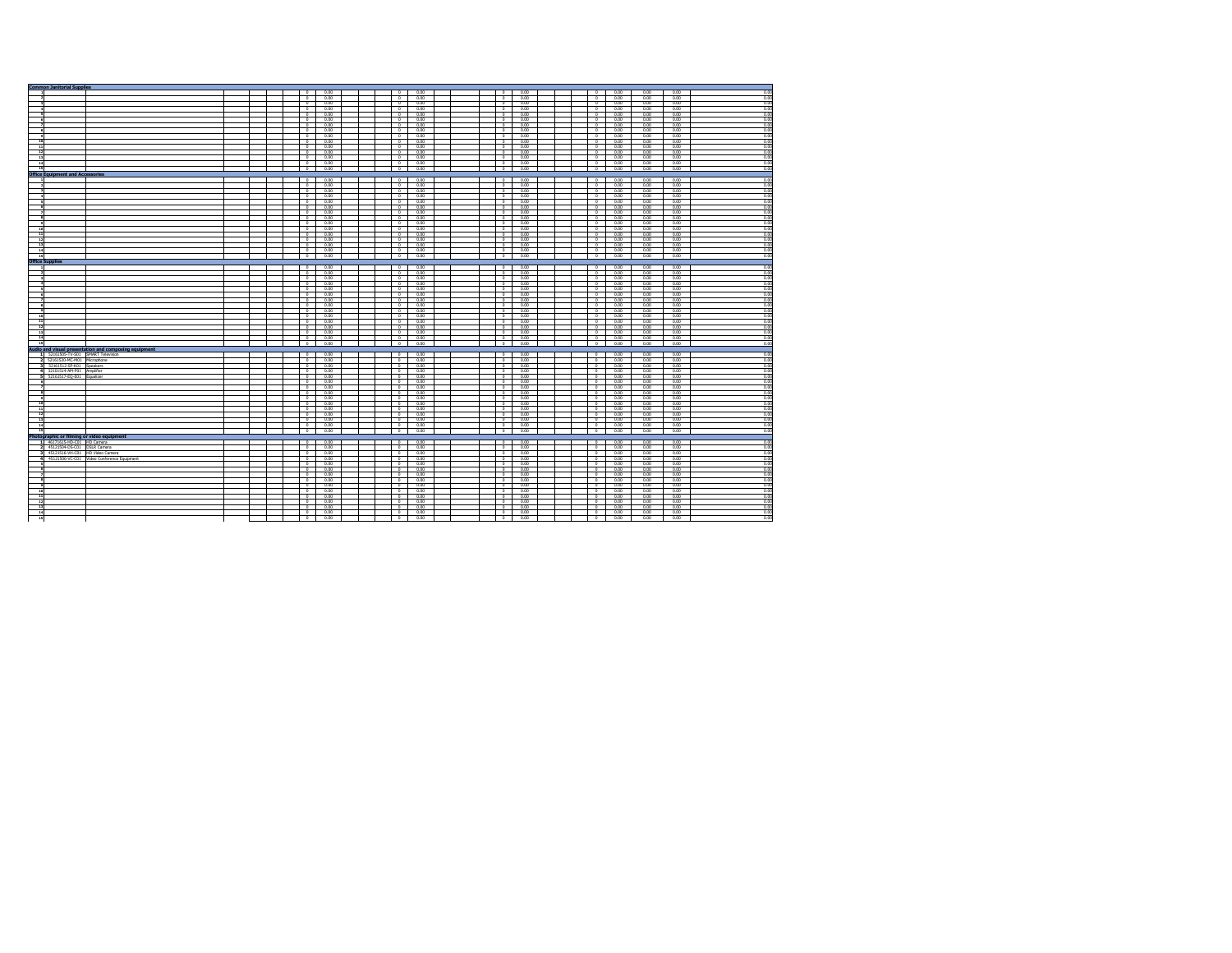|                          | <b>Common Janitorial Supplies</b>       |                                                       |  |  |                                                      |              |  |                           |              |                                     |              |                          |              |                |             |                                                                                              |
|--------------------------|-----------------------------------------|-------------------------------------------------------|--|--|------------------------------------------------------|--------------|--|---------------------------|--------------|-------------------------------------|--------------|--------------------------|--------------|----------------|-------------|----------------------------------------------------------------------------------------------|
|                          |                                         |                                                       |  |  | $\circ$                                              | 0.00         |  | $\theta$                  | 0.00         | $\circ$                             | 0.00         | $^{\circ}$               | 0.00         | 0.00           | 0.00        | 0.00                                                                                         |
|                          |                                         |                                                       |  |  | $\overline{0}$                                       | 0.00         |  | $\Omega$                  | 0.00         | $\circ$                             | 0.00         | $\Omega$                 | 0.00         | 0.00           | 0.00        | 0.00                                                                                         |
|                          |                                         |                                                       |  |  | $\overline{\phantom{a}}$                             | 0.00         |  | $\overline{a}$            | 0.00         | o.                                  | 0.00         | $\overline{a}$           | 0.00         | 0.00           | n m         | 0.00                                                                                         |
|                          |                                         |                                                       |  |  | $^{\circ}$                                           | 0.00         |  | $^{\circ}$                | 0.00         | $\overline{0}$                      | 0.00         | $^{\circ}$               | 0.00         | 0.00           | 0.00        | 0.00                                                                                         |
|                          |                                         |                                                       |  |  | $\overline{0}$                                       | 0.00         |  | $\overline{0}$            | 0.00         | $\overline{a}$                      | 0.00         | $\overline{0}$           | 0.00         | 0.00           | 0.00        | 0.00                                                                                         |
| $\sim$                   |                                         |                                                       |  |  | $\circ$                                              | 0.00         |  | $\mathbf{a}$              | 0.00         | $\Omega$                            | 0.00         | $\theta$                 | 0.00         | 0.00           | 0.00        | 0.00                                                                                         |
|                          |                                         |                                                       |  |  | $\overline{\phantom{a}}$                             | 0.00         |  | $\mathbf{a}$              | 0.00         | $^{\circ}$                          | 0.00         | $\Omega$                 | 0.00         | 0.00           | n m         | 0.00                                                                                         |
|                          |                                         |                                                       |  |  | $\overline{\ }$                                      | 0.00         |  | $\Omega$                  | 0.00         | $\overline{0}$                      | 0.00         | $\Omega$                 | 0.00         | 0.00           | 0.00        | 0.00                                                                                         |
| $\bullet$                |                                         |                                                       |  |  | $\circ$                                              | 0.00         |  | $\mathbf{a}$              | 0.00         | $\circ$                             | 0.00         | $\theta$                 | 0.00         | 0.00           | 0.00        | 0.00                                                                                         |
| 10                       |                                         |                                                       |  |  | $\overline{\ }$                                      | 0.00         |  | $\overline{ }$            | 0.00         | $\Omega$                            | 0.00         | $\overline{ }$           | 000          | 0.00           | n m         | 0.00                                                                                         |
|                          |                                         |                                                       |  |  |                                                      |              |  |                           |              |                                     |              |                          |              |                |             |                                                                                              |
| $\overline{11}$          |                                         |                                                       |  |  | $\overline{\ }$                                      | 0.00         |  | $\overline{\phantom{a}}$  | 0.00         | <b>o</b>                            | 0.00         | $\overline{0}$           | 0.00         | 0.00           | 0.00        | 0.00                                                                                         |
| $\overline{12}$          |                                         |                                                       |  |  | $\overline{\phantom{a}}$                             | 0.00         |  | $\overline{a}$            | 0.00         | .<br>.                              | 0.00         | $\overline{0}$           | 0.00         | 0.00           | 0.00        | 0.00                                                                                         |
| 13                       |                                         |                                                       |  |  | $\Omega$                                             | 0.00         |  | $\mathbf{a}$              | 0.00         | $\sim$                              | 0.00         | $\Omega$                 | 0.00         | 0.00           | n m         | 0.00                                                                                         |
| 14                       |                                         |                                                       |  |  | $\circ$                                              | 0.00         |  | $\circ$                   | 0.00         | $\circ$                             | 0.00         | $\circ$                  | 0.00         | 0.00           | 0.00        | 0.00                                                                                         |
| 15                       |                                         |                                                       |  |  | $\overline{\phantom{a}}$                             | 0.00         |  | $\overline{\ }$           | 0.00         | $\overline{0}$                      | 0.00         | $\overline{0}$           | 0.00         | 0.00           | 0.00        | 0.00                                                                                         |
|                          | <b>Office Equipment and Accessories</b> |                                                       |  |  |                                                      |              |  |                           |              |                                     |              |                          |              |                |             |                                                                                              |
|                          |                                         |                                                       |  |  | $\overline{\phantom{a}}$                             | 0.00         |  | $^{\circ}$                | 0.00         | $^{\circ}$                          | 0.00         | $\overline{0}$           | 0.00         | 0.00           | 0.00        | 0.00                                                                                         |
|                          |                                         |                                                       |  |  | $\overline{\phantom{a}}$                             | 0.00         |  | $\overline{0}$            | 0.00         | $\circ$                             | 0.00         | $\overline{ }$           | 0.00         | 0.00           | 0.00        | 0.00                                                                                         |
|                          |                                         |                                                       |  |  | $\overline{\phantom{a}}$                             | 0.00         |  | $\sim$                    | 0.00         | $^{\circ}$                          | 0.00         | $\Omega$                 | 0.00         | 0.00           | 0.00        | 0.00                                                                                         |
| $\overline{\phantom{a}}$ |                                         |                                                       |  |  | $\overline{\phantom{a}}$                             | 0.00         |  | $^{\circ}$                | 0.00         | $\circ$                             | 0.00         | $\circ$                  | 0.00         | 0.00           | 0.00        | 0.00                                                                                         |
|                          |                                         |                                                       |  |  | - 0                                                  | 0.00         |  | $^{\circ}$                | 0.00         | $^{\circ}$                          | 0.00         | $^{\circ}$               | 0.00         | 0.00           | 0.00        | 0.00                                                                                         |
| и                        |                                         |                                                       |  |  |                                                      |              |  | $\overline{0}$            |              |                                     |              |                          |              |                |             |                                                                                              |
|                          |                                         |                                                       |  |  | $\overline{0}$                                       | 0.00         |  |                           | 0.00         | $\overline{0}$                      | 0.00         | $^{\circ}$               | 0.00         | 0.00           | 0.00        | 0.00                                                                                         |
| $\mathbf{z}$             |                                         |                                                       |  |  | $\circ$                                              | 0.00         |  | $\sim$                    | 0.00         | $\circ$                             | 0.00         | $\theta$                 | 0.00         | 0.00           | 0.00        | 0.00                                                                                         |
| $\overline{\phantom{a}}$ |                                         |                                                       |  |  | $\overline{\ }$                                      | 0.00         |  | $\sim$                    | 0.00         | $\Omega$                            | 0.00         | $\theta$                 | 0.00         | 0.00           | 0.00        | 0.00                                                                                         |
|                          |                                         |                                                       |  |  | $\overline{\ }$                                      | 0.00         |  | $\overline{ }$            | 0.00         | o.                                  | 0.00         | $\overline{0}$           | 0.00         | 0.00           | 0.00        | 0.00                                                                                         |
| 10                       |                                         |                                                       |  |  | $\circ$                                              | 0.00         |  | $\mathbf{a}$              | 0.00         | $\circ$                             | 0.00         | $\circ$                  | 0.00         | 0.00           | 0.00        | 0.00                                                                                         |
| 11                       |                                         |                                                       |  |  | $\circ$                                              | 0.00         |  | $\circ$                   | 0.00         | $\circ$                             | 0.00         | $\circ$                  | 0.00         | 0.00           | 0.00        | 0.00                                                                                         |
| $\overline{12}$          |                                         |                                                       |  |  | $\overline{\ }$                                      | 0.00         |  | $^{\circ}$                | 0.00         | $\overline{0}$                      | 0.00         | $^{\circ}$               | 0.00         | 0.00           | 0.00        | 0.00                                                                                         |
| -13                      |                                         |                                                       |  |  | $\overline{\phantom{a}}$                             | 0.00         |  | $^{\circ}$                | 0.00         | $\circ$                             | 0.00         | $^{\circ}$               | 0.00         | 0.00           | 0.00        | 0.00                                                                                         |
| $\overline{14}$          |                                         |                                                       |  |  | $\overline{a}$                                       | 000          |  | $\sim$                    | 0.00         | $\sim$                              | 0.00         | $\overline{a}$           | 000          | 0.00           | n m         | 0.00                                                                                         |
| 15                       |                                         |                                                       |  |  | $\circ$                                              | 0.00         |  | $\sim$                    | 0.00         | $\circ$                             | 0.00         | $\circ$                  | 0.00         | 0.00           | 0.00        | 0.00                                                                                         |
|                          |                                         |                                                       |  |  |                                                      |              |  |                           |              |                                     |              |                          |              |                |             |                                                                                              |
|                          | <b>Office Supplies</b>                  |                                                       |  |  |                                                      |              |  | $\overline{1}$            |              |                                     |              |                          |              |                |             |                                                                                              |
|                          |                                         |                                                       |  |  | $\circ$                                              | 0.00         |  |                           | 0.00         | $\overline{\phantom{a}}$            | 0.00         | $\overline{\phantom{a}}$ | 0.00         | 0.00           | 0.00        | 0.00                                                                                         |
|                          |                                         |                                                       |  |  | $\overline{\phantom{a}}$                             | 0.00         |  | $\overline{0}$            | 0.00         | $\overline{a}$                      | 0.00         | $\overline{0}$           | 0.00         | nm             | 0.00        | nn                                                                                           |
|                          |                                         |                                                       |  |  | $\circ$                                              | 0.00         |  | $\sim$                    | 0.00         | $\circ$                             | 0.00         | $^{\circ}$               | 0.00         | 0.00           | 0.00        | 0.00                                                                                         |
|                          |                                         |                                                       |  |  | $^{\circ}$                                           | 0.00         |  | $\sim$                    | 0.00         | $^{\circ}$                          | 0.00         | $\Omega$                 | 0.00         | 0.00           | 0.00        | 0.00                                                                                         |
|                          |                                         |                                                       |  |  | $\overline{\phantom{a}}$                             | 0.00         |  | $\overline{\phantom{a}}$  | 0.00         | $\circ$                             | 0.00         | $\overline{ }$           | 0.00         | 0.00           | 0.00        | 0.00                                                                                         |
| $\epsilon$               |                                         |                                                       |  |  | $\overline{\phantom{a}}$                             | 0.00         |  | $\overline{\ }$           | 0.00         | $\circ$                             | 0.00         | $\overline{ }$           | 0.00         | 0.00           | 0.00        | 0.00                                                                                         |
|                          |                                         |                                                       |  |  | $\overline{\ }$                                      | 0.00         |  | $\overline{ }$            | 0.00         | $\overline{0}$                      | 0.00         | $\overline{0}$           | 0.00         | 0.00           | 0.00        | 0.00                                                                                         |
| л.                       |                                         |                                                       |  |  | $\circ$                                              | 0.00         |  | $\sim$                    | 0.00         | $\circ$                             | 0.00         | $\sim$                   | 0.00         | 0.00           | 0.00        | 0.00                                                                                         |
| ٠                        |                                         |                                                       |  |  | $\circ$                                              | 0.00         |  | $\mathbf{a}$              | 0.00         | $\circ$                             | 0.00         | $^{\circ}$               | 0.00         | 0.00           | 0.00        | 0.00                                                                                         |
| 10                       |                                         |                                                       |  |  | $\overline{\ }$                                      | 0.00         |  | $\theta$                  | 0.00         | $\overline{0}$                      | 0.00         | $\Omega$                 | 0.00         | 0.00           | 0.00        | 0.00                                                                                         |
| $\overline{\mathbf{u}}$  |                                         |                                                       |  |  | $\overline{\phantom{a}}$                             | 0.00         |  | $\overline{0}$            | 0.00         | $\circ$                             | 0.00         | $\Omega$                 | 0.00         | 0.00           | 0.00        | 0.00                                                                                         |
|                          |                                         |                                                       |  |  | $\overline{\phantom{a}}$                             | 000          |  | $\overline{\ }$           | 0.00         |                                     | 0.00         | $\overline{ }$           | 0.00         | 0.00           | n m         | 0.00                                                                                         |
| 12                       |                                         |                                                       |  |  |                                                      |              |  |                           |              | $\overline{0}$                      |              |                          |              |                |             |                                                                                              |
| L,                       |                                         |                                                       |  |  | $\circ$                                              | 0.00         |  | $\overline{\phantom{a}}$  | 0.00         | $\overline{\phantom{a}}$            | 0.00         | $\overline{0}$           | 0.00         | 0.00           | 0.00        | 0.00                                                                                         |
| $\overline{14}$          |                                         |                                                       |  |  | $\overline{\phantom{a}}$                             | 0.00         |  | $\overline{0}$            | 0.00         | $\overline{\phantom{a}}$            | 0.00         | $^{\circ}$               | 0.00         | 0.00           | 0.00        | 0.00                                                                                         |
| - 15                     |                                         |                                                       |  |  | $\circ$                                              | 0.00         |  | $\mathbf{a}$              | 0.00         | $\circ$                             | 0.00         | $\mathbf{a}$             | 0.00         | 0.00           | 0.00        | 0.00                                                                                         |
|                          |                                         | Audio and visual presentation and composing equipment |  |  |                                                      |              |  |                           |              |                                     |              |                          |              |                |             |                                                                                              |
|                          | 1 52161505-TV-S01 SMART Television      |                                                       |  |  | $\circ$                                              | 0.00         |  | $\sqrt{2}$                | 0.00         | $^{\circ}$                          | 0.00         | $^{\circ}$               | 0.00         | 0.00           | 0.00        | 0.00                                                                                         |
|                          | 2 52161520-MC-M01 Microphone            |                                                       |  |  | $\circ$                                              | 0.00         |  | $\Omega$                  | 0.00         | $\circ$                             | 0.00         | $\Omega$                 | 0.00         | 0.00           | 0.00        | 0.00                                                                                         |
|                          | 3 52161512-SP-K01 Speakers              |                                                       |  |  | n.                                                   | 000          |  | $\overline{ }$            | non          | $\overline{a}$                      | 0.00         | $\overline{ }$           | 000          | n <sub>n</sub> | n m         | 0.00                                                                                         |
|                          | 4 32101514-AM-P01 Amplifier             |                                                       |  |  | $\overline{\phantom{a}}$                             | 0.00         |  | $\overline{\ }$           | 0.00         | $\circ$                             | 0.00         | $\overline{ }$           | 0.00         | 0.00           | 0.00        | 0.00                                                                                         |
|                          | 5 52161517-EO-E01 Equalizer             |                                                       |  |  | P                                                    | 0.00         |  | $\overline{a}$            | 0.00         | $\overline{a}$                      | 0.00         | $\overline{ }$           | 0.00         | 0.00           | 0.00        | 0.00                                                                                         |
|                          |                                         |                                                       |  |  | $\circ$                                              | 0.00         |  | $^{\circ}$                | 0.00         | $\circ$                             | 0.00         | $\circ$                  | 0.00         | 0.00           | 0.00        | 0.00                                                                                         |
| $\mathbf{z}$             |                                         |                                                       |  |  | $\circ$                                              | 0.00         |  | $\circ$                   | 0.00         | $\circ$                             | 0.00         | $^{\circ}$               | 0.00         | 0.00           | 0.00        | 0.00                                                                                         |
| ø.                       |                                         |                                                       |  |  | $\overline{\ }$                                      | 0.00         |  | $\circ$                   | 0.00         | $\overline{0}$                      | 0.00         | $^{\circ}$               | 0.00         | 0.00           | 0.00        | 0.00                                                                                         |
|                          |                                         |                                                       |  |  |                                                      |              |  |                           |              |                                     |              | $\Omega$                 |              |                |             |                                                                                              |
|                          |                                         |                                                       |  |  | $\circ$<br>- 0                                       | 0.00<br>0.00 |  | $\circ$<br>$\overline{ }$ | 0.00<br>0.00 | $\circ$                             | 0.00<br>0.00 | $\overline{ }$           | 0.00<br>0.00 | 0.00<br>nm     | 0.00<br>n m | 0.00<br>0.00                                                                                 |
| 10 <sup>1</sup>          |                                         |                                                       |  |  |                                                      |              |  |                           |              | $\overline{\phantom{a}}$            |              |                          |              |                |             |                                                                                              |
| $\overline{\mathbf{u}}$  |                                         |                                                       |  |  | $\overline{\ }$                                      | 0.00         |  | $\overline{ }$            | 0.00         | $\overline{0}$                      | 0.00         | $\overline{0}$           | 0.00         | 0.00           | 0.00        | 0.00                                                                                         |
| $\overline{12}$          |                                         |                                                       |  |  | $\overline{\phantom{a}}$                             | 0.00         |  | $\overline{ }$            | 0.00         | o.                                  | 0.00         | $\overline{0}$           | 0.00         | 0.00           | 0.00        | 0.00                                                                                         |
| 13                       |                                         |                                                       |  |  | $\circ$                                              | 0.00         |  | $\circ$                   | 0.00         | $\circ$                             | 0.00         | $\circ$                  | 0.00         | 0.00           | 0.00        | 0.00                                                                                         |
| 14                       |                                         |                                                       |  |  | $\overline{\ }$                                      | 0.00         |  | $\overline{a}$            | 0.00         | $^{\circ}$                          | 0.00         | $\overline{0}$           | 0.00         | 0.00           | 0.00        | 0.00                                                                                         |
|                          |                                         |                                                       |  |  | $\overline{\ }$                                      | 0.00         |  | $\overline{\ }$           | 0.00         | $\overline{0}$                      |              |                          |              |                |             |                                                                                              |
| 15                       |                                         |                                                       |  |  |                                                      |              |  |                           |              |                                     | 0.00         | $\overline{\ }$          | 0.00         | 0.00           | 0.00        |                                                                                              |
|                          |                                         | Photographic or filming or video equipment            |  |  |                                                      |              |  |                           |              |                                     |              |                          |              |                |             |                                                                                              |
|                          | 1 46171615-HD-C01 HD Camera             |                                                       |  |  | $\overline{\phantom{a}}$                             | 0.00         |  | $\overline{a}$            |              | o.                                  | 0.00         | $\overline{a}$           | 0.00         | 0.00           | 0.00        | 0.00                                                                                         |
|                          |                                         |                                                       |  |  | $\overline{a}$                                       | 000          |  | $\overline{ }$            | 0.00         | $\Omega$                            |              | $\overline{ }$           | 000          | 0.00           |             |                                                                                              |
|                          | 2 45121504-DS-C01 DSLR Camera           |                                                       |  |  |                                                      |              |  |                           | 0.00         |                                     | 0.00         |                          |              |                | 0.00        |                                                                                              |
|                          | 3 45121516-VH-C01 HD Video Camera       |                                                       |  |  | $\overline{\phantom{a}}$                             | 0.00         |  | $\overline{0}$            | 0.00         | $\overline{\phantom{a}}$            | 0.00         | $\overline{0}$           | 0.00         | 0.00           | 0.00        |                                                                                              |
|                          |                                         | 4 45121506-VC-CO1 Video Conference Equipment          |  |  | $\overline{\phantom{a}}$                             | 0.00         |  | $\overline{0}$            | 0.00         | $\overline{a}$                      | 0.00         | $\overline{0}$           | 0.00         | 0.00           | 0.00        |                                                                                              |
|                          |                                         |                                                       |  |  | $\circ$                                              | 0.00         |  | $\sim$                    | 0.00         | $\circ$                             | 0.00         | $^{\circ}$               | 0.00         | 0.00           | 0.00        |                                                                                              |
|                          |                                         |                                                       |  |  | $\overline{\ }$                                      | 0.00         |  | $\overline{ }$            | 0.00         | $\overline{0}$                      | 0.00         | $\overline{0}$           | 0.00         | 0.00           | 0.00        |                                                                                              |
|                          |                                         |                                                       |  |  | $\overline{\phantom{a}}$                             | 0.00         |  | $\overline{0}$            | 0.00         | $\circ$                             | 0.00         | $^{\circ}$               | 0.00         | 0.00           | 0.00        |                                                                                              |
|                          |                                         |                                                       |  |  | $\overline{\phantom{a}}$                             | 0.00         |  | $\overline{a}$            | 0.00         | $\circ$                             | 0.00         | $\sim$                   | 0.00         | 0.00           | 0.00        |                                                                                              |
|                          |                                         |                                                       |  |  | $\overline{\bullet}$                                 | 0.00         |  | $\overline{ }$            | 0.00         | °                                   | 0.00         | $\overline{0}$           | 0.00         | 0.00           | 0.00        |                                                                                              |
| 10                       |                                         |                                                       |  |  | $\circ$                                              | 0.00         |  | $\mathbf{a}$              | 0.00         | $\circ$                             | 0.00         | $\circ$                  | 0.00         | 0.00           | 0.00        |                                                                                              |
| 11                       |                                         |                                                       |  |  | $\overline{a}$                                       | 0.00         |  | $\overline{ }$            | 0.00         | $\Omega$                            | 0.00         | $\circ$                  | 0.00         | nm             | nm          |                                                                                              |
| 12                       |                                         |                                                       |  |  | $\overline{\ }$                                      | 0.00         |  | $\theta$                  | 0.00         | $\Omega$                            | 0.00         | $\overline{0}$           | 0.00         | 0.00           | 0.00        |                                                                                              |
| - 13                     |                                         |                                                       |  |  | $\overline{0}$                                       |              |  | $\overline{\ }$           |              | $\overline{0}$                      | 0.00         | $\overline{ }$           |              |                | 0.00        | 0.00<br>0.00<br>0.00<br>0.00<br>0.00<br>0.00<br>0.00<br>0.00<br>0.00<br>0.00<br>0.00<br>0.00 |
|                          |                                         |                                                       |  |  |                                                      | 0.00         |  | $\overline{\ }$           | 0.00         |                                     |              | $\overline{0}$           | 0.00         | 0.00<br>0.00   | 0.00        | 0.00                                                                                         |
| 14<br>15                 |                                         |                                                       |  |  | $\overline{\phantom{a}}$<br>$\overline{\phantom{a}}$ | 0.00<br>0.00 |  | $\overline{\ }$           | 0.00<br>0.00 | $\circ$<br>$\overline{\phantom{a}}$ | 0.00<br>0.00 | $\overline{0}$           | 0.00<br>0.00 | 0.00           | 0.00        | 0.00<br>0.00                                                                                 |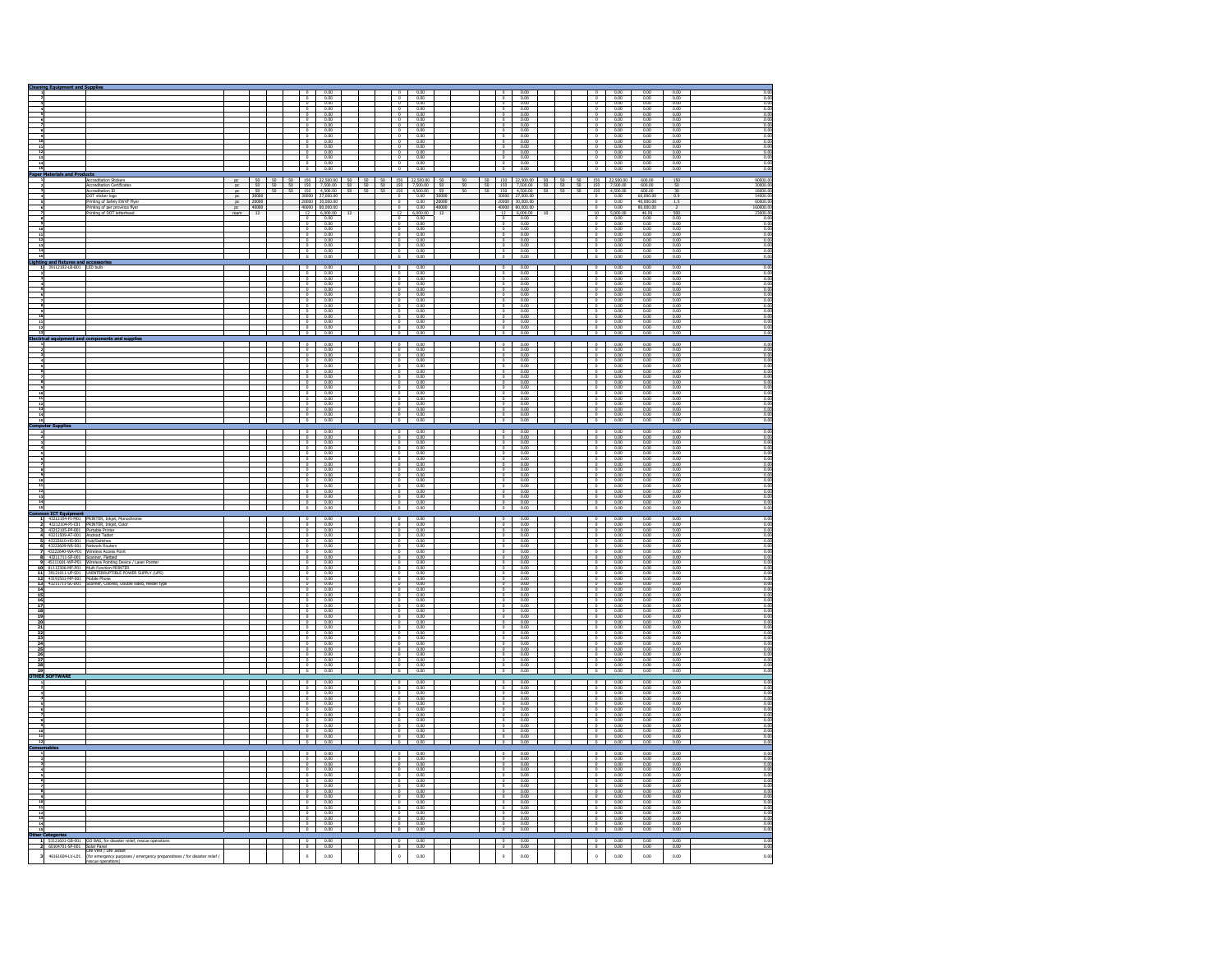|                                               | <b>Cleaning Equipment and Supplies</b>                                                                                  |                                                                                                                                                                                                                                                  |                    |  |                                                      |                                                                                                                                                                                                                                                                                                                                                                                                                  |        |                                                  |                                                                                                                                                                                                                                                                                                                                                                                       |    |                                  |                                                                                                                                                                                                                                                                                                                                                                                                                                                                                 |                                                                                                                                                                                                                                                                                                                       |  |                                                                                                                                                                                                                                                                                                                                                                                                                                                                  |                                                                                                                                                                                                                                                                                                                |                                                                                                                                                                                                                                                                                                                                                                                                                          |                                                                                                                                                                                                                                                                                                                 |                                                                                                                                                        |
|-----------------------------------------------|-------------------------------------------------------------------------------------------------------------------------|--------------------------------------------------------------------------------------------------------------------------------------------------------------------------------------------------------------------------------------------------|--------------------|--|------------------------------------------------------|------------------------------------------------------------------------------------------------------------------------------------------------------------------------------------------------------------------------------------------------------------------------------------------------------------------------------------------------------------------------------------------------------------------|--------|--------------------------------------------------|---------------------------------------------------------------------------------------------------------------------------------------------------------------------------------------------------------------------------------------------------------------------------------------------------------------------------------------------------------------------------------------|----|----------------------------------|---------------------------------------------------------------------------------------------------------------------------------------------------------------------------------------------------------------------------------------------------------------------------------------------------------------------------------------------------------------------------------------------------------------------------------------------------------------------------------|-----------------------------------------------------------------------------------------------------------------------------------------------------------------------------------------------------------------------------------------------------------------------------------------------------------------------|--|------------------------------------------------------------------------------------------------------------------------------------------------------------------------------------------------------------------------------------------------------------------------------------------------------------------------------------------------------------------------------------------------------------------------------------------------------------------|----------------------------------------------------------------------------------------------------------------------------------------------------------------------------------------------------------------------------------------------------------------------------------------------------------------|--------------------------------------------------------------------------------------------------------------------------------------------------------------------------------------------------------------------------------------------------------------------------------------------------------------------------------------------------------------------------------------------------------------------------|-----------------------------------------------------------------------------------------------------------------------------------------------------------------------------------------------------------------------------------------------------------------------------------------------------------------|--------------------------------------------------------------------------------------------------------------------------------------------------------|
|                                               |                                                                                                                         |                                                                                                                                                                                                                                                  |                    |  |                                                      | $\begin{array}{r}\n 0.00 \\  \hline\n 0.00 \\  \hline\n 0.00 \\  \hline\n 0.00\n \end{array}$                                                                                                                                                                                                                                                                                                                    |        |                                                  | $\begin{array}{r}\n 0.00 \\  \hline\n 0.00 \\  \hline\n 0.00 \\  \hline\n 0.00 \\  \hline\n 0.00\n \end{array}$                                                                                                                                                                                                                                                                       |    |                                  |                                                                                                                                                                                                                                                                                                                                                                                                                                                                                 | $\begin{array}{r} 0.00 \\ \hline 0.00 \\ \hline 0.00 \\ \hline 0.00 \end{array}$                                                                                                                                                                                                                                      |  |                                                                                                                                                                                                                                                                                                                                                                                                                                                                  | $\begin{array}{r} 0.00 \\ 0.00 \\ \hline 0.00 \\ 0.00 \\ \hline 0.00 \end{array}$                                                                                                                                                                                                                              | $0.00$<br>0.00<br>0.00<br>0.00                                                                                                                                                                                                                                                                                                                                                                                           | $\begin{array}{r} 0.00 \\ \hline 0.00 \\ \hline 0.00 \\ \hline 0.00 \\ \hline 0.00 \end{array}$                                                                                                                                                                                                                 | $\begin{array}{r} 0.00 \\ \hline 0.00 \\ \hline 0.00 \\ \hline 0.00 \\ \hline 0.00 \\ \hline 0.00 \\ \hline 0.00 \\ \hline 0.00 \\ \hline \end{array}$ |
|                                               |                                                                                                                         |                                                                                                                                                                                                                                                  |                    |  |                                                      |                                                                                                                                                                                                                                                                                                                                                                                                                  |        |                                                  |                                                                                                                                                                                                                                                                                                                                                                                       |    |                                  |                                                                                                                                                                                                                                                                                                                                                                                                                                                                                 |                                                                                                                                                                                                                                                                                                                       |  |                                                                                                                                                                                                                                                                                                                                                                                                                                                                  |                                                                                                                                                                                                                                                                                                                |                                                                                                                                                                                                                                                                                                                                                                                                                          |                                                                                                                                                                                                                                                                                                                 |                                                                                                                                                        |
|                                               |                                                                                                                         |                                                                                                                                                                                                                                                  |                    |  | $\circ$                                              | $\frac{0.00}{0.00}$                                                                                                                                                                                                                                                                                                                                                                                              |        | $\circ$                                          | $\frac{0.00}{0.00}$                                                                                                                                                                                                                                                                                                                                                                   |    |                                  |                                                                                                                                                                                                                                                                                                                                                                                                                                                                                 | 0.00                                                                                                                                                                                                                                                                                                                  |  | $\circ$                                                                                                                                                                                                                                                                                                                                                                                                                                                          | 0.00                                                                                                                                                                                                                                                                                                           | 0.00                                                                                                                                                                                                                                                                                                                                                                                                                     | $\frac{0.00}{0.00}$                                                                                                                                                                                                                                                                                             |                                                                                                                                                        |
|                                               |                                                                                                                         |                                                                                                                                                                                                                                                  |                    |  | $^{\circ}$<br>$\circ$                                | 0.00                                                                                                                                                                                                                                                                                                                                                                                                             |        | $\circ$                                          | 0.00                                                                                                                                                                                                                                                                                                                                                                                  |    | $^{\circ}$                       |                                                                                                                                                                                                                                                                                                                                                                                                                                                                                 | $0.00$<br>$0.00$                                                                                                                                                                                                                                                                                                      |  | $\frac{1}{\sigma}$<br>$\mathbf{0}$                                                                                                                                                                                                                                                                                                                                                                                                                               | $0.00$<br>$0.00$<br>0.00                                                                                                                                                                                                                                                                                       | $0.00$<br>$0.00$<br>0.00                                                                                                                                                                                                                                                                                                                                                                                                 |                                                                                                                                                                                                                                                                                                                 | 0.00                                                                                                                                                   |
|                                               |                                                                                                                         |                                                                                                                                                                                                                                                  |                    |  |                                                      |                                                                                                                                                                                                                                                                                                                                                                                                                  |        |                                                  |                                                                                                                                                                                                                                                                                                                                                                                       |    |                                  |                                                                                                                                                                                                                                                                                                                                                                                                                                                                                 |                                                                                                                                                                                                                                                                                                                       |  |                                                                                                                                                                                                                                                                                                                                                                                                                                                                  |                                                                                                                                                                                                                                                                                                                |                                                                                                                                                                                                                                                                                                                                                                                                                          |                                                                                                                                                                                                                                                                                                                 |                                                                                                                                                        |
|                                               |                                                                                                                         |                                                                                                                                                                                                                                                  |                    |  | $\frac{1}{2}$                                        | $\begin{array}{r l}\n\hline\n0.00 \\ \hline\n0.00 \\ \hline\n0.00 \\ \hline\n0.00 \\ \hline\n0.00 \\ \hline\n0.00 \\ \hline\n0.00 \\ \hline\n0.00 \\ \hline\n0.00 \\ \hline\n0.00 \\ \hline\n0.00 \\ \hline\n0.00 \\ \hline\n0.00 \\ \hline\n0.00 \\ \hline\n0.00 \\ \hline\n0.00 \\ \hline\n0.00 \\ \hline\n0.00 \\ \hline\n0.00 \\ \hline\n0.00 \\ \hline\n0.00 \\ \hline\n0.00 \\ \hline\n0.00 \\ \hline$     |        | $\frac{1}{\sigma}$                               | $\begin{array}{r l} \hline 0.00 \\ \hline 0.00 \\ \hline 0.00 \\ \hline 0.00 \\ \hline 0.00 \\ \hline 0.00 \\ \hline 0.00 \\ \hline 0.00 \\ \hline 0.00 \\ \hline 0.00 \\ \hline 0.00 \\ \hline 0.00 \\ \hline 0.00 \\ \hline 0.00 \\ \hline 0.00 \\ \hline 0.00 \\ \hline 0.00 \\ \hline 0.00 \\ \hline 0.00 \\ \hline 0.00 \\ \hline 0.00 \\ \hline 0.00 \\ \hline 0.00 \\ \hline $ |    |                                  | $rac{8}{6}$                                                                                                                                                                                                                                                                                                                                                                                                                                                                     | $\begin{array}{r} 0.00 \\ 0.00 \\ 0.00 \\ 0.00 \\ 0.00 \\ 0.00 \\ 0.00 \\ 0.00 \\ 0.00 \\ 0.00 \\ \end{array}$                                                                                                                                                                                                        |  |                                                                                                                                                                                                                                                                                                                                                                                                                                                                  | $\begin{array}{ c c c } \hline 0 & 0.00 & 0.00 \ \hline 0 & 0.00 & 0.00 \ \hline 0 & 0.00 & 0.00 \ \hline 0 & 0.00 & 0.00 \ \hline 0 & 0.00 & 0.00 \ \hline \end{array}$                                                                                                                                       | $\begin{array}{r}\n 0.00 \\  -0.00 \\  0.00 \\  0.00 \\  -0.00 \\  0.00 \\  0.00 \\  0.00\n \end{array}$                                                                                                                                                                                                                                                                                                                 | $\begin{array}{ c c } \hline 0.00 \\ \hline 0.00 \\ \hline 0.00 \\ \hline 0.00 \\ \hline 0.00 \\ \hline 0.00 \\ \hline 0.00 \\ \hline 0.00 \\ \hline 0.00 \\ \hline 0.00 \\ \hline 0.00 \\ \hline 0.00 \\ \hline \end{array}$                                                                                   |                                                                                                                                                        |
|                                               |                                                                                                                         |                                                                                                                                                                                                                                                  |                    |  | $rac{1}{2}$                                          |                                                                                                                                                                                                                                                                                                                                                                                                                  |        | $\frac{1}{\sqrt{2}}$                             |                                                                                                                                                                                                                                                                                                                                                                                       |    |                                  | $rac{1}{\circ}$                                                                                                                                                                                                                                                                                                                                                                                                                                                                 |                                                                                                                                                                                                                                                                                                                       |  |                                                                                                                                                                                                                                                                                                                                                                                                                                                                  |                                                                                                                                                                                                                                                                                                                |                                                                                                                                                                                                                                                                                                                                                                                                                          |                                                                                                                                                                                                                                                                                                                 |                                                                                                                                                        |
|                                               |                                                                                                                         |                                                                                                                                                                                                                                                  |                    |  |                                                      |                                                                                                                                                                                                                                                                                                                                                                                                                  |        |                                                  |                                                                                                                                                                                                                                                                                                                                                                                       |    |                                  |                                                                                                                                                                                                                                                                                                                                                                                                                                                                                 |                                                                                                                                                                                                                                                                                                                       |  |                                                                                                                                                                                                                                                                                                                                                                                                                                                                  |                                                                                                                                                                                                                                                                                                                |                                                                                                                                                                                                                                                                                                                                                                                                                          |                                                                                                                                                                                                                                                                                                                 |                                                                                                                                                        |
|                                               | <b>Paper Materials and Products</b>                                                                                     |                                                                                                                                                                                                                                                  |                    |  |                                                      |                                                                                                                                                                                                                                                                                                                                                                                                                  |        |                                                  |                                                                                                                                                                                                                                                                                                                                                                                       |    |                                  |                                                                                                                                                                                                                                                                                                                                                                                                                                                                                 |                                                                                                                                                                                                                                                                                                                       |  |                                                                                                                                                                                                                                                                                                                                                                                                                                                                  |                                                                                                                                                                                                                                                                                                                |                                                                                                                                                                                                                                                                                                                                                                                                                          |                                                                                                                                                                                                                                                                                                                 |                                                                                                                                                        |
|                                               |                                                                                                                         | <b>Accreditation Stickers</b><br><b>Accreditation Certificates</b>                                                                                                                                                                               |                    |  |                                                      |                                                                                                                                                                                                                                                                                                                                                                                                                  |        |                                                  |                                                                                                                                                                                                                                                                                                                                                                                       | 50 |                                  |                                                                                                                                                                                                                                                                                                                                                                                                                                                                                 |                                                                                                                                                                                                                                                                                                                       |  |                                                                                                                                                                                                                                                                                                                                                                                                                                                                  |                                                                                                                                                                                                                                                                                                                | 600.00<br>600.00                                                                                                                                                                                                                                                                                                                                                                                                         | 150<br>50                                                                                                                                                                                                                                                                                                       | 90000.00<br>30000.00                                                                                                                                   |
|                                               |                                                                                                                         | reditation III                                                                                                                                                                                                                                   |                    |  |                                                      |                                                                                                                                                                                                                                                                                                                                                                                                                  |        |                                                  |                                                                                                                                                                                                                                                                                                                                                                                       |    |                                  |                                                                                                                                                                                                                                                                                                                                                                                                                                                                                 |                                                                                                                                                                                                                                                                                                                       |  |                                                                                                                                                                                                                                                                                                                                                                                                                                                                  |                                                                                                                                                                                                                                                                                                                |                                                                                                                                                                                                                                                                                                                                                                                                                          | $rac{30}{0.9}$                                                                                                                                                                                                                                                                                                  |                                                                                                                                                        |
|                                               |                                                                                                                         | DOT sticker logo<br>Printing of Safely EWVF Fly                                                                                                                                                                                                  |                    |  |                                                      |                                                                                                                                                                                                                                                                                                                                                                                                                  |        |                                                  |                                                                                                                                                                                                                                                                                                                                                                                       |    |                                  |                                                                                                                                                                                                                                                                                                                                                                                                                                                                                 |                                                                                                                                                                                                                                                                                                                       |  |                                                                                                                                                                                                                                                                                                                                                                                                                                                                  |                                                                                                                                                                                                                                                                                                                |                                                                                                                                                                                                                                                                                                                                                                                                                          |                                                                                                                                                                                                                                                                                                                 | 18000.00<br>54000.00<br>60000.00<br>160000.00                                                                                                          |
|                                               |                                                                                                                         | nting of per province fit<br>nting of DOT letterhead                                                                                                                                                                                             | $\frac{10000}{12}$ |  |                                                      |                                                                                                                                                                                                                                                                                                                                                                                                                  | $12\,$ |                                                  | $\begin{array}{c cc} \hline \frac{1}{0} & & & \\ \hline 0 & & & \\ \hline 0 & & & 0.00 \\ \hline 12 & & 6,000.00 \\ \hline 0 & & & 0.00 \\ \hline 0 & & & 0.00 \\ \hline 0 & & & 0.00 \\ \hline 0 & & & 0.00 \\ \hline 0 & & & 0.00 \\ \hline 0 & & & 0.0 \\ \hline \end{array}$<br>20000<br>40000                                                                                    |    |                                  |                                                                                                                                                                                                                                                                                                                                                                                                                                                                                 |                                                                                                                                                                                                                                                                                                                       |  |                                                                                                                                                                                                                                                                                                                                                                                                                                                                  |                                                                                                                                                                                                                                                                                                                | $\begin{array}{r}\n 600.00 \\  600.00 \\  60,000.00 \\  40,000.00 \\  80,000.00 \\  46.00 \\  0.00 \\  0.00 \\  0.00 \\  0.00\n\end{array}$                                                                                                                                                                                                                                                                              | $\begin{array}{r} 2 \\ 500 \\ 0.00 \\ 0.00 \\ 0.00 \\ 0.00 \\ 0.00 \\ 0.00 \\ 0.00 \\ 0.00 \\ 0.00 \\ 0.00 \\ 0.00 \\ 0.00 \\ 0.00 \\ 0.00 \\ 0.00 \\ 0.00 \\ 0.00 \\ 0.00 \\ 0.00 \\ 0.00 \\ 0.00 \\ 0.00 \\ 0.00 \\ 0.00 \\ 0.00 \\ 0.00 \\ 0.00 \\ 0.00 \\ 0.00 \\ 0.00 \\ 0.00 \\ 0.00 \\ 0.00 \\ 0.00 \\ $ |                                                                                                                                                        |
|                                               |                                                                                                                         |                                                                                                                                                                                                                                                  |                    |  |                                                      | $\begin{array}{c} 40000 & 80,00000 \\ 12 & 6,00000 \\ 0 & 0.00 \\ 0 & 0.00 \\ 0 & 0.00 \\ 0 & 0.00 \\ 0 & 0.00 \\ 0 & 0.00 \\ 0 & 0.00 \\ \end{array}$                                                                                                                                                                                                                                                           |        |                                                  |                                                                                                                                                                                                                                                                                                                                                                                       |    |                                  |                                                                                                                                                                                                                                                                                                                                                                                                                                                                                 |                                                                                                                                                                                                                                                                                                                       |  |                                                                                                                                                                                                                                                                                                                                                                                                                                                                  |                                                                                                                                                                                                                                                                                                                |                                                                                                                                                                                                                                                                                                                                                                                                                          |                                                                                                                                                                                                                                                                                                                 | $\frac{23000.00}{23000.00}$<br>0.00<br>0.00<br>0.00<br>0.00<br>0.00<br>0.00                                                                            |
|                                               |                                                                                                                         |                                                                                                                                                                                                                                                  |                    |  |                                                      |                                                                                                                                                                                                                                                                                                                                                                                                                  |        |                                                  |                                                                                                                                                                                                                                                                                                                                                                                       |    |                                  | $\circ$                                                                                                                                                                                                                                                                                                                                                                                                                                                                         |                                                                                                                                                                                                                                                                                                                       |  | $\circ$ 1                                                                                                                                                                                                                                                                                                                                                                                                                                                        | 0.00                                                                                                                                                                                                                                                                                                           | 0.00                                                                                                                                                                                                                                                                                                                                                                                                                     |                                                                                                                                                                                                                                                                                                                 |                                                                                                                                                        |
|                                               |                                                                                                                         |                                                                                                                                                                                                                                                  |                    |  |                                                      |                                                                                                                                                                                                                                                                                                                                                                                                                  |        |                                                  |                                                                                                                                                                                                                                                                                                                                                                                       |    |                                  | $\circ$                                                                                                                                                                                                                                                                                                                                                                                                                                                                         |                                                                                                                                                                                                                                                                                                                       |  | $\circ$                                                                                                                                                                                                                                                                                                                                                                                                                                                          | 0.00                                                                                                                                                                                                                                                                                                           | 0.00                                                                                                                                                                                                                                                                                                                                                                                                                     |                                                                                                                                                                                                                                                                                                                 |                                                                                                                                                        |
|                                               |                                                                                                                         |                                                                                                                                                                                                                                                  |                    |  |                                                      |                                                                                                                                                                                                                                                                                                                                                                                                                  |        | $\frac{0}{0}$                                    | $\frac{0.00}{0.00}$                                                                                                                                                                                                                                                                                                                                                                   |    |                                  | $\frac{0}{0}$<br>$\overline{0}$                                                                                                                                                                                                                                                                                                                                                                                                                                                 | $\begin{array}{r}\n 0.00 \\  \hline\n 0.00 \\  \hline\n 0.00 \\  \hline\n 0.00 \\  \hline\n 0.00\n \end{array}$                                                                                                                                                                                                       |  | $\frac{0}{0}$<br>$\circ$                                                                                                                                                                                                                                                                                                                                                                                                                                         | 0.00<br>0.00                                                                                                                                                                                                                                                                                                   | $0.00$<br>$0.00$<br>0.00                                                                                                                                                                                                                                                                                                                                                                                                 |                                                                                                                                                                                                                                                                                                                 |                                                                                                                                                        |
|                                               |                                                                                                                         |                                                                                                                                                                                                                                                  |                    |  | $\frac{1}{6}$                                        | 0.00                                                                                                                                                                                                                                                                                                                                                                                                             |        | $\frac{1}{\sqrt{2}}$                             | 0.00                                                                                                                                                                                                                                                                                                                                                                                  |    |                                  |                                                                                                                                                                                                                                                                                                                                                                                                                                                                                 | $0.00$<br>$0.00$                                                                                                                                                                                                                                                                                                      |  |                                                                                                                                                                                                                                                                                                                                                                                                                                                                  | 0.00                                                                                                                                                                                                                                                                                                           |                                                                                                                                                                                                                                                                                                                                                                                                                          | 0.00                                                                                                                                                                                                                                                                                                            |                                                                                                                                                        |
|                                               | Lighting and fixtures and accessories                                                                                   |                                                                                                                                                                                                                                                  |                    |  |                                                      |                                                                                                                                                                                                                                                                                                                                                                                                                  |        |                                                  |                                                                                                                                                                                                                                                                                                                                                                                       |    |                                  |                                                                                                                                                                                                                                                                                                                                                                                                                                                                                 |                                                                                                                                                                                                                                                                                                                       |  |                                                                                                                                                                                                                                                                                                                                                                                                                                                                  |                                                                                                                                                                                                                                                                                                                |                                                                                                                                                                                                                                                                                                                                                                                                                          |                                                                                                                                                                                                                                                                                                                 |                                                                                                                                                        |
|                                               | 1 39112102-LB-B01 LED bulb                                                                                              |                                                                                                                                                                                                                                                  |                    |  | $\frac{1}{\cdot}$                                    | $\begin{array}{r}\n 0.00 \\  \hline\n 0.00 \\  \hline\n 0.00 \\  \hline\n 0.00 \\  \hline\n 0.00 \\  \hline\n 0.00 \\  \hline\n 0.00 \\  \hline\n 0.00 \\  \hline\n 0.00 \\  \hline\n 0.00 \\  \hline\n 0.00 \\  \hline\n 0.00 \\  \hline\n 0.00 \\  \hline\n 0.00 \\  \hline\n 0.00 \\  \hline\n 0.00 \\  \hline\n 0.00 \\  \hline\n 0.00 \\  \hline\n 0.00 \\  \hline\n 0.00 \\  \hline\n 0.00 \\  \hline\n 0$ |        | $\frac{1}{\circ}$                                | $\begin{array}{r} 0.00 \\ 0.00 \\ \hline 0.00 \\ \hline 0.00 \\ \end{array}$                                                                                                                                                                                                                                                                                                          |    |                                  | $\circ$                                                                                                                                                                                                                                                                                                                                                                                                                                                                         | $\begin{array}{r} 0.00 \\ 0.00 \\ \hline 0.00 \\ 0.00 \\ \hline 0.00 \end{array}$                                                                                                                                                                                                                                     |  | $\frac{1}{\circ}$                                                                                                                                                                                                                                                                                                                                                                                                                                                | $\frac{0.00}{0.00}$                                                                                                                                                                                                                                                                                            | $\frac{0.00}{0.00}$                                                                                                                                                                                                                                                                                                                                                                                                      | $\frac{0.00}{0.00}$                                                                                                                                                                                                                                                                                             | $\frac{0.00}{0.00}$                                                                                                                                    |
|                                               |                                                                                                                         |                                                                                                                                                                                                                                                  |                    |  | $\circ$                                              |                                                                                                                                                                                                                                                                                                                                                                                                                  |        | $\bullet$                                        |                                                                                                                                                                                                                                                                                                                                                                                       |    | $\overline{\phantom{a}}$         |                                                                                                                                                                                                                                                                                                                                                                                                                                                                                 |                                                                                                                                                                                                                                                                                                                       |  | $\circ$                                                                                                                                                                                                                                                                                                                                                                                                                                                          | 0.00                                                                                                                                                                                                                                                                                                           | 0.00                                                                                                                                                                                                                                                                                                                                                                                                                     | 0.00                                                                                                                                                                                                                                                                                                            | 0.00                                                                                                                                                   |
|                                               |                                                                                                                         |                                                                                                                                                                                                                                                  |                    |  | $\circ$<br>$\circ$                                   | $0.00$<br>$0.00$<br>$0.00$                                                                                                                                                                                                                                                                                                                                                                                       |        | $\circ$<br>$\circ$                               | $\frac{0.00}{0.00}$                                                                                                                                                                                                                                                                                                                                                                   |    | $\circ$                          |                                                                                                                                                                                                                                                                                                                                                                                                                                                                                 | $0.00$<br>$0.00$<br>$0.00$                                                                                                                                                                                                                                                                                            |  | $\circ$<br>$\circ$                                                                                                                                                                                                                                                                                                                                                                                                                                               | 0.00                                                                                                                                                                                                                                                                                                           | $0.00$<br>$0.00$                                                                                                                                                                                                                                                                                                                                                                                                         | $\frac{0.00}{0.00}$                                                                                                                                                                                                                                                                                             | 0.00                                                                                                                                                   |
|                                               |                                                                                                                         |                                                                                                                                                                                                                                                  |                    |  |                                                      |                                                                                                                                                                                                                                                                                                                                                                                                                  |        |                                                  |                                                                                                                                                                                                                                                                                                                                                                                       |    |                                  |                                                                                                                                                                                                                                                                                                                                                                                                                                                                                 |                                                                                                                                                                                                                                                                                                                       |  | $^{\circ}$                                                                                                                                                                                                                                                                                                                                                                                                                                                       | $0.00$<br>0.00                                                                                                                                                                                                                                                                                                 | 0.00                                                                                                                                                                                                                                                                                                                                                                                                                     |                                                                                                                                                                                                                                                                                                                 |                                                                                                                                                        |
|                                               |                                                                                                                         |                                                                                                                                                                                                                                                  |                    |  | q<br>°                                               |                                                                                                                                                                                                                                                                                                                                                                                                                  |        | $\overline{0}$<br>$\overline{0}$                 |                                                                                                                                                                                                                                                                                                                                                                                       |    | $^{\circ}$                       |                                                                                                                                                                                                                                                                                                                                                                                                                                                                                 |                                                                                                                                                                                                                                                                                                                       |  | $\circ$ T<br>$rac{1}{\circ}$                                                                                                                                                                                                                                                                                                                                                                                                                                     |                                                                                                                                                                                                                                                                                                                | 0.00<br>0.00                                                                                                                                                                                                                                                                                                                                                                                                             | $\frac{0.00}{0.00}$                                                                                                                                                                                                                                                                                             | 0.00<br>0.00                                                                                                                                           |
|                                               |                                                                                                                         |                                                                                                                                                                                                                                                  |                    |  | $\overline{\ }$                                      |                                                                                                                                                                                                                                                                                                                                                                                                                  |        | $\overline{\phantom{a}}$                         |                                                                                                                                                                                                                                                                                                                                                                                       |    |                                  | $\overline{\phantom{a}}$                                                                                                                                                                                                                                                                                                                                                                                                                                                        |                                                                                                                                                                                                                                                                                                                       |  |                                                                                                                                                                                                                                                                                                                                                                                                                                                                  |                                                                                                                                                                                                                                                                                                                |                                                                                                                                                                                                                                                                                                                                                                                                                          |                                                                                                                                                                                                                                                                                                                 | 0.00                                                                                                                                                   |
|                                               |                                                                                                                         |                                                                                                                                                                                                                                                  |                    |  | ÷                                                    | $\begin{array}{r} 0.00 \\ 0.00 \\ 0.00 \\ 0.00 \\ 0.00 \\ 0.00 \\ 0.00 \\ 0.00 \\ \end{array}$                                                                                                                                                                                                                                                                                                                   |        | $rac{6}{6}$                                      | $\begin{array}{r} 0.00 \\ 0.00 \\ 0.00 \\ 0.00 \\ 0.00 \\ 0.00 \\ 0.00 \\ 0.00 \\ 0.00 \\ \end{array}$                                                                                                                                                                                                                                                                                |    |                                  | $rac{6}{6}$                                                                                                                                                                                                                                                                                                                                                                                                                                                                     | $\begin{array}{r} 0.00 \\ 0.00 \\ 0.00 \\ 0.00 \\ 0.00 \\ 0.00 \\ 0.00 \\ 0.00 \end{array}$                                                                                                                                                                                                                           |  | $\frac{8}{6}$                                                                                                                                                                                                                                                                                                                                                                                                                                                    | $\begin{array}{r}\n 0.00 \\  0.00 \\  0.00 \\  0.00 \\  0.00 \\  0.00 \\  0.00\n\end{array}$                                                                                                                                                                                                                   | $0.00$<br>$0.00$<br>$0.00$                                                                                                                                                                                                                                                                                                                                                                                               | $\frac{0.00}{0.00}$                                                                                                                                                                                                                                                                                             |                                                                                                                                                        |
|                                               |                                                                                                                         | <b>Electrical equipment and components and supplies</b>                                                                                                                                                                                          |                    |  |                                                      |                                                                                                                                                                                                                                                                                                                                                                                                                  |        |                                                  |                                                                                                                                                                                                                                                                                                                                                                                       |    |                                  |                                                                                                                                                                                                                                                                                                                                                                                                                                                                                 |                                                                                                                                                                                                                                                                                                                       |  |                                                                                                                                                                                                                                                                                                                                                                                                                                                                  |                                                                                                                                                                                                                                                                                                                |                                                                                                                                                                                                                                                                                                                                                                                                                          |                                                                                                                                                                                                                                                                                                                 |                                                                                                                                                        |
|                                               |                                                                                                                         |                                                                                                                                                                                                                                                  |                    |  |                                                      | $\begin{array}{c c} 0 & 0.00 \\ \hline 0 & 0.00 \end{array}$                                                                                                                                                                                                                                                                                                                                                     |        |                                                  | $\begin{array}{ c c c c c }\n\hline\n0 & 0.00 \\ \hline\n0 & 0.00\n\end{array}$                                                                                                                                                                                                                                                                                                       |    |                                  |                                                                                                                                                                                                                                                                                                                                                                                                                                                                                 | $\begin{array}{ c c c c }\n\hline\n0 & 0.00 \\ \hline\n0 & 0.00\n\end{array}$                                                                                                                                                                                                                                         |  |                                                                                                                                                                                                                                                                                                                                                                                                                                                                  | $\begin{array}{ccc} 0 & 0.00 \\ 0 & 0.00 \end{array}$                                                                                                                                                                                                                                                          | $\frac{0.00}{0.00}$                                                                                                                                                                                                                                                                                                                                                                                                      | $\frac{0.00}{0.00}$                                                                                                                                                                                                                                                                                             | $\frac{0.00}{0.00}$                                                                                                                                    |
|                                               |                                                                                                                         |                                                                                                                                                                                                                                                  |                    |  | $\frac{1}{\alpha}$                                   |                                                                                                                                                                                                                                                                                                                                                                                                                  |        |                                                  |                                                                                                                                                                                                                                                                                                                                                                                       |    | $\overline{\phantom{a}}$         |                                                                                                                                                                                                                                                                                                                                                                                                                                                                                 | 0.00                                                                                                                                                                                                                                                                                                                  |  | $\overline{0}$                                                                                                                                                                                                                                                                                                                                                                                                                                                   |                                                                                                                                                                                                                                                                                                                | 0.00                                                                                                                                                                                                                                                                                                                                                                                                                     |                                                                                                                                                                                                                                                                                                                 | 0.00                                                                                                                                                   |
|                                               |                                                                                                                         |                                                                                                                                                                                                                                                  |                    |  |                                                      | $\begin{array}{r} 0.00 \\ 0.00 \\ \hline 0.00 \\ 0.00 \end{array}$                                                                                                                                                                                                                                                                                                                                               |        | $\overline{0}$                                   | $\begin{array}{r}\n 0.00 \\  \hline\n 0.00 \\  \hline\n 0.00 \\  \hline\n 0.00\n \end{array}$                                                                                                                                                                                                                                                                                         |    | $\overline{0}$<br>$\overline{0}$ |                                                                                                                                                                                                                                                                                                                                                                                                                                                                                 |                                                                                                                                                                                                                                                                                                                       |  | $\overline{0}$                                                                                                                                                                                                                                                                                                                                                                                                                                                   | $\begin{array}{r} 0.00 \\ 0.00 \\ \hline 0.00 \\ 0.00 \\ \end{array}$                                                                                                                                                                                                                                          | 0.00                                                                                                                                                                                                                                                                                                                                                                                                                     | $\begin{array}{r} 0.00 \\ 0.00 \\ \hline 0.00 \\ 0.00 \\ \end{array}$                                                                                                                                                                                                                                           |                                                                                                                                                        |
|                                               |                                                                                                                         |                                                                                                                                                                                                                                                  |                    |  | $\frac{1}{\sigma}$                                   |                                                                                                                                                                                                                                                                                                                                                                                                                  |        | $\frac{0}{0}$                                    |                                                                                                                                                                                                                                                                                                                                                                                       |    | −∘                               |                                                                                                                                                                                                                                                                                                                                                                                                                                                                                 | $\begin{array}{r} 0.00 \\ 0.00 \\ 0.00 \\ 0.00 \\ 0.00 \\ 0.00 \\ 0.00 \\ 0.00 \\ 0.00 \\ 0.00 \\ 0.00 \\ 0.00 \\ 0.00 \\ 0.00 \\ 0.00 \\ 0.00 \\ 0.00 \\ 0.00 \\ 0.00 \\ 0.00 \\ 0.00 \\ 0.00 \\ 0.00 \\ 0.00 \\ 0.00 \\ 0.00 \\ 0.00 \\ 0.00 \\ 0.00 \\ 0.00 \\ 0.00 \\ 0.00 \\ 0.00 \\ 0.00 \\ 0.00 \\ 0.$         |  | $\frac{1}{\circ}$                                                                                                                                                                                                                                                                                                                                                                                                                                                |                                                                                                                                                                                                                                                                                                                | $\frac{0.00}{0.00}$                                                                                                                                                                                                                                                                                                                                                                                                      |                                                                                                                                                                                                                                                                                                                 | $\begin{array}{r} 0.00 \\ 0.00 \\ 0.00 \\ 0.00 \\ 0.00 \\ 0.00 \\ 0.00 \\ \hline \end{array}$                                                          |
|                                               |                                                                                                                         |                                                                                                                                                                                                                                                  |                    |  |                                                      | $\begin{array}{r}\n 0.00 \\  -0.00 \\  0.00 \\  0.00 \\  0.00 \\  0.00 \\  0.00 \\  0.00 \\  0.00 \\  0.00 \\  0.00 \\  0.00 \\  0.00 \\  0.00 \\  0.00 \\  0.00 \\  0.00 \\  0.00 \\  0.00 \\  0.00 \\  0.00 \\  0.00 \\  0.00 \\  0.00 \\  0.00 \\  0.00 \\  0.00 \\  0.00 \\  0.00 \\  0.00 \\  0.00 \\  0.00 \\  0.00 \\  0.00 \\  0.00 \\  0$                                                               |        | $\sim$                                           | $\begin{array}{r}\n 0.00 \\  \hline\n 0.00 \\  \hline\n 0.00 \\  \hline\n 0.00\n \end{array}$                                                                                                                                                                                                                                                                                         |    |                                  | $rac{1}{2}$                                                                                                                                                                                                                                                                                                                                                                                                                                                                     |                                                                                                                                                                                                                                                                                                                       |  | $\circ$                                                                                                                                                                                                                                                                                                                                                                                                                                                          | $\begin{array}{r} 0.00 \\ -0.00 \\ 0.00 \\ 0.00 \\ 0.00 \\ 0.00 \\ 0.00 \\ 0.00 \\ 0.00 \\ 0.00 \\ 0.00 \\ 0.00 \\ 0.00 \\ 0.00 \\ 0.00 \\ 0.00 \\ 0.00 \\ 0.00 \\ 0.00 \\ 0.00 \\ 0.00 \\ 0.00 \\ 0.00 \\ 0.00 \\ 0.00 \\ 0.00 \\ 0.00 \\ 0.00 \\ 0.00 \\ 0.00 \\ 0.00 \\ 0.00 \\ 0.00 \\ 0.00 \\ 0.00 \\ 0.$ | $\begin{array}{r} 0.00 \\ 0.00 \\ 0.00 \\ 0.00 \\ 0.00 \\ 0.00 \\ 0.00 \\ 0.00 \\ 0.00 \\ \end{array}$                                                                                                                                                                                                                                                                                                                   | $\begin{array}{r} 0.00 \\ 0.00 \\ 0.00 \\ 0.00 \\ 0.00 \\ 0.00 \\ 0.00 \\ 0.00 \\ \end{array}$                                                                                                                                                                                                                  |                                                                                                                                                        |
|                                               |                                                                                                                         |                                                                                                                                                                                                                                                  |                    |  |                                                      |                                                                                                                                                                                                                                                                                                                                                                                                                  |        |                                                  |                                                                                                                                                                                                                                                                                                                                                                                       |    |                                  |                                                                                                                                                                                                                                                                                                                                                                                                                                                                                 |                                                                                                                                                                                                                                                                                                                       |  |                                                                                                                                                                                                                                                                                                                                                                                                                                                                  |                                                                                                                                                                                                                                                                                                                |                                                                                                                                                                                                                                                                                                                                                                                                                          |                                                                                                                                                                                                                                                                                                                 |                                                                                                                                                        |
|                                               |                                                                                                                         |                                                                                                                                                                                                                                                  |                    |  |                                                      |                                                                                                                                                                                                                                                                                                                                                                                                                  |        |                                                  | $\begin{array}{r} 0.00 \\ 0.00 \\ 0.00 \\ 0.00 \\ 0.00 \\ 0.00 \\ 0.00 \\ \end{array}$                                                                                                                                                                                                                                                                                                |    |                                  | $rac{1}{2}$                                                                                                                                                                                                                                                                                                                                                                                                                                                                     | $\begin{array}{r}\n 0.00 \\  -0.00 \\  -0.00 \\  -0.00 \\  -0.00 \\  -0.00\n \end{array}$                                                                                                                                                                                                                             |  |                                                                                                                                                                                                                                                                                                                                                                                                                                                                  |                                                                                                                                                                                                                                                                                                                |                                                                                                                                                                                                                                                                                                                                                                                                                          |                                                                                                                                                                                                                                                                                                                 | $0.00$<br>0.00<br>0.00<br>0.00                                                                                                                         |
|                                               |                                                                                                                         |                                                                                                                                                                                                                                                  |                    |  |                                                      |                                                                                                                                                                                                                                                                                                                                                                                                                  |        |                                                  |                                                                                                                                                                                                                                                                                                                                                                                       |    |                                  |                                                                                                                                                                                                                                                                                                                                                                                                                                                                                 |                                                                                                                                                                                                                                                                                                                       |  |                                                                                                                                                                                                                                                                                                                                                                                                                                                                  |                                                                                                                                                                                                                                                                                                                |                                                                                                                                                                                                                                                                                                                                                                                                                          |                                                                                                                                                                                                                                                                                                                 |                                                                                                                                                        |
| 15                                            |                                                                                                                         |                                                                                                                                                                                                                                                  |                    |  | $\circ$                                              | 0.00                                                                                                                                                                                                                                                                                                                                                                                                             |        | $\bullet$                                        |                                                                                                                                                                                                                                                                                                                                                                                       |    |                                  | 0                                                                                                                                                                                                                                                                                                                                                                                                                                                                               | 0.00                                                                                                                                                                                                                                                                                                                  |  | 0                                                                                                                                                                                                                                                                                                                                                                                                                                                                | 0.00                                                                                                                                                                                                                                                                                                           | 0.00<br>0.00                                                                                                                                                                                                                                                                                                                                                                                                             | 0.00                                                                                                                                                                                                                                                                                                            |                                                                                                                                                        |
|                                               |                                                                                                                         |                                                                                                                                                                                                                                                  |                    |  |                                                      |                                                                                                                                                                                                                                                                                                                                                                                                                  |        |                                                  |                                                                                                                                                                                                                                                                                                                                                                                       |    |                                  |                                                                                                                                                                                                                                                                                                                                                                                                                                                                                 |                                                                                                                                                                                                                                                                                                                       |  |                                                                                                                                                                                                                                                                                                                                                                                                                                                                  |                                                                                                                                                                                                                                                                                                                |                                                                                                                                                                                                                                                                                                                                                                                                                          |                                                                                                                                                                                                                                                                                                                 |                                                                                                                                                        |
|                                               |                                                                                                                         |                                                                                                                                                                                                                                                  |                    |  |                                                      |                                                                                                                                                                                                                                                                                                                                                                                                                  |        |                                                  |                                                                                                                                                                                                                                                                                                                                                                                       |    |                                  |                                                                                                                                                                                                                                                                                                                                                                                                                                                                                 |                                                                                                                                                                                                                                                                                                                       |  |                                                                                                                                                                                                                                                                                                                                                                                                                                                                  |                                                                                                                                                                                                                                                                                                                |                                                                                                                                                                                                                                                                                                                                                                                                                          |                                                                                                                                                                                                                                                                                                                 |                                                                                                                                                        |
|                                               |                                                                                                                         |                                                                                                                                                                                                                                                  |                    |  |                                                      | $\begin{array}{ c c c } \hline 0 & 0.00 \\ \hline 0 & 0.00 \\ \hline 0 & 0.00 \\ \hline 0 & 0.00 \\ \hline 0 & 0.00 \\ \hline 0 & 0.00 \\ \hline 0 & 0.00 \\ \hline 0 & 0.00 \\ \hline \end{array}$                                                                                                                                                                                                              |        |                                                  | $\begin{array}{c cc} 0 & 0.00 \\ \hline 0 & 0.00 \\ 0 & 0.00 \\ \hline 0 & 0.00 \\ 0 & 0.00 \\ \hline 0 & 0.00 \\ 0 & 0.00 \\ 0 & 0.00 \\ \hline \end{array}$                                                                                                                                                                                                                         |    |                                  |                                                                                                                                                                                                                                                                                                                                                                                                                                                                                 | $\begin{array}{ c c c } \hline 0 & 0.00 \\ \hline 0 & 0.00 \\ \hline 0 & 0.00 \\ \hline 0 & 0.00 \\ \hline 0 & 0.00 \\ \hline 0 & 0.00 \\ \hline 0 & 0.00 \\ \hline 0 & 0.00 \\ \hline \end{array}$                                                                                                                   |  |                                                                                                                                                                                                                                                                                                                                                                                                                                                                  |                                                                                                                                                                                                                                                                                                                | 0.0                                                                                                                                                                                                                                                                                                                                                                                                                      | $\begin{array}{r} 0.00 \\ 0.00 \\ 0.00 \\ 0.00 \\ 0.00 \\ 0.00 \\ 0.00 \\ 0.00 \\ 0.00 \\ 0.00 \\ 0.00 \\ 0.00 \\ 0.00 \\ 0.00 \\ 0.00 \\ 0.00 \\ 0.00 \\ 0.00 \\ 0.00 \\ 0.00 \\ 0.00 \\ 0.00 \\ 0.00 \\ 0.00 \\ 0.00 \\ 0.00 \\ 0.00 \\ 0.00 \\ 0.00 \\ 0.00 \\ 0.00 \\ 0.00 \\ 0.00 \\ 0.00 \\ 0.00 \\ 0.$   |                                                                                                                                                        |
|                                               |                                                                                                                         |                                                                                                                                                                                                                                                  |                    |  |                                                      |                                                                                                                                                                                                                                                                                                                                                                                                                  |        |                                                  |                                                                                                                                                                                                                                                                                                                                                                                       |    |                                  |                                                                                                                                                                                                                                                                                                                                                                                                                                                                                 |                                                                                                                                                                                                                                                                                                                       |  |                                                                                                                                                                                                                                                                                                                                                                                                                                                                  |                                                                                                                                                                                                                                                                                                                |                                                                                                                                                                                                                                                                                                                                                                                                                          |                                                                                                                                                                                                                                                                                                                 |                                                                                                                                                        |
|                                               |                                                                                                                         |                                                                                                                                                                                                                                                  |                    |  |                                                      |                                                                                                                                                                                                                                                                                                                                                                                                                  |        |                                                  |                                                                                                                                                                                                                                                                                                                                                                                       |    |                                  |                                                                                                                                                                                                                                                                                                                                                                                                                                                                                 |                                                                                                                                                                                                                                                                                                                       |  |                                                                                                                                                                                                                                                                                                                                                                                                                                                                  |                                                                                                                                                                                                                                                                                                                | $0.00$<br>$0.00$<br>$0.00$                                                                                                                                                                                                                                                                                                                                                                                               |                                                                                                                                                                                                                                                                                                                 |                                                                                                                                                        |
|                                               |                                                                                                                         |                                                                                                                                                                                                                                                  |                    |  | $\circ$<br>$\circ$                                   | 0.00                                                                                                                                                                                                                                                                                                                                                                                                             |        | 0<br>0                                           | 0.00                                                                                                                                                                                                                                                                                                                                                                                  |    |                                  | $\circ$<br>$\circ$                                                                                                                                                                                                                                                                                                                                                                                                                                                              | 0.00                                                                                                                                                                                                                                                                                                                  |  |                                                                                                                                                                                                                                                                                                                                                                                                                                                                  | 0 0.00                                                                                                                                                                                                                                                                                                         | 0.00                                                                                                                                                                                                                                                                                                                                                                                                                     | 0.00                                                                                                                                                                                                                                                                                                            |                                                                                                                                                        |
|                                               |                                                                                                                         |                                                                                                                                                                                                                                                  |                    |  | $\circ$<br>$^{\circ}$                                | $\frac{0.00}{0.00}$                                                                                                                                                                                                                                                                                                                                                                                              |        | $\circ$                                          | $rac{0.00}{0.00}$<br>0.00                                                                                                                                                                                                                                                                                                                                                             |    | $\overline{\phantom{a}}$         | $\circ$                                                                                                                                                                                                                                                                                                                                                                                                                                                                         | $0.00$<br>$0.00$<br>0.00                                                                                                                                                                                                                                                                                              |  |                                                                                                                                                                                                                                                                                                                                                                                                                                                                  | $\begin{array}{c c} 0 & 0.00 \\ \hline 0 & 0.00 \end{array}$                                                                                                                                                                                                                                                   | $0.00$<br>$0.00$<br>0.00                                                                                                                                                                                                                                                                                                                                                                                                 | $^{0.00}_{0.00}$                                                                                                                                                                                                                                                                                                | 0.00                                                                                                                                                   |
|                                               |                                                                                                                         |                                                                                                                                                                                                                                                  |                    |  |                                                      |                                                                                                                                                                                                                                                                                                                                                                                                                  |        | $\circ$<br>$\frac{0}{0}$                         |                                                                                                                                                                                                                                                                                                                                                                                       |    | $\overline{0}$                   |                                                                                                                                                                                                                                                                                                                                                                                                                                                                                 |                                                                                                                                                                                                                                                                                                                       |  |                                                                                                                                                                                                                                                                                                                                                                                                                                                                  |                                                                                                                                                                                                                                                                                                                | 0.00                                                                                                                                                                                                                                                                                                                                                                                                                     |                                                                                                                                                                                                                                                                                                                 |                                                                                                                                                        |
|                                               |                                                                                                                         |                                                                                                                                                                                                                                                  |                    |  | $^{\circ}$                                           |                                                                                                                                                                                                                                                                                                                                                                                                                  |        |                                                  |                                                                                                                                                                                                                                                                                                                                                                                       |    |                                  |                                                                                                                                                                                                                                                                                                                                                                                                                                                                                 |                                                                                                                                                                                                                                                                                                                       |  |                                                                                                                                                                                                                                                                                                                                                                                                                                                                  |                                                                                                                                                                                                                                                                                                                |                                                                                                                                                                                                                                                                                                                                                                                                                          |                                                                                                                                                                                                                                                                                                                 |                                                                                                                                                        |
|                                               |                                                                                                                         |                                                                                                                                                                                                                                                  |                    |  | °<br>ு                                               |                                                                                                                                                                                                                                                                                                                                                                                                                  |        | $\overline{\phantom{a}}$                         |                                                                                                                                                                                                                                                                                                                                                                                       |    | $\overline{0}$                   | ொ                                                                                                                                                                                                                                                                                                                                                                                                                                                                               |                                                                                                                                                                                                                                                                                                                       |  |                                                                                                                                                                                                                                                                                                                                                                                                                                                                  |                                                                                                                                                                                                                                                                                                                | $\frac{0.00}{0.00}$                                                                                                                                                                                                                                                                                                                                                                                                      |                                                                                                                                                                                                                                                                                                                 |                                                                                                                                                        |
|                                               |                                                                                                                         |                                                                                                                                                                                                                                                  |                    |  | $\overline{\ }$                                      | $\begin{array}{r} 0.00 \\ 0.00 \\ 0.00 \\ 0.00 \\ 0.00 \\ 0.00 \\ \hline \end{array}$                                                                                                                                                                                                                                                                                                                            |        | $\overline{\phantom{a}}$                         | $\begin{array}{r}\n 0.00 \\  \hline\n 0.00 \\  \hline\n 0.00 \\  \hline\n 0.00 \\  \hline\n 0.00\n \end{array}$                                                                                                                                                                                                                                                                       |    |                                  |                                                                                                                                                                                                                                                                                                                                                                                                                                                                                 | $\begin{array}{r}\n 0.00 \\  0.00 \\  0.00 \\  0.00 \\  0.00\n\end{array}$                                                                                                                                                                                                                                            |  | $rac{1}{\cdot}$<br>$\overline{\phantom{a}}$                                                                                                                                                                                                                                                                                                                                                                                                                      | $\begin{array}{r} 0.00 \\ 0.00 \\ 0.00 \\ 0.00 \\ 0.00 \\ 0.00 \\ \hline \end{array}$                                                                                                                                                                                                                          | 0.00                                                                                                                                                                                                                                                                                                                                                                                                                     | $\begin{array}{r}\n 0.00 \\  \hline\n 0.00 \\  \hline\n 0.00 \\  \hline\n 0.00 \\  \hline\n 0.00 \\  \hline\n 0.00\n \end{array}$                                                                                                                                                                               |                                                                                                                                                        |
|                                               | $\begin{array}{c}\n\hline\n\text{15} \\ \hline\n\text{19} \\ \hline\n\text{100n } \text{ICT} \text{ Equi}\n\end{array}$ |                                                                                                                                                                                                                                                  |                    |  |                                                      | $0$ 0.00                                                                                                                                                                                                                                                                                                                                                                                                         |        |                                                  | $0$ 0.00                                                                                                                                                                                                                                                                                                                                                                              |    |                                  |                                                                                                                                                                                                                                                                                                                                                                                                                                                                                 | $0\qquad 0.00$                                                                                                                                                                                                                                                                                                        |  |                                                                                                                                                                                                                                                                                                                                                                                                                                                                  | $0$ 0.00                                                                                                                                                                                                                                                                                                       | 0.00                                                                                                                                                                                                                                                                                                                                                                                                                     | 0.00                                                                                                                                                                                                                                                                                                            | 0.00                                                                                                                                                   |
|                                               | 3 43212105-PP-001 Portable Printer                                                                                      | 1 43212104-PI-M01 PRINTER, Inidet, Monochrome<br>2 43212104-PI-C01 PRINTER, Inidet, Color                                                                                                                                                        |                    |  | 0<br>0                                               | 0.00                                                                                                                                                                                                                                                                                                                                                                                                             |        | 0 0.00<br>0                                      |                                                                                                                                                                                                                                                                                                                                                                                       |    |                                  |                                                                                                                                                                                                                                                                                                                                                                                                                                                                                 | 0 0.00                                                                                                                                                                                                                                                                                                                |  | 0<br>0                                                                                                                                                                                                                                                                                                                                                                                                                                                           | 0.00<br>0.00                                                                                                                                                                                                                                                                                                   | 0.00                                                                                                                                                                                                                                                                                                                                                                                                                     | 0.00                                                                                                                                                                                                                                                                                                            | 0.00<br>0.00                                                                                                                                           |
|                                               | 4 43211509-AT-001 Android Tablet                                                                                        |                                                                                                                                                                                                                                                  |                    |  | $\circ$                                              | $\frac{0.00}{0.00}$                                                                                                                                                                                                                                                                                                                                                                                              |        | $\circ$                                          | $rac{0.00}{0.00}$                                                                                                                                                                                                                                                                                                                                                                     |    |                                  | $\begin{array}{c cc} 0 & 0.00 \\ \hline 0 & 0.00 \end{array}$                                                                                                                                                                                                                                                                                                                                                                                                                   |                                                                                                                                                                                                                                                                                                                       |  |                                                                                                                                                                                                                                                                                                                                                                                                                                                                  | 0 0.00                                                                                                                                                                                                                                                                                                         | $0.00$<br>$0.00$                                                                                                                                                                                                                                                                                                                                                                                                         | $\frac{0.00}{0.00}$                                                                                                                                                                                                                                                                                             | 0.00                                                                                                                                                   |
|                                               | 5 43222610-HS-001 Hub/Switches<br>6 43222609-NR-001 Network Routers                                                     |                                                                                                                                                                                                                                                  |                    |  | $\overline{\phantom{a}}$<br>$\overline{\phantom{a}}$ | 0.00                                                                                                                                                                                                                                                                                                                                                                                                             |        | $\overline{0}$                                   | 0.00                                                                                                                                                                                                                                                                                                                                                                                  |    |                                  | $\overline{0}$<br>$\circ$                                                                                                                                                                                                                                                                                                                                                                                                                                                       | 0.00                                                                                                                                                                                                                                                                                                                  |  | $^{\circ}$                                                                                                                                                                                                                                                                                                                                                                                                                                                       | 0.00                                                                                                                                                                                                                                                                                                           | 0.00                                                                                                                                                                                                                                                                                                                                                                                                                     | 0.00                                                                                                                                                                                                                                                                                                            | 0.00<br>0.00                                                                                                                                           |
|                                               |                                                                                                                         | 7 43222640-WA-P01 Wireless Access Point<br>8 43211711-SF-001 Scanner, Flatbed                                                                                                                                                                    |                    |  | $\overline{\phantom{a}}$<br>ு                        | $0.00$<br>0.00<br>0.00                                                                                                                                                                                                                                                                                                                                                                                           |        | $\begin{matrix}0&0.00\0&0.00\0&0.00\end{matrix}$ |                                                                                                                                                                                                                                                                                                                                                                                       |    |                                  | ு<br>ு                                                                                                                                                                                                                                                                                                                                                                                                                                                                          | $0.00$<br>0.00<br>0.00                                                                                                                                                                                                                                                                                                |  |                                                                                                                                                                                                                                                                                                                                                                                                                                                                  | $\begin{array}{ccc} 0 & 0.00 \\ 0 & 0.00 \\ 0 & 0.00 \end{array}$                                                                                                                                                                                                                                              | $\frac{0.00}{0.00}$<br>0.00                                                                                                                                                                                                                                                                                                                                                                                              | $0.00$<br>0.00<br>0.00                                                                                                                                                                                                                                                                                          | 0.00<br>0.00                                                                                                                                           |
|                                               |                                                                                                                         |                                                                                                                                                                                                                                                  |                    |  |                                                      |                                                                                                                                                                                                                                                                                                                                                                                                                  |        |                                                  |                                                                                                                                                                                                                                                                                                                                                                                       |    |                                  |                                                                                                                                                                                                                                                                                                                                                                                                                                                                                 |                                                                                                                                                                                                                                                                                                                       |  |                                                                                                                                                                                                                                                                                                                                                                                                                                                                  |                                                                                                                                                                                                                                                                                                                |                                                                                                                                                                                                                                                                                                                                                                                                                          |                                                                                                                                                                                                                                                                                                                 |                                                                                                                                                        |
|                                               |                                                                                                                         |                                                                                                                                                                                                                                                  |                    |  |                                                      |                                                                                                                                                                                                                                                                                                                                                                                                                  |        |                                                  |                                                                                                                                                                                                                                                                                                                                                                                       |    |                                  |                                                                                                                                                                                                                                                                                                                                                                                                                                                                                 |                                                                                                                                                                                                                                                                                                                       |  |                                                                                                                                                                                                                                                                                                                                                                                                                                                                  |                                                                                                                                                                                                                                                                                                                |                                                                                                                                                                                                                                                                                                                                                                                                                          |                                                                                                                                                                                                                                                                                                                 |                                                                                                                                                        |
|                                               |                                                                                                                         |                                                                                                                                                                                                                                                  |                    |  |                                                      |                                                                                                                                                                                                                                                                                                                                                                                                                  |        |                                                  |                                                                                                                                                                                                                                                                                                                                                                                       |    |                                  |                                                                                                                                                                                                                                                                                                                                                                                                                                                                                 |                                                                                                                                                                                                                                                                                                                       |  |                                                                                                                                                                                                                                                                                                                                                                                                                                                                  |                                                                                                                                                                                                                                                                                                                |                                                                                                                                                                                                                                                                                                                                                                                                                          |                                                                                                                                                                                                                                                                                                                 |                                                                                                                                                        |
|                                               |                                                                                                                         | 8 43111011-9-001 Scarner, Fatbod<br>9 45111601-WP-001 Mindstar Pointer Chater Pointer<br>10 51112306-MP-011 Multi Function PRINTER<br>11 39121011-UP-501 Multi Function PRINTER<br>12 43191301-MP-001 Mobile Phone<br>13 43211711-SC-001         |                    |  |                                                      |                                                                                                                                                                                                                                                                                                                                                                                                                  |        |                                                  |                                                                                                                                                                                                                                                                                                                                                                                       |    |                                  |                                                                                                                                                                                                                                                                                                                                                                                                                                                                                 |                                                                                                                                                                                                                                                                                                                       |  |                                                                                                                                                                                                                                                                                                                                                                                                                                                                  |                                                                                                                                                                                                                                                                                                                |                                                                                                                                                                                                                                                                                                                                                                                                                          |                                                                                                                                                                                                                                                                                                                 |                                                                                                                                                        |
|                                               |                                                                                                                         |                                                                                                                                                                                                                                                  |                    |  | $\circ$                                              | $\begin{array}{c cccc} 0 & 0.00 \\ 0 & 0.00 \\ 0 & 0.00 \\ 0 & 0.00 \\ 0 & 0.00 \\ 0 & 0.00 \\ 0 & 0.00 \\ 0 & 0.00 \\ 0 & 0.00 \\ 0 & 0.00 \\ 0 & 0 & 0 \\ \end{array}$<br>0.00                                                                                                                                                                                                                                 |        | $\bullet$                                        | $\begin{array}{c cc} 0 & 0.00 \\ 0 & 0.00 \\ 0 & 0.00 \\ 0 & 0.00 \\ 0 & 0.00 \\ 0 & 0.00 \\ 0 & 0.00 \\ 0 & 0.00 \\ 0 & 0.00 \\ 0 & 0.00 \\ 0 & 0.00 \\ 0 & 0.00 \\ 0 & 0.00 \\ 0 & 0.00 \\ 0 & 0.00 \\ 0 & 0 & 0.0 \\ 0 & 0 & 0.0 \\ 0 & 0 & 0.00 \\ 0 & 0 & 0 & 0 \\ 0 & 0 & 0 & 0 \\ 0 & 0 & 0 & 0 \\ 0 & 0 &$<br>0.00                                                            |    |                                  | $\circ$ $\circ$ $\circ$ $\circ$ $\circ$<br>$\bullet$                                                                                                                                                                                                                                                                                                                                                                                                                            | $\begin{array}{c} 0.00 \\ 0.00 \\ 0.00 \\ 0.00 \\ 0.00 \\ 0.00 \\ 0.00 \\ 0.00 \\ 0.00 \\ 0.00 \\ 0.00 \\ 0.00 \\ 0.00 \\ 0.00 \\ 0.00 \\ 0.00 \\ 0.00 \\ 0.00 \\ 0.00 \\ 0.00 \\ 0.00 \\ 0.00 \\ 0.00 \\ 0.00 \\ 0.00 \\ 0.00 \\ 0.00 \\ 0.00 \\ 0.00 \\ 0.00 \\ 0.00 \\ 0.00 \\ 0.00 \\ 0.00 \\ 0.00 \\ 0.$<br>0.00 |  |                                                                                                                                                                                                                                                                                                                                                                                                                                                                  | $\begin{array}{ c c c } \hline 0 & 0.00 & 0.00 \ \hline 0 & 0.00 & 0.00 \ \hline 0 & 0.00 & 0.00 \ \hline 0 & 0.00 & 0.00 \ \hline 0 & 0.00 & 0.00 \ \hline 0 & 0.00 & 0.00 \ \hline \end{array}$<br>0 0.00                                                                                                    | $\begin{array}{r}\n 0.00 \\  \hline\n 0.00 \\  \hline\n 0.00 \\  \hline\n 0.00 \\  \hline\n 0.00 \\  \hline\n 0.00 \\  \hline\n 0.00 \\  \hline\n 0.00 \\  \hline\n 0.00 \\  \hline\n 0.00 \\  \hline\n 0.00 \\  \hline\n 0.00 \\  \hline\n 0.00 \\  \hline\n 0.00 \\  \hline\n 0.00 \\  \hline\n 0.00 \\  \hline\n 0.00 \\  \hline\n 0.00 \\  \hline\n 0.00 \\  \hline\n 0.00 \\  \hline\n 0.00 \\  \hline\n 0$<br>0.00 | 0.00<br>0.00<br>0.00<br>0.00<br>0.00<br>0.00<br>0.00                                                                                                                                                                                                                                                            |                                                                                                                                                        |
| $\begin{array}{r} 16 \\ 17 \\ 18 \end{array}$ |                                                                                                                         |                                                                                                                                                                                                                                                  |                    |  | $\frac{0}{0}$                                        | $\frac{0.00}{0.00}$                                                                                                                                                                                                                                                                                                                                                                                              |        | 0<br>$\circ$                                     | $rac{0.00}{0.00}$                                                                                                                                                                                                                                                                                                                                                                     |    |                                  | 0<br>$\circ$                                                                                                                                                                                                                                                                                                                                                                                                                                                                    | $0.00$<br>$0.00$                                                                                                                                                                                                                                                                                                      |  |                                                                                                                                                                                                                                                                                                                                                                                                                                                                  | $\begin{array}{c c} 0 & 0.00 \\ \hline 0 & 0.00 \end{array}$                                                                                                                                                                                                                                                   | $0.00$<br>$0.00$                                                                                                                                                                                                                                                                                                                                                                                                         | $\frac{0.00}{0.00}$                                                                                                                                                                                                                                                                                             | $\begin{array}{r} 0.00 \\ 0.00 \\ 0.00 \\ 0.00 \\ 0.00 \\ 0.00 \\ 0.00 \\ 0.00 \\ 0.00 \\ 0.00 \\ 0.00 \\ \end{array}$                                 |
| 19                                            |                                                                                                                         |                                                                                                                                                                                                                                                  |                    |  | $rac{1}{\circ}$                                      | $0.00$<br>$0.00$                                                                                                                                                                                                                                                                                                                                                                                                 |        | $\circ$<br>$\overline{0}$                        | 0.00                                                                                                                                                                                                                                                                                                                                                                                  |    | $\overline{0}$                   | $\circ$                                                                                                                                                                                                                                                                                                                                                                                                                                                                         | 0.00<br>0.00                                                                                                                                                                                                                                                                                                          |  | $\overline{0}$<br>$\circ$ T                                                                                                                                                                                                                                                                                                                                                                                                                                      | 0.00<br>0.00                                                                                                                                                                                                                                                                                                   | 0.00<br>0.00                                                                                                                                                                                                                                                                                                                                                                                                             |                                                                                                                                                                                                                                                                                                                 | 0.00                                                                                                                                                   |
|                                               |                                                                                                                         |                                                                                                                                                                                                                                                  |                    |  | $\overline{0}$<br>ு                                  | $0.00$<br>$0.00$                                                                                                                                                                                                                                                                                                                                                                                                 |        | $\frac{0}{0}$                                    |                                                                                                                                                                                                                                                                                                                                                                                       |    | $\overline{0}$<br>Гo             |                                                                                                                                                                                                                                                                                                                                                                                                                                                                                 |                                                                                                                                                                                                                                                                                                                       |  | $\frac{1}{6}$                                                                                                                                                                                                                                                                                                                                                                                                                                                    | 0.00                                                                                                                                                                                                                                                                                                           | $\frac{0.00}{0.00}$                                                                                                                                                                                                                                                                                                                                                                                                      |                                                                                                                                                                                                                                                                                                                 |                                                                                                                                                        |
|                                               |                                                                                                                         |                                                                                                                                                                                                                                                  |                    |  |                                                      |                                                                                                                                                                                                                                                                                                                                                                                                                  |        |                                                  | $\frac{0.00}{0.00}$                                                                                                                                                                                                                                                                                                                                                                   |    |                                  |                                                                                                                                                                                                                                                                                                                                                                                                                                                                                 |                                                                                                                                                                                                                                                                                                                       |  |                                                                                                                                                                                                                                                                                                                                                                                                                                                                  |                                                                                                                                                                                                                                                                                                                |                                                                                                                                                                                                                                                                                                                                                                                                                          | $\begin{array}{r} 0.00 \\ 0.00 \\ \hline 0.00 \\ 0.00 \\ \end{array}$                                                                                                                                                                                                                                           |                                                                                                                                                        |
|                                               |                                                                                                                         |                                                                                                                                                                                                                                                  |                    |  |                                                      |                                                                                                                                                                                                                                                                                                                                                                                                                  |        |                                                  |                                                                                                                                                                                                                                                                                                                                                                                       |    |                                  |                                                                                                                                                                                                                                                                                                                                                                                                                                                                                 |                                                                                                                                                                                                                                                                                                                       |  |                                                                                                                                                                                                                                                                                                                                                                                                                                                                  |                                                                                                                                                                                                                                                                                                                |                                                                                                                                                                                                                                                                                                                                                                                                                          |                                                                                                                                                                                                                                                                                                                 |                                                                                                                                                        |
|                                               |                                                                                                                         |                                                                                                                                                                                                                                                  |                    |  |                                                      |                                                                                                                                                                                                                                                                                                                                                                                                                  |        |                                                  |                                                                                                                                                                                                                                                                                                                                                                                       |    |                                  |                                                                                                                                                                                                                                                                                                                                                                                                                                                                                 | $\begin{array}{r} 0.00 \\ 0.00 \\ 0.00 \\ 0.00 \\ 0.00 \\ 0.00 \\ 0.00 \\ 0.00 \end{array}$                                                                                                                                                                                                                           |  |                                                                                                                                                                                                                                                                                                                                                                                                                                                                  |                                                                                                                                                                                                                                                                                                                |                                                                                                                                                                                                                                                                                                                                                                                                                          |                                                                                                                                                                                                                                                                                                                 | $\begin{array}{r} 0.00 \\ 0.00 \\ 0.00 \\ 0.00 \\ 0.00 \\ 0.00 \\ 0.00 \\ \hline \end{array}$                                                          |
|                                               |                                                                                                                         |                                                                                                                                                                                                                                                  |                    |  |                                                      |                                                                                                                                                                                                                                                                                                                                                                                                                  |        |                                                  |                                                                                                                                                                                                                                                                                                                                                                                       |    |                                  |                                                                                                                                                                                                                                                                                                                                                                                                                                                                                 |                                                                                                                                                                                                                                                                                                                       |  |                                                                                                                                                                                                                                                                                                                                                                                                                                                                  |                                                                                                                                                                                                                                                                                                                | $\begin{array}{r}\n 0.00 \\  -0.00 \\  0.00 \\  0.00 \\  -0.00 \\  -0.00 \\  0.00 \\  -0.00 \\  -0.00 \\  -0.00 \\  -0.00 \\  -0.00 \\  -0.00 \\  -0.00 \\  -0.00 \\  -0.00 \\  -0.00 \\  -0.00 \\  -0.00 \\  -0.00 \\  -0.00 \\  -0.00 \\  -0.00 \\  -0.00 \\  -0.00 \\  -0.00 \\  -0.00 \\  -0.00 \\  -0.00 \\  -0.00 \\  -0.00 \\  -0.00 \\  -0.00 \\  -0.00 \\  -0.00 \\  -0$                                        |                                                                                                                                                                                                                                                                                                                 |                                                                                                                                                        |
|                                               | $\begin{array}{r} 27 \\ 27 \\ 28 \\ 29 \\ \hline \end{array}$<br>OTHER SOFTWARE                                         |                                                                                                                                                                                                                                                  |                    |  | $\circ \circ \circ \circ \circ$                      | $\begin{array}{r} 0.00 \\ -0.00 \\ 0.00 \\ -0.00 \\ 0.00 \\ 0.00 \\ 0.00 \\ 0.00 \\ \end{array}$                                                                                                                                                                                                                                                                                                                 |        |                                                  |                                                                                                                                                                                                                                                                                                                                                                                       |    |                                  |                                                                                                                                                                                                                                                                                                                                                                                                                                                                                 | $\begin{array}{r} 0.00 \\ \hline 0.00 \\ 0.00 \\ 0.00 \end{array}$                                                                                                                                                                                                                                                    |  | $\begin{array}{c} 0 & 0 \\ 0 & 0 \\ 0 & 0 \\ \end{array}$                                                                                                                                                                                                                                                                                                                                                                                                        | $\begin{array}{r}\n 0.00 \\  -0.00 \\  0.00 \\  0.00 \\  -0.00 \\  0.00 \\  0.00 \\  0.00 \\  0.00 \\  0.00\n \end{array}$                                                                                                                                                                                     | 0.00                                                                                                                                                                                                                                                                                                                                                                                                                     |                                                                                                                                                                                                                                                                                                                 | 0.00                                                                                                                                                   |
|                                               |                                                                                                                         |                                                                                                                                                                                                                                                  |                    |  |                                                      | $\begin{array}{ c c c c c } \hline 0 & 0.00 & 0.00 \ \hline \end{array}$                                                                                                                                                                                                                                                                                                                                         |        |                                                  |                                                                                                                                                                                                                                                                                                                                                                                       |    |                                  |                                                                                                                                                                                                                                                                                                                                                                                                                                                                                 |                                                                                                                                                                                                                                                                                                                       |  |                                                                                                                                                                                                                                                                                                                                                                                                                                                                  | $\begin{array}{ c c c c c } \hline 0 & 0.00 & 0.00 \ \hline \end{array}$                                                                                                                                                                                                                                       | $0.00$<br>$0.00$                                                                                                                                                                                                                                                                                                                                                                                                         | $\frac{0.00}{0.00}$                                                                                                                                                                                                                                                                                             |                                                                                                                                                        |
|                                               |                                                                                                                         |                                                                                                                                                                                                                                                  |                    |  |                                                      |                                                                                                                                                                                                                                                                                                                                                                                                                  |        |                                                  |                                                                                                                                                                                                                                                                                                                                                                                       |    |                                  |                                                                                                                                                                                                                                                                                                                                                                                                                                                                                 |                                                                                                                                                                                                                                                                                                                       |  | $\overline{\phantom{a}}$                                                                                                                                                                                                                                                                                                                                                                                                                                         |                                                                                                                                                                                                                                                                                                                |                                                                                                                                                                                                                                                                                                                                                                                                                          |                                                                                                                                                                                                                                                                                                                 |                                                                                                                                                        |
|                                               |                                                                                                                         |                                                                                                                                                                                                                                                  |                    |  |                                                      |                                                                                                                                                                                                                                                                                                                                                                                                                  |        |                                                  |                                                                                                                                                                                                                                                                                                                                                                                       |    |                                  |                                                                                                                                                                                                                                                                                                                                                                                                                                                                                 |                                                                                                                                                                                                                                                                                                                       |  |                                                                                                                                                                                                                                                                                                                                                                                                                                                                  |                                                                                                                                                                                                                                                                                                                | $0.00$<br>0.00<br>0.00                                                                                                                                                                                                                                                                                                                                                                                                   |                                                                                                                                                                                                                                                                                                                 |                                                                                                                                                        |
|                                               |                                                                                                                         |                                                                                                                                                                                                                                                  |                    |  |                                                      |                                                                                                                                                                                                                                                                                                                                                                                                                  |        |                                                  |                                                                                                                                                                                                                                                                                                                                                                                       |    |                                  |                                                                                                                                                                                                                                                                                                                                                                                                                                                                                 |                                                                                                                                                                                                                                                                                                                       |  |                                                                                                                                                                                                                                                                                                                                                                                                                                                                  |                                                                                                                                                                                                                                                                                                                |                                                                                                                                                                                                                                                                                                                                                                                                                          |                                                                                                                                                                                                                                                                                                                 |                                                                                                                                                        |
|                                               |                                                                                                                         |                                                                                                                                                                                                                                                  |                    |  |                                                      |                                                                                                                                                                                                                                                                                                                                                                                                                  |        |                                                  |                                                                                                                                                                                                                                                                                                                                                                                       |    |                                  |                                                                                                                                                                                                                                                                                                                                                                                                                                                                                 |                                                                                                                                                                                                                                                                                                                       |  |                                                                                                                                                                                                                                                                                                                                                                                                                                                                  |                                                                                                                                                                                                                                                                                                                |                                                                                                                                                                                                                                                                                                                                                                                                                          |                                                                                                                                                                                                                                                                                                                 |                                                                                                                                                        |
|                                               |                                                                                                                         |                                                                                                                                                                                                                                                  |                    |  | $\circ$                                              | $\begin{array}{c cccc} 0 & 0.00 \\ 0 & 0.00 \\ \hline 0 & 0.00 \\ 0 & 0.00 \\ \hline 0 & 0.00 \\ 0 & 0.00 \\ \hline 0 & 0.00 \\ 0 & 0.00 \\ \hline 0 & 0.00 \\ \hline \end{array}$                                                                                                                                                                                                                               |        | $\circ \circ \circ \circ \circ$<br>0             | 0.00<br>0.00<br>0.00<br>0.00<br>0.00<br>0.00<br>0.00                                                                                                                                                                                                                                                                                                                                  |    |                                  | $\begin{array}{ccc}\n & \circ & \circ & \circ & \circ \\  & \circ & \circ & \circ & \circ\n\end{array}$<br>$\bullet$                                                                                                                                                                                                                                                                                                                                                            | $\begin{array}{r} 0.00 \\ 0.00 \\ 0.00 \\ 0.00 \\ 0.00 \\ 0.00 \\ 0.00 \\ 0.00 \\ 0.00 \\ 0.00 \\ 0.00 \\ 0.00 \\ 0.00 \\ 0.00 \\ 0.00 \\ 0.00 \\ 0.00 \\ 0.00 \\ 0.00 \\ 0.00 \\ 0.00 \\ 0.00 \\ 0.00 \\ 0.00 \\ 0.00 \\ 0.00 \\ 0.00 \\ 0.00 \\ 0.00 \\ 0.00 \\ 0.00 \\ 0.00 \\ 0.00 \\ 0.00 \\ 0.00 \\ 0.$         |  |                                                                                                                                                                                                                                                                                                                                                                                                                                                                  | $\begin{array}{c cccc} 0 & 0.00 \\ 0 & 0.00 \\ 0 & 0.00 \\ 0 & 0.00 \\ 0 & 0.00 \\ 0 & 0.00 \\ 0 & 0.00 \\ 0 & 0.00 \\ 0 & 0.00 \\ 0 & 0.00 \\ 0 & 0.00 \\ 0 & 0.00 \\ \end{array}$<br>0 0.00                                                                                                                  | $\begin{array}{r}\n 0.00 \\  -0.00 \\  0.00 \\  0.00 \\  0.00\n\end{array}$                                                                                                                                                                                                                                                                                                                                              | $\begin{array}{r} 0.00 \\ 0.00 \\ \hline 0.00 \\ 0.00 \\ 0.00 \\ 0.00 \\ 0.00 \\ \hline 0.00 \\ 0.00 \\ \hline \end{array}$                                                                                                                                                                                     |                                                                                                                                                        |
|                                               |                                                                                                                         |                                                                                                                                                                                                                                                  |                    |  | $\circ$                                              | 0.00<br>0.00                                                                                                                                                                                                                                                                                                                                                                                                     |        | $\bullet$<br>$\Omega$                            | $\frac{0.00}{0.00}$<br>0.00                                                                                                                                                                                                                                                                                                                                                           |    |                                  | $\circ$                                                                                                                                                                                                                                                                                                                                                                                                                                                                         | $\frac{0.00}{0.00}$<br>0.00                                                                                                                                                                                                                                                                                           |  | 0<br>$^{\circ}$                                                                                                                                                                                                                                                                                                                                                                                                                                                  | 0.00<br>0.00                                                                                                                                                                                                                                                                                                   | $0.00$<br>$0.00$<br>0.00                                                                                                                                                                                                                                                                                                                                                                                                 | $\frac{0.00}{0.00}$<br>0.00                                                                                                                                                                                                                                                                                     | 0.00                                                                                                                                                   |
|                                               |                                                                                                                         |                                                                                                                                                                                                                                                  |                    |  |                                                      |                                                                                                                                                                                                                                                                                                                                                                                                                  |        |                                                  |                                                                                                                                                                                                                                                                                                                                                                                       |    |                                  |                                                                                                                                                                                                                                                                                                                                                                                                                                                                                 |                                                                                                                                                                                                                                                                                                                       |  |                                                                                                                                                                                                                                                                                                                                                                                                                                                                  |                                                                                                                                                                                                                                                                                                                |                                                                                                                                                                                                                                                                                                                                                                                                                          |                                                                                                                                                                                                                                                                                                                 |                                                                                                                                                        |
|                                               |                                                                                                                         |                                                                                                                                                                                                                                                  |                    |  |                                                      |                                                                                                                                                                                                                                                                                                                                                                                                                  |        |                                                  |                                                                                                                                                                                                                                                                                                                                                                                       |    |                                  |                                                                                                                                                                                                                                                                                                                                                                                                                                                                                 |                                                                                                                                                                                                                                                                                                                       |  |                                                                                                                                                                                                                                                                                                                                                                                                                                                                  |                                                                                                                                                                                                                                                                                                                |                                                                                                                                                                                                                                                                                                                                                                                                                          |                                                                                                                                                                                                                                                                                                                 | 0.00000                                                                                                                                                |
|                                               |                                                                                                                         |                                                                                                                                                                                                                                                  |                    |  |                                                      |                                                                                                                                                                                                                                                                                                                                                                                                                  |        |                                                  |                                                                                                                                                                                                                                                                                                                                                                                       |    |                                  |                                                                                                                                                                                                                                                                                                                                                                                                                                                                                 |                                                                                                                                                                                                                                                                                                                       |  |                                                                                                                                                                                                                                                                                                                                                                                                                                                                  |                                                                                                                                                                                                                                                                                                                |                                                                                                                                                                                                                                                                                                                                                                                                                          |                                                                                                                                                                                                                                                                                                                 |                                                                                                                                                        |
|                                               |                                                                                                                         |                                                                                                                                                                                                                                                  |                    |  | ooooo                                                |                                                                                                                                                                                                                                                                                                                                                                                                                  |        |                                                  |                                                                                                                                                                                                                                                                                                                                                                                       |    |                                  | $\begin{array}{c c} \multicolumn{1}{c }{\multicolumn{1}{c }{\quad \  \  }} & \multicolumn{1}{c }{\quad \  } \\ \multicolumn{1}{c }{\quad \  } & \multicolumn{1}{c }{\quad \  } \\ \multicolumn{1}{c }{\quad \  } & \multicolumn{1}{c }{\quad \  } \\ \multicolumn{1}{c }{\quad \  } & \multicolumn{1}{c }{\quad \  } \\ \multicolumn{1}{c }{\quad \  } & \multicolumn{1}{c }{\quad \  } \\ \multicolumn{1}{c }{\quad \  } & \multicolumn{1}{c }{\quad \  } \\ \multicolumn{1}{$ |                                                                                                                                                                                                                                                                                                                       |  |                                                                                                                                                                                                                                                                                                                                                                                                                                                                  |                                                                                                                                                                                                                                                                                                                |                                                                                                                                                                                                                                                                                                                                                                                                                          |                                                                                                                                                                                                                                                                                                                 |                                                                                                                                                        |
|                                               |                                                                                                                         |                                                                                                                                                                                                                                                  |                    |  | $\circ$                                              | $\begin{array}{r l} \hline 0.00 \\ \hline 0.00 \\ \hline 0.00 \\ \hline 0.00 \\ \hline 0.00 \\ \hline 0.00 \\ \hline 0.00 \\ \hline 0.00 \\ \hline 0.00 \\ \hline 0.00 \\ \hline 0.00 \\ \hline 0.00 \\ \hline \end{array}$<br>0.00                                                                                                                                                                              |        | $\bullet$                                        | $\begin{array}{r}\n 0.00 \\  0.00 \\  0.00 \\  0.00 \\  0.00 \\  0.00 \\  0.00 \\  0.00\n\end{array}$<br>0.00                                                                                                                                                                                                                                                                         |    |                                  | $\circ$                                                                                                                                                                                                                                                                                                                                                                                                                                                                         | $\begin{array}{r}\n 0.00 \\  \hline\n 0.00 \\  \hline\n 0.00 \\  \hline\n 0.00 \\  \hline\n 0.00 \\  \hline\n 0.00 \\  \hline\n 0.00\n \end{array}$<br>0.00                                                                                                                                                           |  | $\begin{tabular}{ c c } \hline \multicolumn{1}{ c }{\multicolumn{1}{ c }{\multicolumn{1}{ c }{\multicolumn{1}{ c }{\multicolumn{1}{c }{\multicolumn{1}{c }{\multicolumn{1}{c }{\multicolumn{1}{c }{\multicolumn{1}{c }{\multicolumn{1}{c }{\multicolumn{1}{c }{\multicolumn{1}{c }{\multicolumn{1}{c }{\multicolumn{1}{c }{\multicolumn{1}{c }{\multicolumn{1}{c }{\multicolumn{1}{c }{\multicolumn{1}{c }{\multicolumn{1}{c }{\multicolumn{1}{c }{\$<br>$\circ$ | $\begin{array}{r} 0.00 \\ 0.00 \\ 0.00 \\ 0.00 \\ 0.00 \\ 0.00 \\ 0.00 \\ 0.00 \\ \end{array}$<br>0.00                                                                                                                                                                                                         | $\begin{array}{r} 0.00 \\ 0.00 \\ 0.00 \\ 0.00 \\ 0.00 \\ 0.00 \\ 0.00 \\ 0.00 \end{array}$<br>0.00                                                                                                                                                                                                                                                                                                                      | $\begin{array}{r} 0.00 \\ 0.00 \\ 0.00 \\ 0.00 \\ 0.00 \\ 0.00 \\ 0.00 \\ 0.00 \\ \end{array}$<br>0.00                                                                                                                                                                                                          | 0.00                                                                                                                                                   |
|                                               |                                                                                                                         |                                                                                                                                                                                                                                                  |                    |  | $\circ$<br>$\circ$                                   | $0.00$<br>$0.00$                                                                                                                                                                                                                                                                                                                                                                                                 |        | $\bullet$<br>$\circ$                             | $rac{0.00}{0.00}$                                                                                                                                                                                                                                                                                                                                                                     |    |                                  | $^{\circ}$<br>$\circ$                                                                                                                                                                                                                                                                                                                                                                                                                                                           | $0.00$<br>$0.00$                                                                                                                                                                                                                                                                                                      |  | $\circ$<br>$\circ$                                                                                                                                                                                                                                                                                                                                                                                                                                               | 0.00<br>0.00                                                                                                                                                                                                                                                                                                   | $0.00$<br>$0.00$                                                                                                                                                                                                                                                                                                                                                                                                         | $\frac{0.00}{0.00}$                                                                                                                                                                                                                                                                                             | 0.000000                                                                                                                                               |
|                                               |                                                                                                                         |                                                                                                                                                                                                                                                  |                    |  | °<br>$\bullet$                                       | 0.00                                                                                                                                                                                                                                                                                                                                                                                                             |        | $\circ$                                          | 0.00                                                                                                                                                                                                                                                                                                                                                                                  |    |                                  | $\circ$                                                                                                                                                                                                                                                                                                                                                                                                                                                                         | 0.00                                                                                                                                                                                                                                                                                                                  |  | $^{\circ}$<br>$\overline{0}$                                                                                                                                                                                                                                                                                                                                                                                                                                     | 0.00                                                                                                                                                                                                                                                                                                           | 0.00                                                                                                                                                                                                                                                                                                                                                                                                                     | 0.00                                                                                                                                                                                                                                                                                                            | 0.00<br>0.00                                                                                                                                           |
|                                               |                                                                                                                         |                                                                                                                                                                                                                                                  |                    |  | $\overline{\phantom{a}}$                             | $0.00$<br>$0.00$                                                                                                                                                                                                                                                                                                                                                                                                 |        | $^{\circ}$                                       |                                                                                                                                                                                                                                                                                                                                                                                       |    |                                  | $^{\circ}$                                                                                                                                                                                                                                                                                                                                                                                                                                                                      |                                                                                                                                                                                                                                                                                                                       |  | $\circ$ T                                                                                                                                                                                                                                                                                                                                                                                                                                                        | 0.00                                                                                                                                                                                                                                                                                                           | $0.00$<br>$0.00$                                                                                                                                                                                                                                                                                                                                                                                                         |                                                                                                                                                                                                                                                                                                                 | 0.00                                                                                                                                                   |
| $\overline{14}$                               |                                                                                                                         |                                                                                                                                                                                                                                                  |                    |  | $\overline{\ }$                                      | 0.00                                                                                                                                                                                                                                                                                                                                                                                                             |        | $^{\circ}$                                       | $\frac{0.00}{0.00}$                                                                                                                                                                                                                                                                                                                                                                   |    |                                  | $\overline{\ }$                                                                                                                                                                                                                                                                                                                                                                                                                                                                 | $0.00$<br>0.00<br>0.00                                                                                                                                                                                                                                                                                                |  | $\overline{\phantom{a}}$                                                                                                                                                                                                                                                                                                                                                                                                                                         | 0.00                                                                                                                                                                                                                                                                                                           | 0.00                                                                                                                                                                                                                                                                                                                                                                                                                     | $0.00$<br>0.00<br>0.00                                                                                                                                                                                                                                                                                          | 0.00                                                                                                                                                   |
| 15                                            |                                                                                                                         |                                                                                                                                                                                                                                                  |                    |  | $\frac{0}{0}$                                        | $0.00$<br>0.00                                                                                                                                                                                                                                                                                                                                                                                                   |        | $\frac{1}{2}$                                    | $\frac{0.00}{0.00}$                                                                                                                                                                                                                                                                                                                                                                   |    |                                  | $\frac{1}{2}$                                                                                                                                                                                                                                                                                                                                                                                                                                                                   | $0.00$<br>$0.00$                                                                                                                                                                                                                                                                                                      |  | $rac{0}{0}$                                                                                                                                                                                                                                                                                                                                                                                                                                                      | $0.00$<br>$0.00$                                                                                                                                                                                                                                                                                               | $\frac{0.00}{0.00}$                                                                                                                                                                                                                                                                                                                                                                                                      | $\frac{0.00}{0.00}$                                                                                                                                                                                                                                                                                             |                                                                                                                                                        |
|                                               |                                                                                                                         |                                                                                                                                                                                                                                                  |                    |  |                                                      |                                                                                                                                                                                                                                                                                                                                                                                                                  |        |                                                  |                                                                                                                                                                                                                                                                                                                                                                                       |    |                                  |                                                                                                                                                                                                                                                                                                                                                                                                                                                                                 |                                                                                                                                                                                                                                                                                                                       |  |                                                                                                                                                                                                                                                                                                                                                                                                                                                                  |                                                                                                                                                                                                                                                                                                                |                                                                                                                                                                                                                                                                                                                                                                                                                          |                                                                                                                                                                                                                                                                                                                 |                                                                                                                                                        |
|                                               |                                                                                                                         | <b>Other Categories</b><br><b>1</b> 53121601-68-001 (GO BAG, for disaster relief, rescue operations<br>2 60104701-9P-001 (Glor Penel Valle Bocket)<br>14 fe Vesty Life Decky<br>14 46161604-LV-L01 (for emergency preparedness / for disaster re |                    |  | $\circ$                                              | $\begin{array}{ c c c c c }\n\hline\n0 & 0.00 & \multicolumn{1}{c }{0.00} \\ \hline\n0 & 0.00 & \multicolumn{1}{c }{0.00} \\ \hline\n\end{array}$<br>$_{0.00}$                                                                                                                                                                                                                                                   |        | $\bullet$                                        | $\begin{array}{c c c c c} 0 & 0.00 & \cdots \\ \hline 0 & 0.00 & \cdots \end{array}$<br>$_{0.00}$                                                                                                                                                                                                                                                                                     |    |                                  | $\,$ 0 $\,$                                                                                                                                                                                                                                                                                                                                                                                                                                                                     | $\begin{array}{ c c c c }\n\hline\n0 & 0.00 \\ \hline\n0 & 0.00\n\end{array}$<br>$_{0.00}$                                                                                                                                                                                                                            |  | $\,$ 0 $\,$                                                                                                                                                                                                                                                                                                                                                                                                                                                      | 0.00                                                                                                                                                                                                                                                                                                           | $\begin{array}{c cccc} 0 & 0.00 & 0.00 & 0.00 & 0.00 \\ \hline 0 & 0.00 & 0.00 & 0.00 & 0.00 \end{array}$<br>0.00                                                                                                                                                                                                                                                                                                        | $_{0.00}$                                                                                                                                                                                                                                                                                                       | $\frac{0.00}{0.00}$<br>0.00                                                                                                                            |